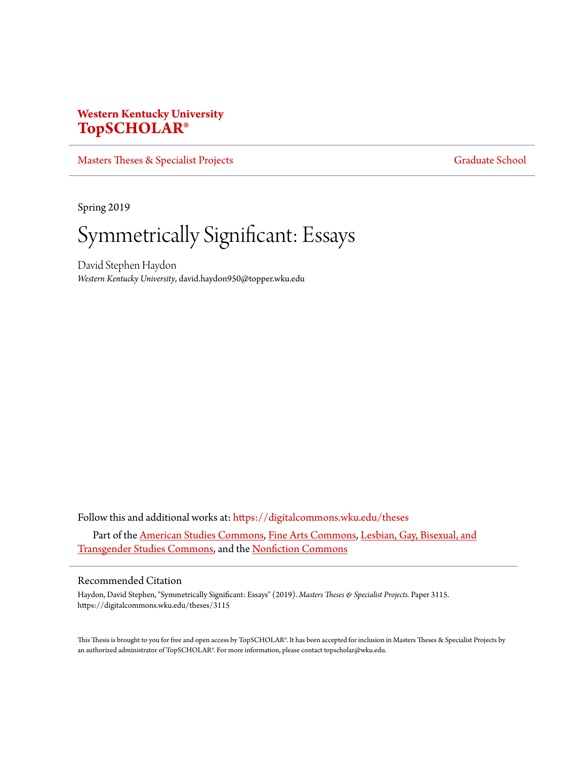## **Western Kentucky University [TopSCHOLAR®](https://digitalcommons.wku.edu?utm_source=digitalcommons.wku.edu%2Ftheses%2F3115&utm_medium=PDF&utm_campaign=PDFCoverPages)**

[Masters Theses & Specialist Projects](https://digitalcommons.wku.edu/theses?utm_source=digitalcommons.wku.edu%2Ftheses%2F3115&utm_medium=PDF&utm_campaign=PDFCoverPages) [Graduate School](https://digitalcommons.wku.edu/Graduate?utm_source=digitalcommons.wku.edu%2Ftheses%2F3115&utm_medium=PDF&utm_campaign=PDFCoverPages) Graduate School

Spring 2019

# Symmetrically Significant: Essays

David Stephen Haydon *Western Kentucky University*, david.haydon950@topper.wku.edu

Follow this and additional works at: [https://digitalcommons.wku.edu/theses](https://digitalcommons.wku.edu/theses?utm_source=digitalcommons.wku.edu%2Ftheses%2F3115&utm_medium=PDF&utm_campaign=PDFCoverPages) Part of the [American Studies Commons](http://network.bepress.com/hgg/discipline/439?utm_source=digitalcommons.wku.edu%2Ftheses%2F3115&utm_medium=PDF&utm_campaign=PDFCoverPages), [Fine Arts Commons,](http://network.bepress.com/hgg/discipline/1141?utm_source=digitalcommons.wku.edu%2Ftheses%2F3115&utm_medium=PDF&utm_campaign=PDFCoverPages) [Lesbian, Gay, Bisexual, and](http://network.bepress.com/hgg/discipline/560?utm_source=digitalcommons.wku.edu%2Ftheses%2F3115&utm_medium=PDF&utm_campaign=PDFCoverPages) [Transgender Studies Commons,](http://network.bepress.com/hgg/discipline/560?utm_source=digitalcommons.wku.edu%2Ftheses%2F3115&utm_medium=PDF&utm_campaign=PDFCoverPages) and the [Nonfiction Commons](http://network.bepress.com/hgg/discipline/1152?utm_source=digitalcommons.wku.edu%2Ftheses%2F3115&utm_medium=PDF&utm_campaign=PDFCoverPages)

## Recommended Citation

Haydon, David Stephen, "Symmetrically Significant: Essays" (2019). *Masters Theses & Specialist Projects.* Paper 3115. https://digitalcommons.wku.edu/theses/3115

This Thesis is brought to you for free and open access by TopSCHOLAR®. It has been accepted for inclusion in Masters Theses & Specialist Projects by an authorized administrator of TopSCHOLAR®. For more information, please contact topscholar@wku.edu.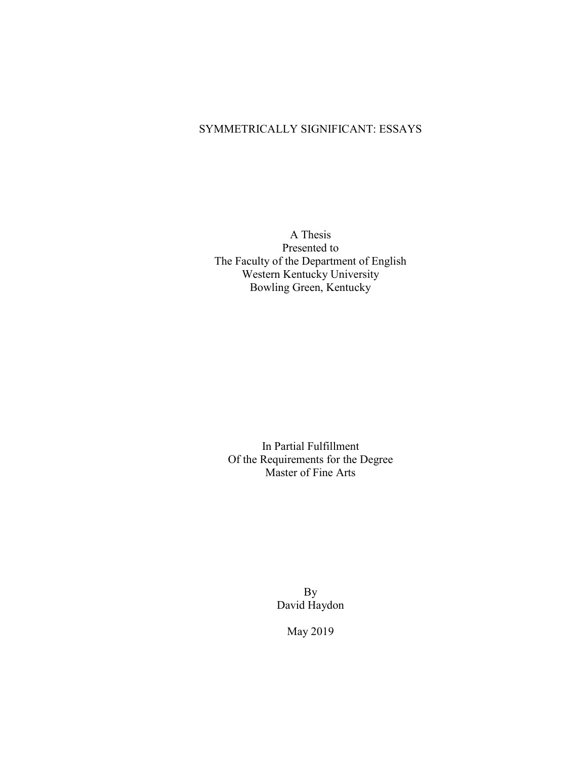## SYMMETRICALLY SIGNIFICANT: ESSAYS

A Thesis Presented to The Faculty of the Department of English Western Kentucky University Bowling Green, Kentucky

In Partial Fulfillment Of the Requirements for the Degree Master of Fine Arts

> By David Haydon

> > May 2019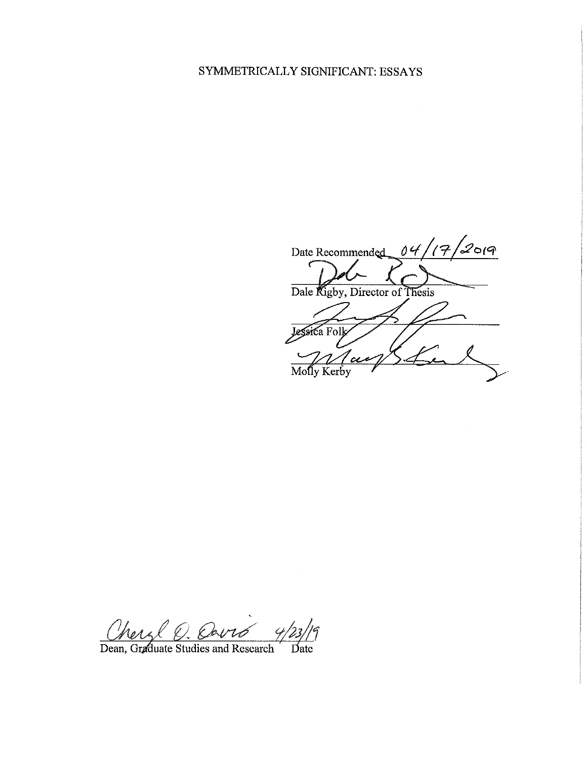## SYMMETRICALLY SIGNIFICANT: ESSAYS

 $\frac{1}{2}$ 019 Date Recommended  $04/$  $^{\prime}$ (7 Dale Rigby, Director of Thesis Jessica Folk  $\overline{\text{Molly Kerby}}$ 

Mer

Dean, Graduate Studies and Research Date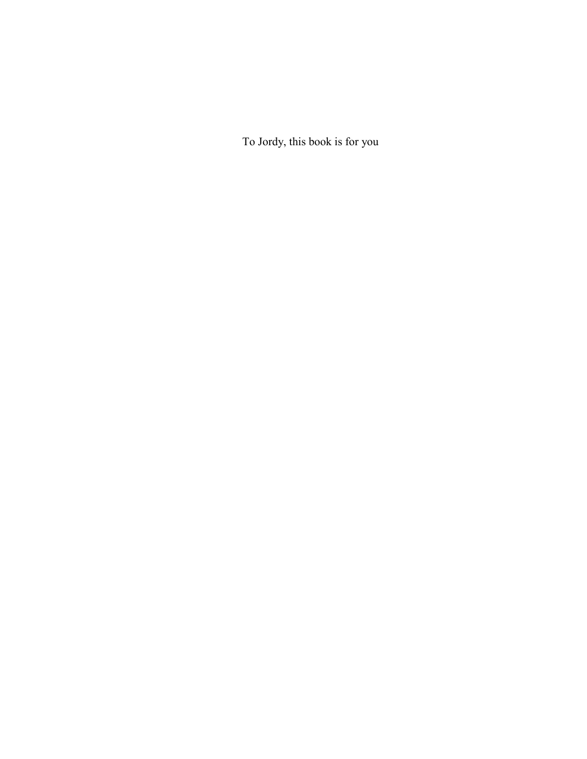To Jordy, this book is for you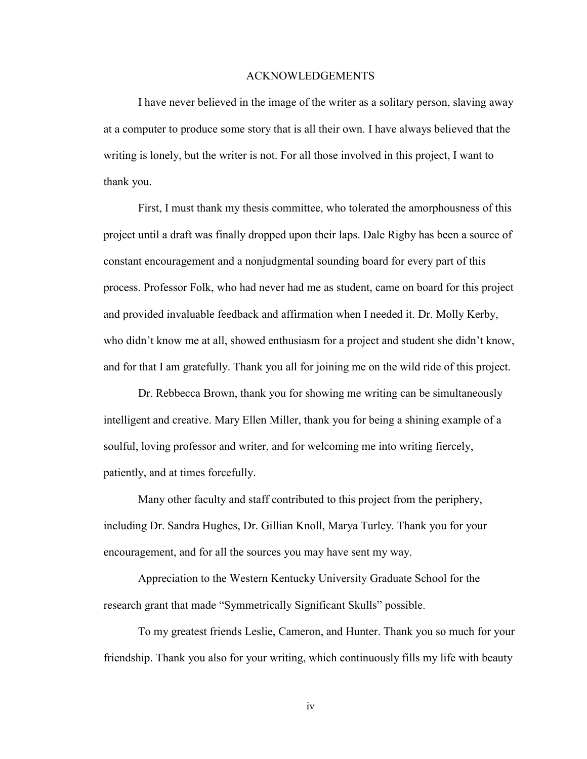## ACKNOWLEDGEMENTS

I have never believed in the image of the writer as a solitary person, slaving away at a computer to produce some story that is all their own. I have always believed that the writing is lonely, but the writer is not. For all those involved in this project, I want to thank you.

First, I must thank my thesis committee, who tolerated the amorphousness of this project until a draft was finally dropped upon their laps. Dale Rigby has been a source of constant encouragement and a nonjudgmental sounding board for every part of this process. Professor Folk, who had never had me as student, came on board for this project and provided invaluable feedback and affirmation when I needed it. Dr. Molly Kerby, who didn't know me at all, showed enthusiasm for a project and student she didn't know, and for that I am gratefully. Thank you all for joining me on the wild ride of this project.

Dr. Rebbecca Brown, thank you for showing me writing can be simultaneously intelligent and creative. Mary Ellen Miller, thank you for being a shining example of a soulful, loving professor and writer, and for welcoming me into writing fiercely, patiently, and at times forcefully.

Many other faculty and staff contributed to this project from the periphery, including Dr. Sandra Hughes, Dr. Gillian Knoll, Marya Turley. Thank you for your encouragement, and for all the sources you may have sent my way.

Appreciation to the Western Kentucky University Graduate School for the research grant that made "Symmetrically Significant Skulls" possible.

To my greatest friends Leslie, Cameron, and Hunter. Thank you so much for your friendship. Thank you also for your writing, which continuously fills my life with beauty

iv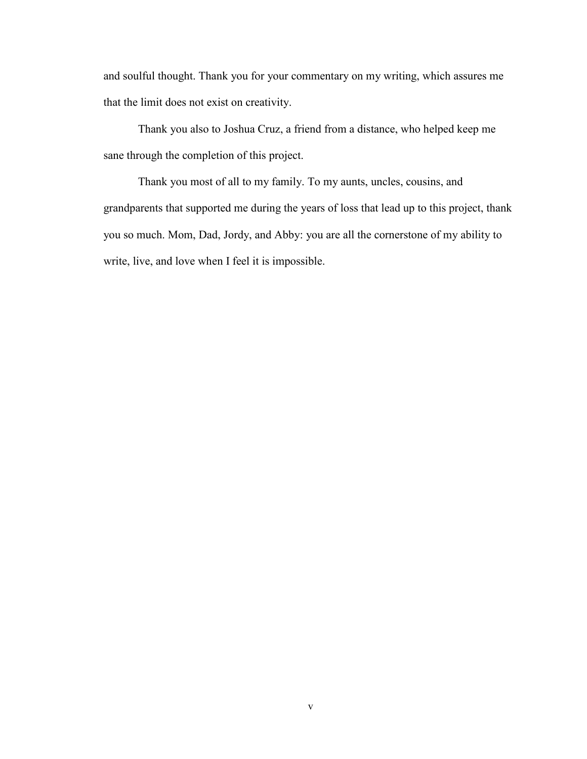and soulful thought. Thank you for your commentary on my writing, which assures me that the limit does not exist on creativity.

Thank you also to Joshua Cruz, a friend from a distance, who helped keep me sane through the completion of this project.

Thank you most of all to my family. To my aunts, uncles, cousins, and grandparents that supported me during the years of loss that lead up to this project, thank you so much. Mom, Dad, Jordy, and Abby: you are all the cornerstone of my ability to write, live, and love when I feel it is impossible.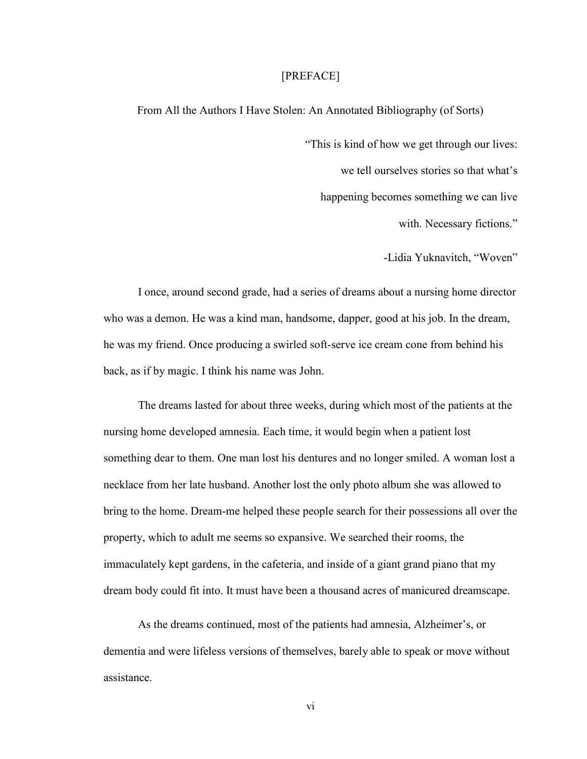### [PREFACE]

From All the Authors I Have Stolen: An Annotated Bibliography (of Sorts)

"This is kind of how we get through our lives: we tell ourselves stories so that what's happening becomes something we can live with. Necessary fictions."

-Lidia Yuknavitch, "Woven"

I once, around second grade, had a series of dreams about a nursing home director who was a demon. He was a kind man, handsome, dapper, good at his job. In the dream, he was my friend. Once producing a swirled soft-serve ice cream cone from behind his back, as if by magic. I think his name was John.

The dreams lasted for about three weeks, during which most of the patients at the nursing home developed amnesia. Each time, it would begin when a patient lost something dear to them. One man lost his dentures and no longer smiled. A woman lost a necklace from her late husband. Another lost the only photo album she was allowed to bring to the home. Dream-me helped these people search for their possessions all over the property, which to adult me seems so expansive. We searched their rooms, the immaculately kept gardens, in the cafeteria, and inside of a giant grand piano that my dream body could fit into. It must have been a thousand acres of manicured dreamscape.

As the dreams continued, most of the patients had amnesia, Alzheimer's, or dementia and were lifeless versions of themselves, barely able to speak or move without assistance.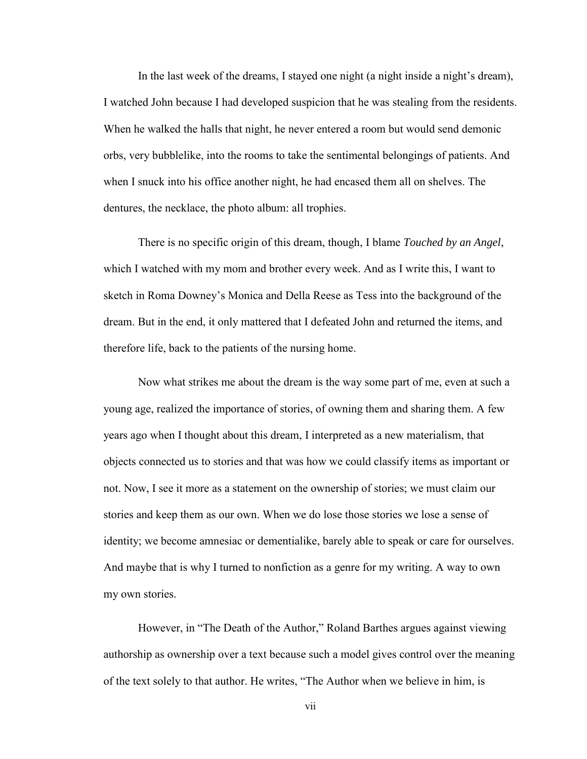In the last week of the dreams, I stayed one night (a night inside a night's dream), I watched John because I had developed suspicion that he was stealing from the residents. When he walked the halls that night, he never entered a room but would send demonic orbs, very bubblelike, into the rooms to take the sentimental belongings of patients. And when I snuck into his office another night, he had encased them all on shelves. The dentures, the necklace, the photo album: all trophies.

There is no specific origin of this dream, though, I blame *Touched by an Angel*, which I watched with my mom and brother every week. And as I write this, I want to sketch in Roma Downey's Monica and Della Reese as Tess into the background of the dream. But in the end, it only mattered that I defeated John and returned the items, and therefore life, back to the patients of the nursing home.

Now what strikes me about the dream is the way some part of me, even at such a young age, realized the importance of stories, of owning them and sharing them. A few years ago when I thought about this dream, I interpreted as a new materialism, that objects connected us to stories and that was how we could classify items as important or not. Now, I see it more as a statement on the ownership of stories; we must claim our stories and keep them as our own. When we do lose those stories we lose a sense of identity; we become amnesiac or dementialike, barely able to speak or care for ourselves. And maybe that is why I turned to nonfiction as a genre for my writing. A way to own my own stories.

However, in "The Death of the Author," Roland Barthes argues against viewing authorship as ownership over a text because such a model gives control over the meaning of the text solely to that author. He writes, "The Author when we believe in him, is

vii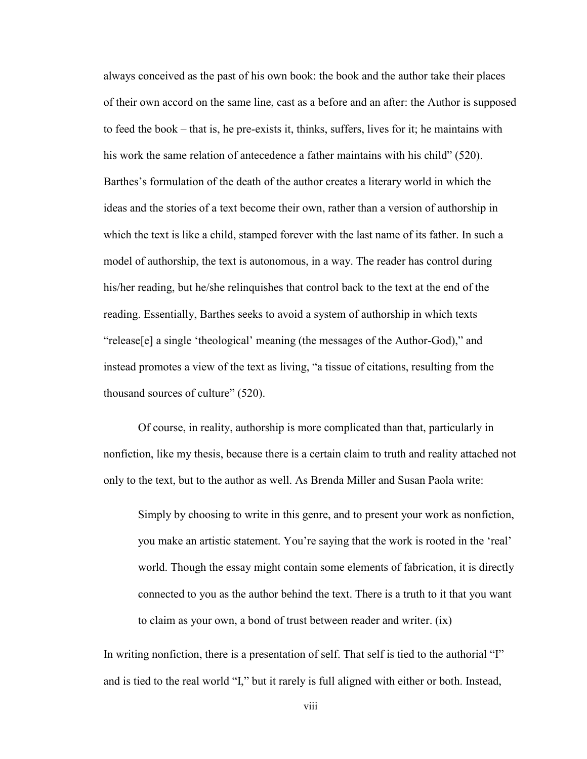always conceived as the past of his own book: the book and the author take their places of their own accord on the same line, cast as a before and an after: the Author is supposed to feed the book – that is, he pre-exists it, thinks, suffers, lives for it; he maintains with his work the same relation of antecedence a father maintains with his child" (520). Barthes's formulation of the death of the author creates a literary world in which the ideas and the stories of a text become their own, rather than a version of authorship in which the text is like a child, stamped forever with the last name of its father. In such a model of authorship, the text is autonomous, in a way. The reader has control during his/her reading, but he/she relinquishes that control back to the text at the end of the reading. Essentially, Barthes seeks to avoid a system of authorship in which texts "release[e] a single 'theological' meaning (the messages of the Author-God)," and instead promotes a view of the text as living, "a tissue of citations, resulting from the thousand sources of culture" (520).

Of course, in reality, authorship is more complicated than that, particularly in nonfiction, like my thesis, because there is a certain claim to truth and reality attached not only to the text, but to the author as well. As Brenda Miller and Susan Paola write:

Simply by choosing to write in this genre, and to present your work as nonfiction, you make an artistic statement. You're saying that the work is rooted in the 'real' world. Though the essay might contain some elements of fabrication, it is directly connected to you as the author behind the text. There is a truth to it that you want to claim as your own, a bond of trust between reader and writer. (ix)

In writing nonfiction, there is a presentation of self. That self is tied to the authorial "I" and is tied to the real world "I," but it rarely is full aligned with either or both. Instead,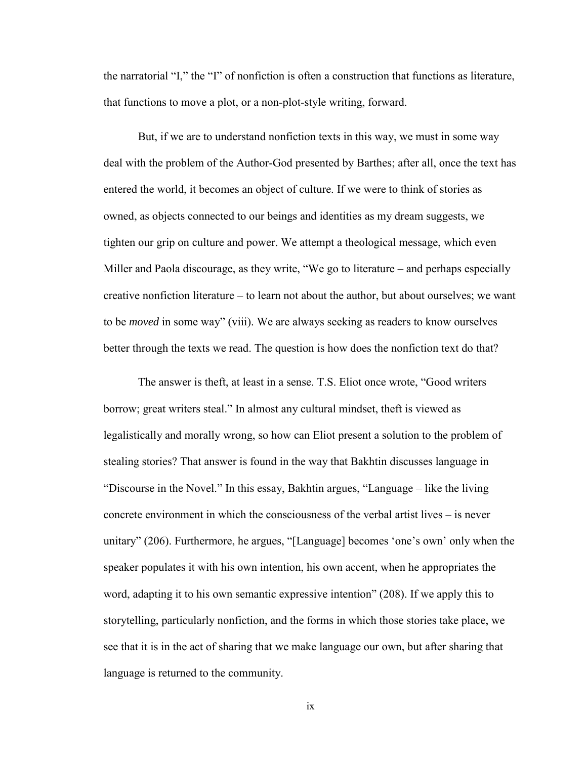the narratorial "I," the "I" of nonfiction is often a construction that functions as literature, that functions to move a plot, or a non-plot-style writing, forward.

But, if we are to understand nonfiction texts in this way, we must in some way deal with the problem of the Author-God presented by Barthes; after all, once the text has entered the world, it becomes an object of culture. If we were to think of stories as owned, as objects connected to our beings and identities as my dream suggests, we tighten our grip on culture and power. We attempt a theological message, which even Miller and Paola discourage, as they write, "We go to literature – and perhaps especially creative nonfiction literature – to learn not about the author, but about ourselves; we want to be *moved* in some way" (viii). We are always seeking as readers to know ourselves better through the texts we read. The question is how does the nonfiction text do that?

The answer is theft, at least in a sense. T.S. Eliot once wrote, "Good writers borrow; great writers steal." In almost any cultural mindset, theft is viewed as legalistically and morally wrong, so how can Eliot present a solution to the problem of stealing stories? That answer is found in the way that Bakhtin discusses language in "Discourse in the Novel." In this essay, Bakhtin argues, "Language – like the living concrete environment in which the consciousness of the verbal artist lives – is never unitary" (206). Furthermore, he argues, "[Language] becomes 'one's own' only when the speaker populates it with his own intention, his own accent, when he appropriates the word, adapting it to his own semantic expressive intention" (208). If we apply this to storytelling, particularly nonfiction, and the forms in which those stories take place, we see that it is in the act of sharing that we make language our own, but after sharing that language is returned to the community.

ix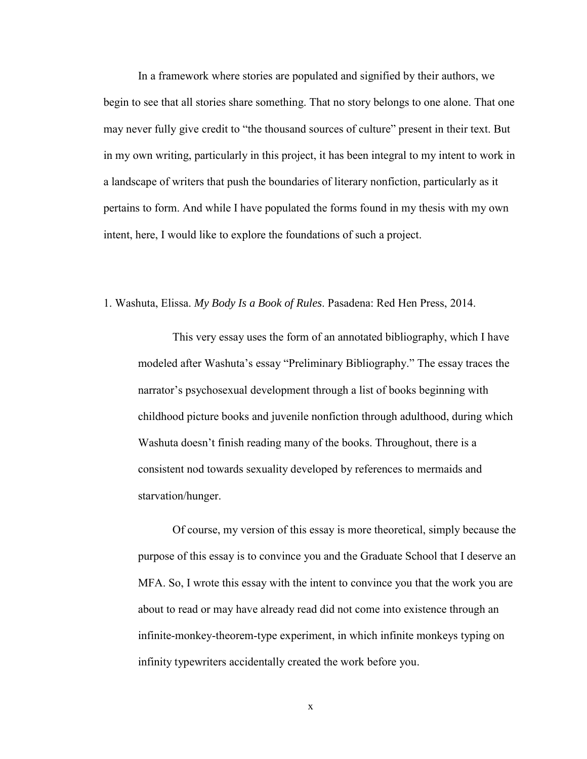In a framework where stories are populated and signified by their authors, we begin to see that all stories share something. That no story belongs to one alone. That one may never fully give credit to "the thousand sources of culture" present in their text. But in my own writing, particularly in this project, it has been integral to my intent to work in a landscape of writers that push the boundaries of literary nonfiction, particularly as it pertains to form. And while I have populated the forms found in my thesis with my own intent, here, I would like to explore the foundations of such a project.

1. Washuta, Elissa. *My Body Is a Book of Rules*. Pasadena: Red Hen Press, 2014.

This very essay uses the form of an annotated bibliography, which I have modeled after Washuta's essay "Preliminary Bibliography." The essay traces the narrator's psychosexual development through a list of books beginning with childhood picture books and juvenile nonfiction through adulthood, during which Washuta doesn't finish reading many of the books. Throughout, there is a consistent nod towards sexuality developed by references to mermaids and starvation/hunger.

Of course, my version of this essay is more theoretical, simply because the purpose of this essay is to convince you and the Graduate School that I deserve an MFA. So, I wrote this essay with the intent to convince you that the work you are about to read or may have already read did not come into existence through an infinite-monkey-theorem-type experiment, in which infinite monkeys typing on infinity typewriters accidentally created the work before you.

x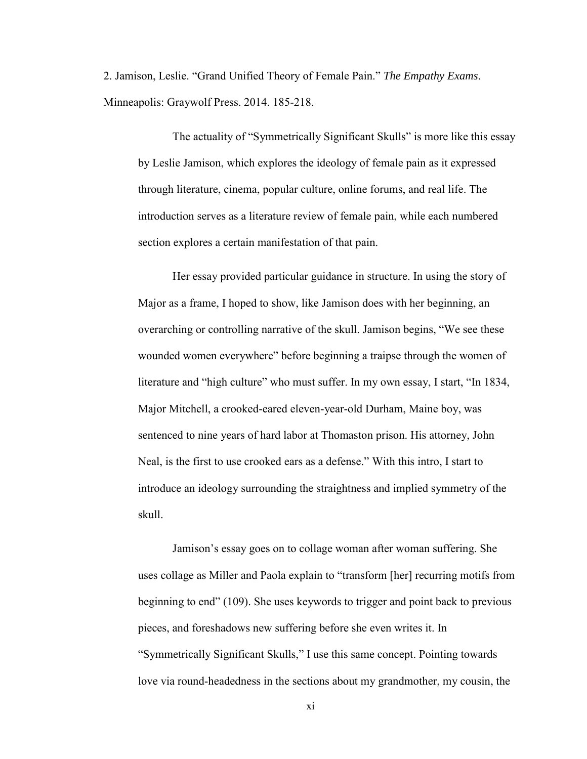2. Jamison, Leslie. "Grand Unified Theory of Female Pain." *The Empathy Exams*. Minneapolis: Graywolf Press. 2014. 185-218.

The actuality of "Symmetrically Significant Skulls" is more like this essay by Leslie Jamison, which explores the ideology of female pain as it expressed through literature, cinema, popular culture, online forums, and real life. The introduction serves as a literature review of female pain, while each numbered section explores a certain manifestation of that pain.

Her essay provided particular guidance in structure. In using the story of Major as a frame, I hoped to show, like Jamison does with her beginning, an overarching or controlling narrative of the skull. Jamison begins, "We see these wounded women everywhere" before beginning a traipse through the women of literature and "high culture" who must suffer. In my own essay, I start, "In 1834, Major Mitchell, a crooked-eared eleven-year-old Durham, Maine boy, was sentenced to nine years of hard labor at Thomaston prison. His attorney, John Neal, is the first to use crooked ears as a defense." With this intro, I start to introduce an ideology surrounding the straightness and implied symmetry of the skull.

Jamison's essay goes on to collage woman after woman suffering. She uses collage as Miller and Paola explain to "transform [her] recurring motifs from beginning to end" (109). She uses keywords to trigger and point back to previous pieces, and foreshadows new suffering before she even writes it. In "Symmetrically Significant Skulls," I use this same concept. Pointing towards love via round-headedness in the sections about my grandmother, my cousin, the

xi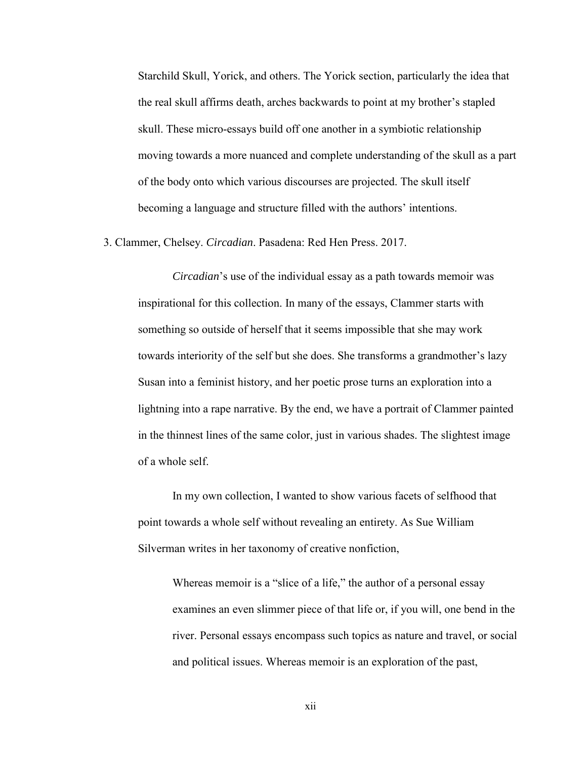Starchild Skull, Yorick, and others. The Yorick section, particularly the idea that the real skull affirms death, arches backwards to point at my brother's stapled skull. These micro-essays build off one another in a symbiotic relationship moving towards a more nuanced and complete understanding of the skull as a part of the body onto which various discourses are projected. The skull itself becoming a language and structure filled with the authors' intentions.

3. Clammer, Chelsey. *Circadian*. Pasadena: Red Hen Press. 2017.

*Circadian*'s use of the individual essay as a path towards memoir was inspirational for this collection. In many of the essays, Clammer starts with something so outside of herself that it seems impossible that she may work towards interiority of the self but she does. She transforms a grandmother's lazy Susan into a feminist history, and her poetic prose turns an exploration into a lightning into a rape narrative. By the end, we have a portrait of Clammer painted in the thinnest lines of the same color, just in various shades. The slightest image of a whole self.

In my own collection, I wanted to show various facets of selfhood that point towards a whole self without revealing an entirety. As Sue William Silverman writes in her taxonomy of creative nonfiction,

Whereas memoir is a "slice of a life," the author of a personal essay examines an even slimmer piece of that life or, if you will, one bend in the river. Personal essays encompass such topics as nature and travel, or social and political issues. Whereas memoir is an exploration of the past,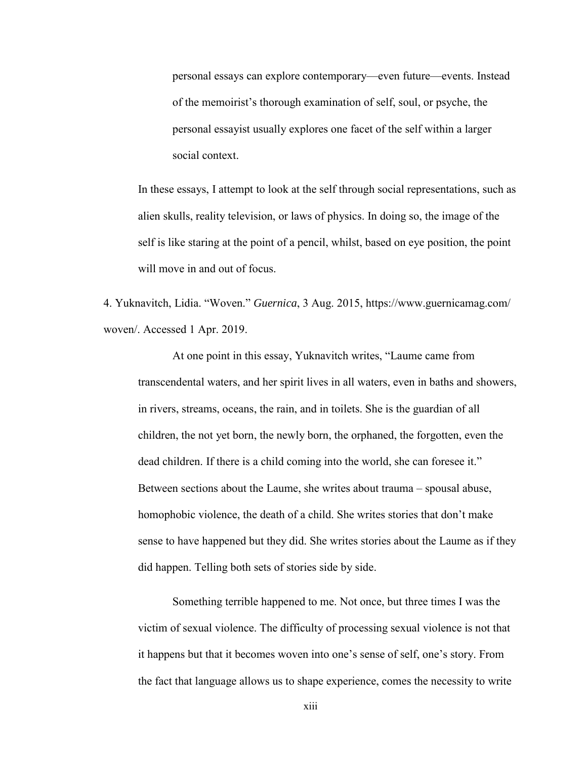personal essays can explore contemporary—even future—events. Instead of the memoirist's thorough examination of self, soul, or psyche, the personal essayist usually explores one facet of the self within a larger social context.

In these essays, I attempt to look at the self through social representations, such as alien skulls, reality television, or laws of physics. In doing so, the image of the self is like staring at the point of a pencil, whilst, based on eye position, the point will move in and out of focus.

4. Yuknavitch, Lidia. "Woven." *Guernica*, 3 Aug. 2015, https://www.guernicamag.com/ woven/. Accessed 1 Apr. 2019.

At one point in this essay, Yuknavitch writes, "Laume came from transcendental waters, and her spirit lives in all waters, even in baths and showers, in rivers, streams, oceans, the rain, and in toilets. She is the guardian of all children, the not yet born, the newly born, the orphaned, the forgotten, even the dead children. If there is a child coming into the world, she can foresee it." Between sections about the Laume, she writes about trauma – spousal abuse, homophobic violence, the death of a child. She writes stories that don't make sense to have happened but they did. She writes stories about the Laume as if they did happen. Telling both sets of stories side by side.

Something terrible happened to me. Not once, but three times I was the victim of sexual violence. The difficulty of processing sexual violence is not that it happens but that it becomes woven into one's sense of self, one's story. From the fact that language allows us to shape experience, comes the necessity to write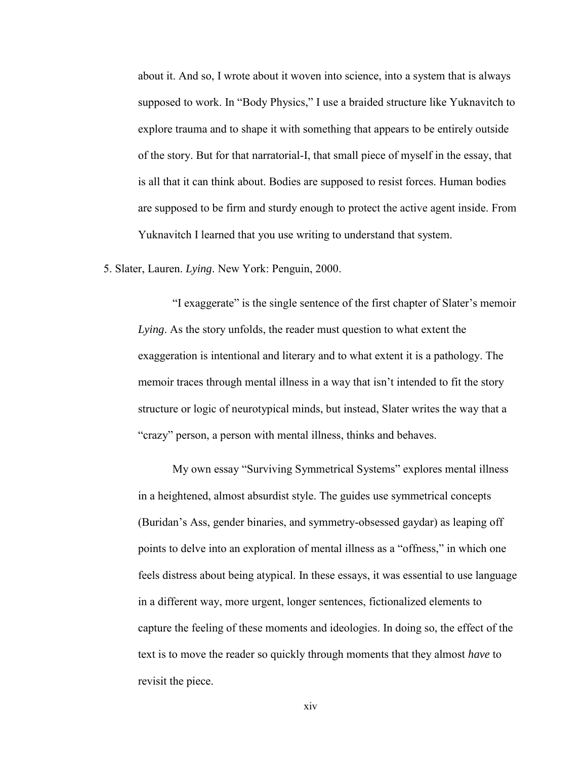about it. And so, I wrote about it woven into science, into a system that is always supposed to work. In "Body Physics," I use a braided structure like Yuknavitch to explore trauma and to shape it with something that appears to be entirely outside of the story. But for that narratorial-I, that small piece of myself in the essay, that is all that it can think about. Bodies are supposed to resist forces. Human bodies are supposed to be firm and sturdy enough to protect the active agent inside. From Yuknavitch I learned that you use writing to understand that system.

5. Slater, Lauren. *Lying*. New York: Penguin, 2000.

"I exaggerate" is the single sentence of the first chapter of Slater's memoir *Lying*. As the story unfolds, the reader must question to what extent the exaggeration is intentional and literary and to what extent it is a pathology. The memoir traces through mental illness in a way that isn't intended to fit the story structure or logic of neurotypical minds, but instead, Slater writes the way that a "crazy" person, a person with mental illness, thinks and behaves.

My own essay "Surviving Symmetrical Systems" explores mental illness in a heightened, almost absurdist style. The guides use symmetrical concepts (Buridan's Ass, gender binaries, and symmetry-obsessed gaydar) as leaping off points to delve into an exploration of mental illness as a "offness," in which one feels distress about being atypical. In these essays, it was essential to use language in a different way, more urgent, longer sentences, fictionalized elements to capture the feeling of these moments and ideologies. In doing so, the effect of the text is to move the reader so quickly through moments that they almost *have* to revisit the piece.

xiv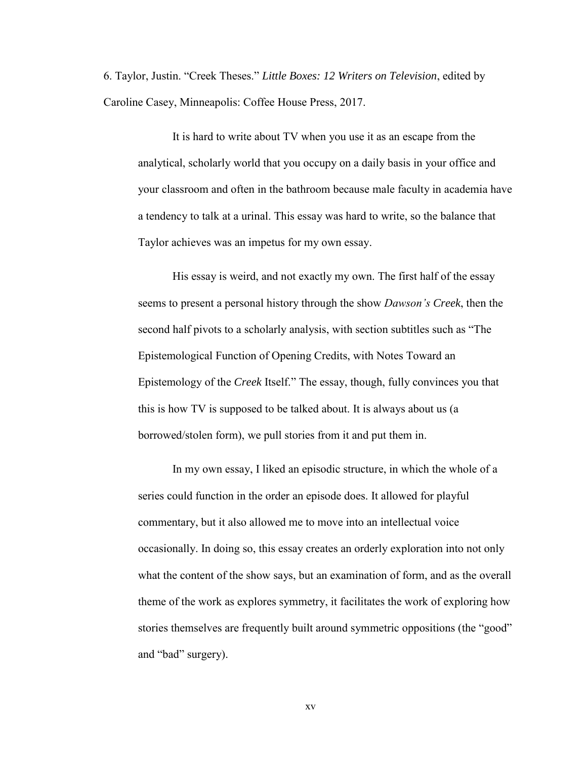6. Taylor, Justin. "Creek Theses." *Little Boxes: 12 Writers on Television*, edited by Caroline Casey, Minneapolis: Coffee House Press, 2017.

It is hard to write about TV when you use it as an escape from the analytical, scholarly world that you occupy on a daily basis in your office and your classroom and often in the bathroom because male faculty in academia have a tendency to talk at a urinal. This essay was hard to write, so the balance that Taylor achieves was an impetus for my own essay.

His essay is weird, and not exactly my own. The first half of the essay seems to present a personal history through the show *Dawson's Creek*, then the second half pivots to a scholarly analysis, with section subtitles such as "The Epistemological Function of Opening Credits, with Notes Toward an Epistemology of the *Creek* Itself." The essay, though, fully convinces you that this is how TV is supposed to be talked about. It is always about us (a borrowed/stolen form), we pull stories from it and put them in.

In my own essay, I liked an episodic structure, in which the whole of a series could function in the order an episode does. It allowed for playful commentary, but it also allowed me to move into an intellectual voice occasionally. In doing so, this essay creates an orderly exploration into not only what the content of the show says, but an examination of form, and as the overall theme of the work as explores symmetry, it facilitates the work of exploring how stories themselves are frequently built around symmetric oppositions (the "good" and "bad" surgery).

xv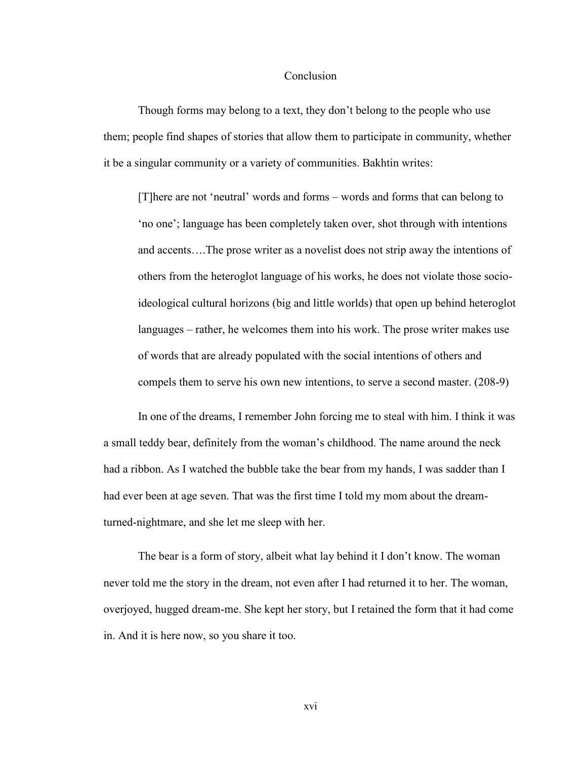## Conclusion

Though forms may belong to a text, they don't belong to the people who use them; people find shapes of stories that allow them to participate in community, whether it be a singular community or a variety of communities. Bakhtin writes:

[T]here are not 'neutral' words and forms – words and forms that can belong to 'no one'; language has been completely taken over, shot through with intentions and accents….The prose writer as a novelist does not strip away the intentions of others from the heteroglot language of his works, he does not violate those socioideological cultural horizons (big and little worlds) that open up behind heteroglot languages – rather, he welcomes them into his work. The prose writer makes use of words that are already populated with the social intentions of others and compels them to serve his own new intentions, to serve a second master. (208-9)

In one of the dreams, I remember John forcing me to steal with him. I think it was a small teddy bear, definitely from the woman's childhood. The name around the neck had a ribbon. As I watched the bubble take the bear from my hands, I was sadder than I had ever been at age seven. That was the first time I told my mom about the dreamturned-nightmare, and she let me sleep with her.

The bear is a form of story, albeit what lay behind it I don't know. The woman never told me the story in the dream, not even after I had returned it to her. The woman, overjoyed, hugged dream-me. She kept her story, but I retained the form that it had come in. And it is here now, so you share it too.

xvi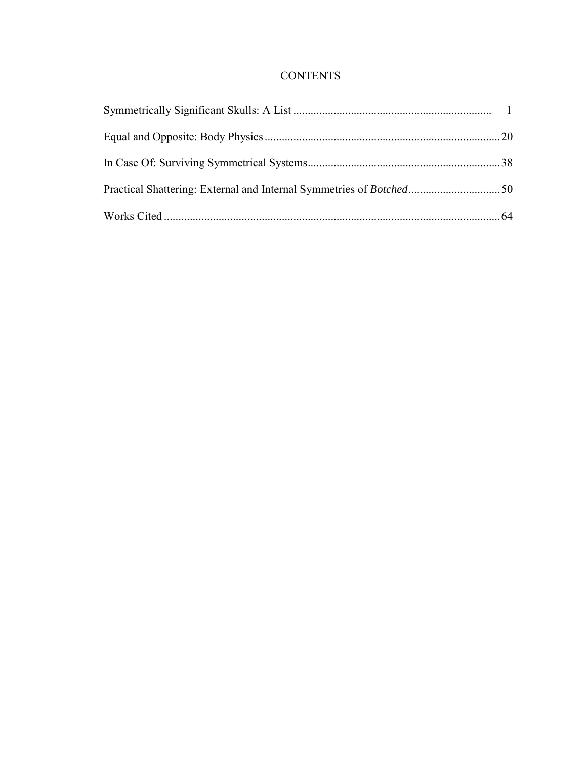## **CONTENTS**

| Practical Shattering: External and Internal Symmetries of Botched50 |  |
|---------------------------------------------------------------------|--|
|                                                                     |  |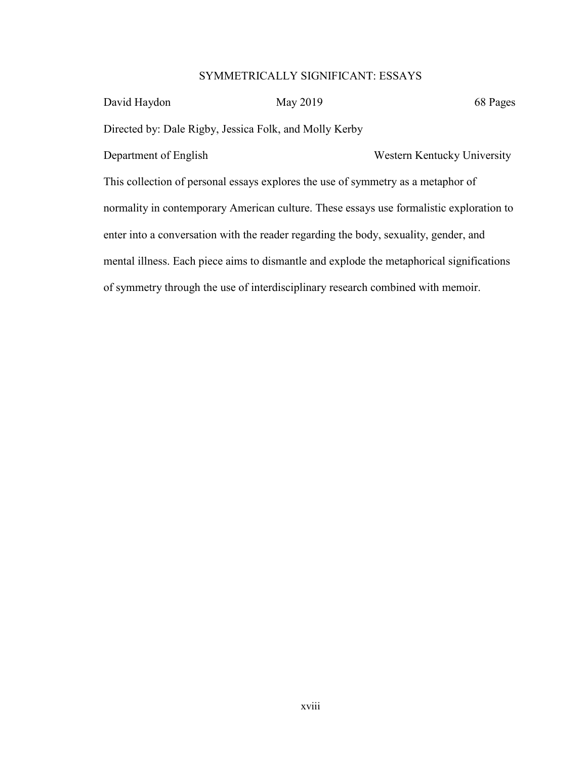## SYMMETRICALLY SIGNIFICANT: ESSAYS

| David Haydon                                                                             | May 2019 | 68 Pages                    |  |
|------------------------------------------------------------------------------------------|----------|-----------------------------|--|
| Directed by: Dale Rigby, Jessica Folk, and Molly Kerby                                   |          |                             |  |
| Department of English                                                                    |          | Western Kentucky University |  |
| This collection of personal essays explores the use of symmetry as a metaphor of         |          |                             |  |
| normality in contemporary American culture. These essays use formalistic exploration to  |          |                             |  |
| enter into a conversation with the reader regarding the body, sexuality, gender, and     |          |                             |  |
| mental illness. Each piece aims to dismantle and explode the metaphorical significations |          |                             |  |
| of symmetry through the use of interdisciplinary research combined with memoir.          |          |                             |  |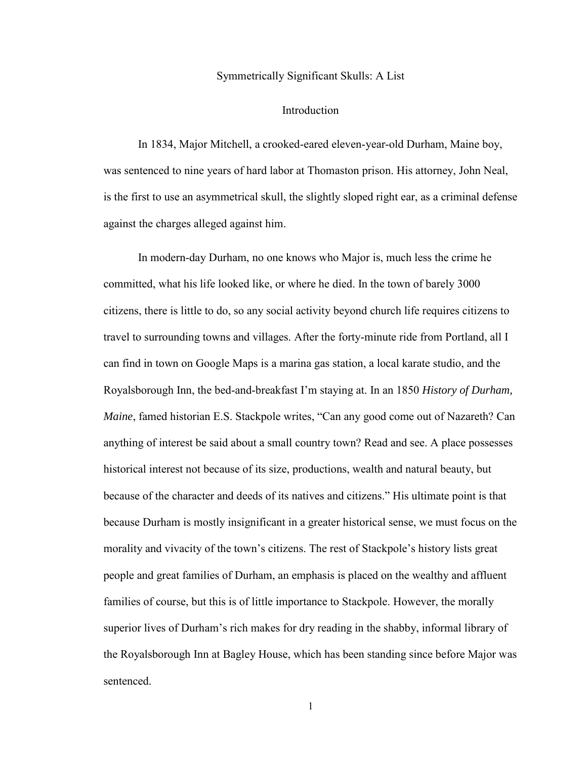## Symmetrically Significant Skulls: A List

### Introduction

In 1834, Major Mitchell, a crooked-eared eleven-year-old Durham, Maine boy, was sentenced to nine years of hard labor at Thomaston prison. His attorney, John Neal, is the first to use an asymmetrical skull, the slightly sloped right ear, as a criminal defense against the charges alleged against him.

In modern-day Durham, no one knows who Major is, much less the crime he committed, what his life looked like, or where he died. In the town of barely 3000 citizens, there is little to do, so any social activity beyond church life requires citizens to travel to surrounding towns and villages. After the forty-minute ride from Portland, all I can find in town on Google Maps is a marina gas station, a local karate studio, and the Royalsborough Inn, the bed-and-breakfast I'm staying at. In an 1850 *History of Durham, Maine*, famed historian E.S. Stackpole writes, "Can any good come out of Nazareth? Can anything of interest be said about a small country town? Read and see. A place possesses historical interest not because of its size, productions, wealth and natural beauty, but because of the character and deeds of its natives and citizens." His ultimate point is that because Durham is mostly insignificant in a greater historical sense, we must focus on the morality and vivacity of the town's citizens. The rest of Stackpole's history lists great people and great families of Durham, an emphasis is placed on the wealthy and affluent families of course, but this is of little importance to Stackpole. However, the morally superior lives of Durham's rich makes for dry reading in the shabby, informal library of the Royalsborough Inn at Bagley House, which has been standing since before Major was sentenced.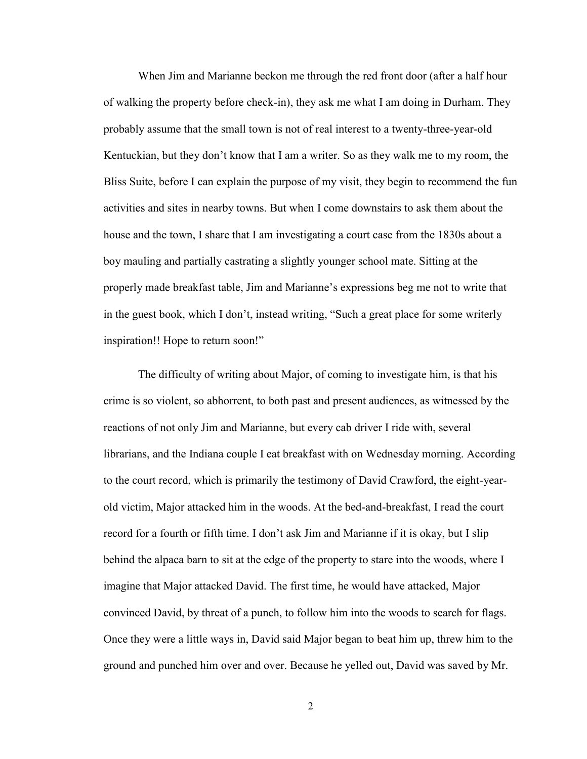When Jim and Marianne beckon me through the red front door (after a half hour of walking the property before check-in), they ask me what I am doing in Durham. They probably assume that the small town is not of real interest to a twenty-three-year-old Kentuckian, but they don't know that I am a writer. So as they walk me to my room, the Bliss Suite, before I can explain the purpose of my visit, they begin to recommend the fun activities and sites in nearby towns. But when I come downstairs to ask them about the house and the town, I share that I am investigating a court case from the 1830s about a boy mauling and partially castrating a slightly younger school mate. Sitting at the properly made breakfast table, Jim and Marianne's expressions beg me not to write that in the guest book, which I don't, instead writing, "Such a great place for some writerly inspiration!! Hope to return soon!"

The difficulty of writing about Major, of coming to investigate him, is that his crime is so violent, so abhorrent, to both past and present audiences, as witnessed by the reactions of not only Jim and Marianne, but every cab driver I ride with, several librarians, and the Indiana couple I eat breakfast with on Wednesday morning. According to the court record, which is primarily the testimony of David Crawford, the eight-yearold victim, Major attacked him in the woods. At the bed-and-breakfast, I read the court record for a fourth or fifth time. I don't ask Jim and Marianne if it is okay, but I slip behind the alpaca barn to sit at the edge of the property to stare into the woods, where I imagine that Major attacked David. The first time, he would have attacked, Major convinced David, by threat of a punch, to follow him into the woods to search for flags. Once they were a little ways in, David said Major began to beat him up, threw him to the ground and punched him over and over. Because he yelled out, David was saved by Mr.

2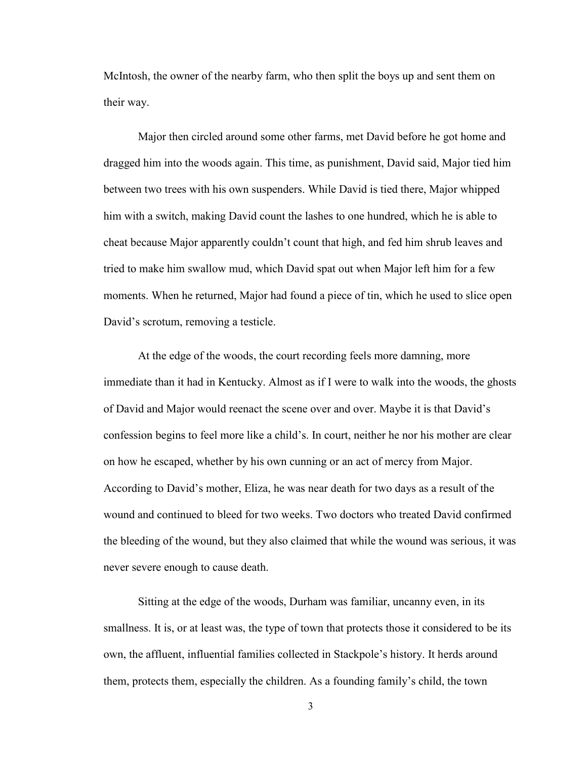McIntosh, the owner of the nearby farm, who then split the boys up and sent them on their way.

Major then circled around some other farms, met David before he got home and dragged him into the woods again. This time, as punishment, David said, Major tied him between two trees with his own suspenders. While David is tied there, Major whipped him with a switch, making David count the lashes to one hundred, which he is able to cheat because Major apparently couldn't count that high, and fed him shrub leaves and tried to make him swallow mud, which David spat out when Major left him for a few moments. When he returned, Major had found a piece of tin, which he used to slice open David's scrotum, removing a testicle.

At the edge of the woods, the court recording feels more damning, more immediate than it had in Kentucky. Almost as if I were to walk into the woods, the ghosts of David and Major would reenact the scene over and over. Maybe it is that David's confession begins to feel more like a child's. In court, neither he nor his mother are clear on how he escaped, whether by his own cunning or an act of mercy from Major. According to David's mother, Eliza, he was near death for two days as a result of the wound and continued to bleed for two weeks. Two doctors who treated David confirmed the bleeding of the wound, but they also claimed that while the wound was serious, it was never severe enough to cause death.

Sitting at the edge of the woods, Durham was familiar, uncanny even, in its smallness. It is, or at least was, the type of town that protects those it considered to be its own, the affluent, influential families collected in Stackpole's history. It herds around them, protects them, especially the children. As a founding family's child, the town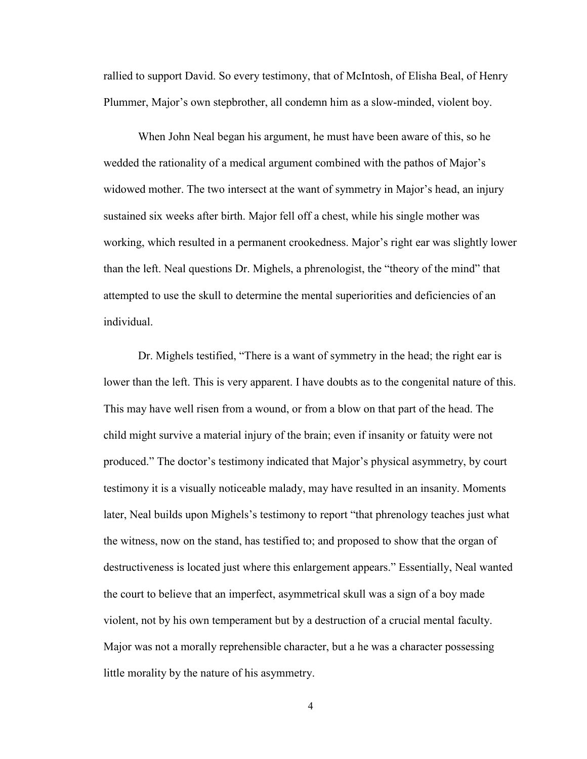rallied to support David. So every testimony, that of McIntosh, of Elisha Beal, of Henry Plummer, Major's own stepbrother, all condemn him as a slow-minded, violent boy.

When John Neal began his argument, he must have been aware of this, so he wedded the rationality of a medical argument combined with the pathos of Major's widowed mother. The two intersect at the want of symmetry in Major's head, an injury sustained six weeks after birth. Major fell off a chest, while his single mother was working, which resulted in a permanent crookedness. Major's right ear was slightly lower than the left. Neal questions Dr. Mighels, a phrenologist, the "theory of the mind" that attempted to use the skull to determine the mental superiorities and deficiencies of an individual.

Dr. Mighels testified, "There is a want of symmetry in the head; the right ear is lower than the left. This is very apparent. I have doubts as to the congenital nature of this. This may have well risen from a wound, or from a blow on that part of the head. The child might survive a material injury of the brain; even if insanity or fatuity were not produced." The doctor's testimony indicated that Major's physical asymmetry, by court testimony it is a visually noticeable malady, may have resulted in an insanity. Moments later, Neal builds upon Mighels's testimony to report "that phrenology teaches just what the witness, now on the stand, has testified to; and proposed to show that the organ of destructiveness is located just where this enlargement appears." Essentially, Neal wanted the court to believe that an imperfect, asymmetrical skull was a sign of a boy made violent, not by his own temperament but by a destruction of a crucial mental faculty. Major was not a morally reprehensible character, but a he was a character possessing little morality by the nature of his asymmetry.

4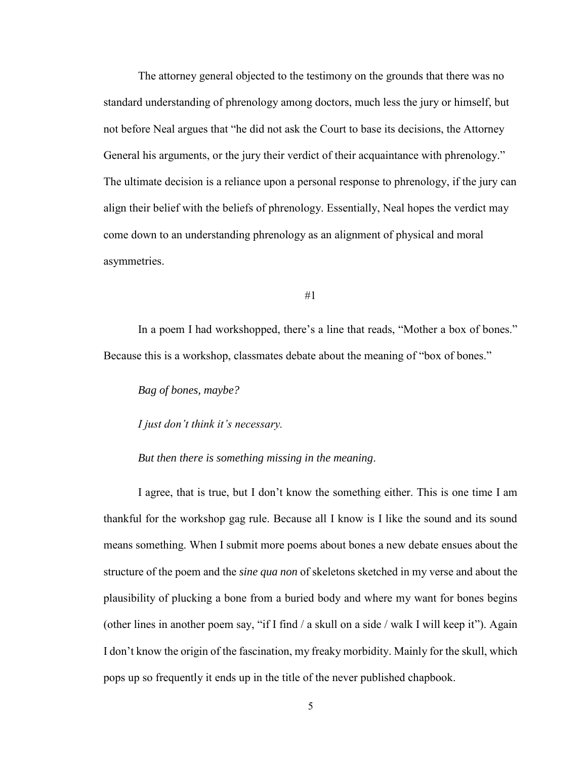The attorney general objected to the testimony on the grounds that there was no standard understanding of phrenology among doctors, much less the jury or himself, but not before Neal argues that "he did not ask the Court to base its decisions, the Attorney General his arguments, or the jury their verdict of their acquaintance with phrenology." The ultimate decision is a reliance upon a personal response to phrenology, if the jury can align their belief with the beliefs of phrenology. Essentially, Neal hopes the verdict may come down to an understanding phrenology as an alignment of physical and moral asymmetries.

#1

In a poem I had workshopped, there's a line that reads, "Mother a box of bones." Because this is a workshop, classmates debate about the meaning of "box of bones."

*Bag of bones, maybe?*

*I just don't think it's necessary.*

*But then there is something missing in the meaning*.

I agree, that is true, but I don't know the something either. This is one time I am thankful for the workshop gag rule. Because all I know is I like the sound and its sound means something. When I submit more poems about bones a new debate ensues about the structure of the poem and the *sine qua non* of skeletons sketched in my verse and about the plausibility of plucking a bone from a buried body and where my want for bones begins (other lines in another poem say, "if I find / a skull on a side / walk I will keep it"). Again I don't know the origin of the fascination, my freaky morbidity. Mainly for the skull, which pops up so frequently it ends up in the title of the never published chapbook.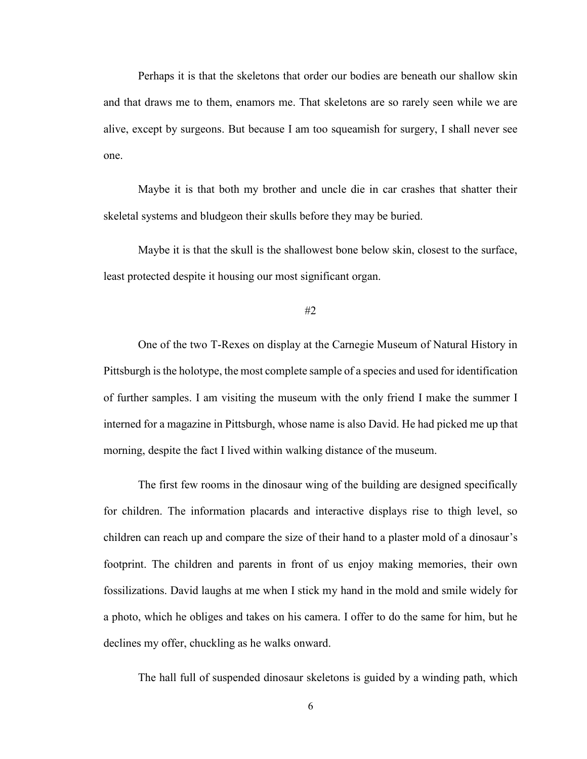Perhaps it is that the skeletons that order our bodies are beneath our shallow skin and that draws me to them, enamors me. That skeletons are so rarely seen while we are alive, except by surgeons. But because I am too squeamish for surgery, I shall never see one.

Maybe it is that both my brother and uncle die in car crashes that shatter their skeletal systems and bludgeon their skulls before they may be buried.

Maybe it is that the skull is the shallowest bone below skin, closest to the surface, least protected despite it housing our most significant organ.

#2

One of the two T-Rexes on display at the Carnegie Museum of Natural History in Pittsburgh is the holotype, the most complete sample of a species and used for identification of further samples. I am visiting the museum with the only friend I make the summer I interned for a magazine in Pittsburgh, whose name is also David. He had picked me up that morning, despite the fact I lived within walking distance of the museum.

The first few rooms in the dinosaur wing of the building are designed specifically for children. The information placards and interactive displays rise to thigh level, so children can reach up and compare the size of their hand to a plaster mold of a dinosaur's footprint. The children and parents in front of us enjoy making memories, their own fossilizations. David laughs at me when I stick my hand in the mold and smile widely for a photo, which he obliges and takes on his camera. I offer to do the same for him, but he declines my offer, chuckling as he walks onward.

The hall full of suspended dinosaur skeletons is guided by a winding path, which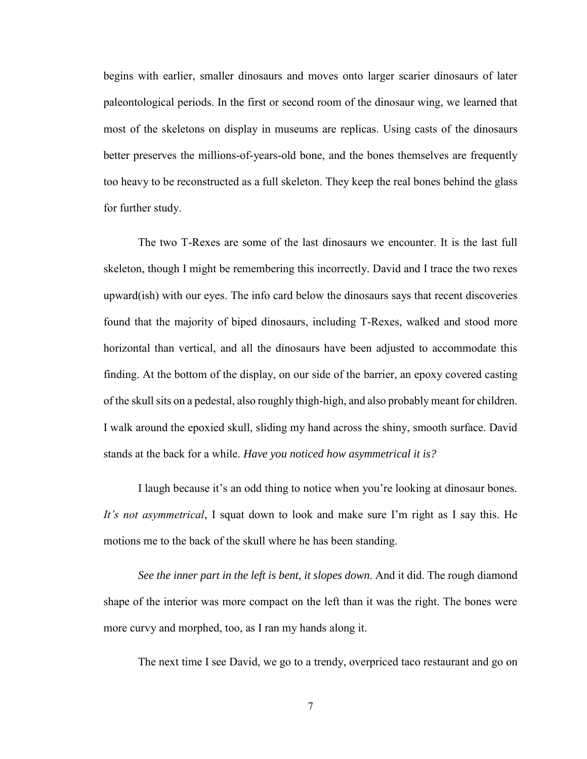begins with earlier, smaller dinosaurs and moves onto larger scarier dinosaurs of later paleontological periods. In the first or second room of the dinosaur wing, we learned that most of the skeletons on display in museums are replicas. Using casts of the dinosaurs better preserves the millions-of-years-old bone, and the bones themselves are frequently too heavy to be reconstructed as a full skeleton. They keep the real bones behind the glass for further study.

The two T-Rexes are some of the last dinosaurs we encounter. It is the last full skeleton, though I might be remembering this incorrectly. David and I trace the two rexes upward(ish) with our eyes. The info card below the dinosaurs says that recent discoveries found that the majority of biped dinosaurs, including T-Rexes, walked and stood more horizontal than vertical, and all the dinosaurs have been adjusted to accommodate this finding. At the bottom of the display, on our side of the barrier, an epoxy covered casting of the skull sits on a pedestal, also roughly thigh-high, and also probably meant for children. I walk around the epoxied skull, sliding my hand across the shiny, smooth surface. David stands at the back for a while. *Have you noticed how asymmetrical it is?*

I laugh because it's an odd thing to notice when you're looking at dinosaur bones. *It's not asymmetrical*, I squat down to look and make sure I'm right as I say this. He motions me to the back of the skull where he has been standing.

*See the inner part in the left is bent, it slopes down*. And it did. The rough diamond shape of the interior was more compact on the left than it was the right. The bones were more curvy and morphed, too, as I ran my hands along it.

The next time I see David, we go to a trendy, overpriced taco restaurant and go on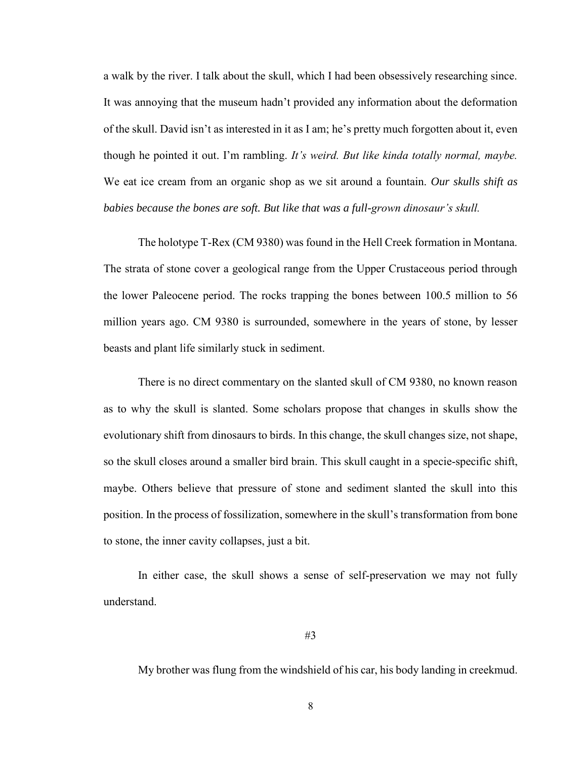a walk by the river. I talk about the skull, which I had been obsessively researching since. It was annoying that the museum hadn't provided any information about the deformation of the skull. David isn't as interested in it as I am; he's pretty much forgotten about it, even though he pointed it out. I'm rambling. *It's weird. But like kinda totally normal, maybe.*  We eat ice cream from an organic shop as we sit around a fountain. *Our skulls shift as babies because the bones are soft. But like that was a full-grown dinosaur's skull.*

The holotype T-Rex (CM 9380) was found in the Hell Creek formation in Montana. The strata of stone cover a geological range from the Upper Crustaceous period through the lower Paleocene period. The rocks trapping the bones between 100.5 million to 56 million years ago. CM 9380 is surrounded, somewhere in the years of stone, by lesser beasts and plant life similarly stuck in sediment.

There is no direct commentary on the slanted skull of CM 9380, no known reason as to why the skull is slanted. Some scholars propose that changes in skulls show the evolutionary shift from dinosaurs to birds. In this change, the skull changes size, not shape, so the skull closes around a smaller bird brain. This skull caught in a specie-specific shift, maybe. Others believe that pressure of stone and sediment slanted the skull into this position. In the process of fossilization, somewhere in the skull's transformation from bone to stone, the inner cavity collapses, just a bit.

In either case, the skull shows a sense of self-preservation we may not fully understand.

My brother was flung from the windshield of his car, his body landing in creekmud.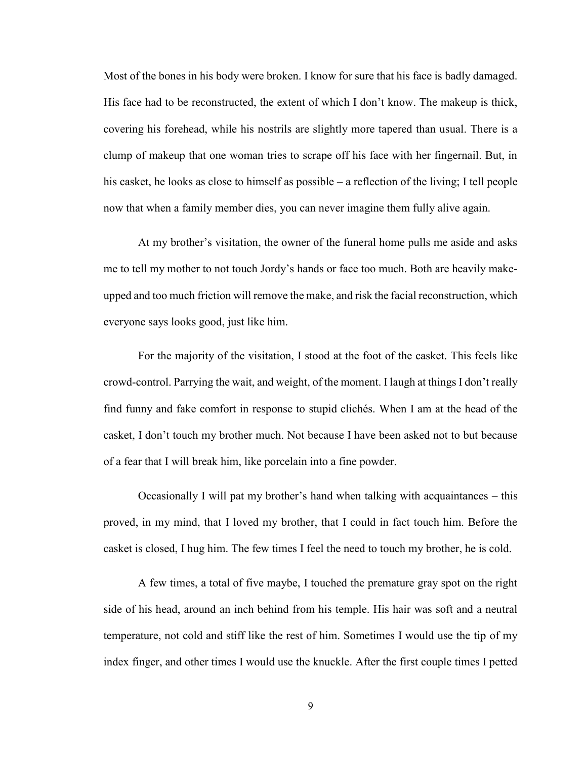Most of the bones in his body were broken. I know for sure that his face is badly damaged. His face had to be reconstructed, the extent of which I don't know. The makeup is thick, covering his forehead, while his nostrils are slightly more tapered than usual. There is a clump of makeup that one woman tries to scrape off his face with her fingernail. But, in his casket, he looks as close to himself as possible – a reflection of the living; I tell people now that when a family member dies, you can never imagine them fully alive again.

At my brother's visitation, the owner of the funeral home pulls me aside and asks me to tell my mother to not touch Jordy's hands or face too much. Both are heavily makeupped and too much friction will remove the make, and risk the facial reconstruction, which everyone says looks good, just like him.

For the majority of the visitation, I stood at the foot of the casket. This feels like crowd-control. Parrying the wait, and weight, of the moment. I laugh at things I don't really find funny and fake comfort in response to stupid clichés. When I am at the head of the casket, I don't touch my brother much. Not because I have been asked not to but because of a fear that I will break him, like porcelain into a fine powder.

Occasionally I will pat my brother's hand when talking with acquaintances – this proved, in my mind, that I loved my brother, that I could in fact touch him. Before the casket is closed, I hug him. The few times I feel the need to touch my brother, he is cold.

A few times, a total of five maybe, I touched the premature gray spot on the right side of his head, around an inch behind from his temple. His hair was soft and a neutral temperature, not cold and stiff like the rest of him. Sometimes I would use the tip of my index finger, and other times I would use the knuckle. After the first couple times I petted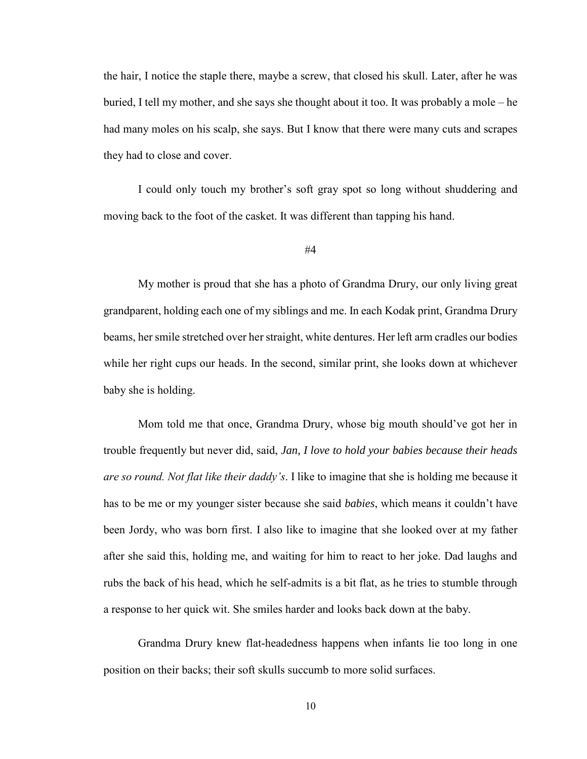the hair, I notice the staple there, maybe a screw, that closed his skull. Later, after he was buried, I tell my mother, and she says she thought about it too. It was probably a mole – he had many moles on his scalp, she says. But I know that there were many cuts and scrapes they had to close and cover.

I could only touch my brother's soft gray spot so long without shuddering and moving back to the foot of the casket. It was different than tapping his hand.

My mother is proud that she has a photo of Grandma Drury, our only living great grandparent, holding each one of my siblings and me. In each Kodak print, Grandma Drury beams, her smile stretched over her straight, white dentures. Her left arm cradles our bodies while her right cups our heads. In the second, similar print, she looks down at whichever baby she is holding.

Mom told me that once, Grandma Drury, whose big mouth should've got her in trouble frequently but never did, said, *Jan, I love to hold your babies because their heads are so round. Not flat like their daddy's*. I like to imagine that she is holding me because it has to be me or my younger sister because she said *babies*, which means it couldn't have been Jordy, who was born first. I also like to imagine that she looked over at my father after she said this, holding me, and waiting for him to react to her joke. Dad laughs and rubs the back of his head, which he self-admits is a bit flat, as he tries to stumble through a response to her quick wit. She smiles harder and looks back down at the baby.

Grandma Drury knew flat-headedness happens when infants lie too long in one position on their backs; their soft skulls succumb to more solid surfaces.

<sup>#4</sup>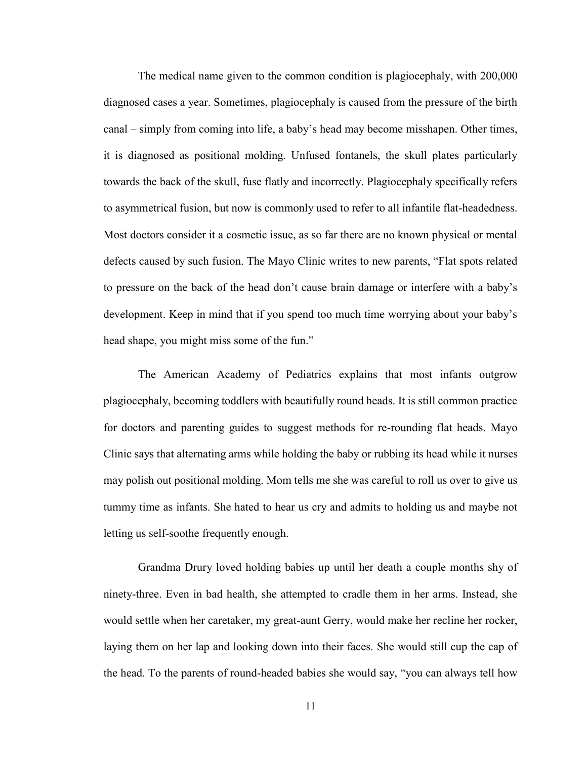The medical name given to the common condition is plagiocephaly, with 200,000 diagnosed cases a year. Sometimes, plagiocephaly is caused from the pressure of the birth canal – simply from coming into life, a baby's head may become misshapen. Other times, it is diagnosed as positional molding. Unfused fontanels, the skull plates particularly towards the back of the skull, fuse flatly and incorrectly. Plagiocephaly specifically refers to asymmetrical fusion, but now is commonly used to refer to all infantile flat-headedness. Most doctors consider it a cosmetic issue, as so far there are no known physical or mental defects caused by such fusion. The Mayo Clinic writes to new parents, "Flat spots related to pressure on the back of the head don't cause brain damage or interfere with a baby's development. Keep in mind that if you spend too much time worrying about your baby's head shape, you might miss some of the fun."

The American Academy of Pediatrics explains that most infants outgrow plagiocephaly, becoming toddlers with beautifully round heads. It is still common practice for doctors and parenting guides to suggest methods for re-rounding flat heads. Mayo Clinic says that alternating arms while holding the baby or rubbing its head while it nurses may polish out positional molding. Mom tells me she was careful to roll us over to give us tummy time as infants. She hated to hear us cry and admits to holding us and maybe not letting us self-soothe frequently enough.

Grandma Drury loved holding babies up until her death a couple months shy of ninety-three. Even in bad health, she attempted to cradle them in her arms. Instead, she would settle when her caretaker, my great-aunt Gerry, would make her recline her rocker, laying them on her lap and looking down into their faces. She would still cup the cap of the head. To the parents of round-headed babies she would say, "you can always tell how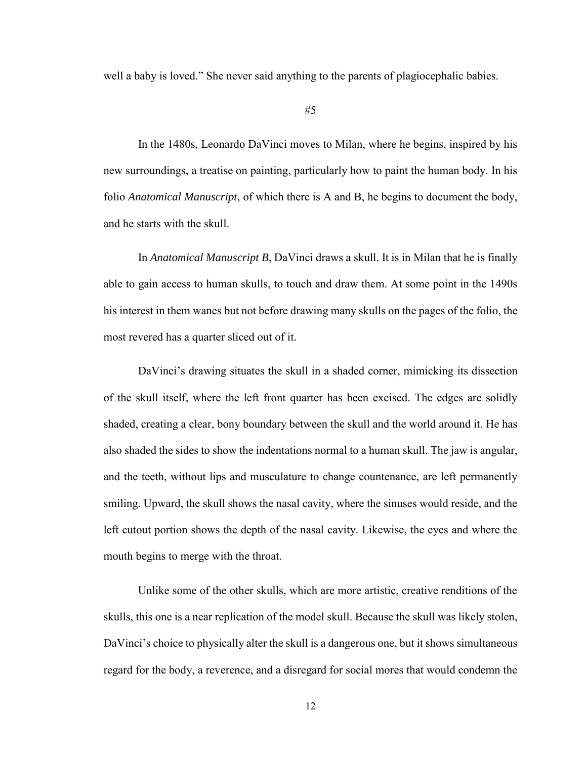well a baby is loved." She never said anything to the parents of plagiocephalic babies.

In the 1480s, Leonardo DaVinci moves to Milan, where he begins, inspired by his new surroundings, a treatise on painting, particularly how to paint the human body. In his folio *Anatomical Manuscript*, of which there is A and B, he begins to document the body, and he starts with the skull.

In *Anatomical Manuscript B*, DaVinci draws a skull. It is in Milan that he is finally able to gain access to human skulls, to touch and draw them. At some point in the 1490s his interest in them wanes but not before drawing many skulls on the pages of the folio, the most revered has a quarter sliced out of it.

DaVinci's drawing situates the skull in a shaded corner, mimicking its dissection of the skull itself, where the left front quarter has been excised. The edges are solidly shaded, creating a clear, bony boundary between the skull and the world around it. He has also shaded the sides to show the indentations normal to a human skull. The jaw is angular, and the teeth, without lips and musculature to change countenance, are left permanently smiling. Upward, the skull shows the nasal cavity, where the sinuses would reside, and the left cutout portion shows the depth of the nasal cavity. Likewise, the eyes and where the mouth begins to merge with the throat.

Unlike some of the other skulls, which are more artistic, creative renditions of the skulls, this one is a near replication of the model skull. Because the skull was likely stolen, DaVinci's choice to physically alter the skull is a dangerous one, but it shows simultaneous regard for the body, a reverence, and a disregard for social mores that would condemn the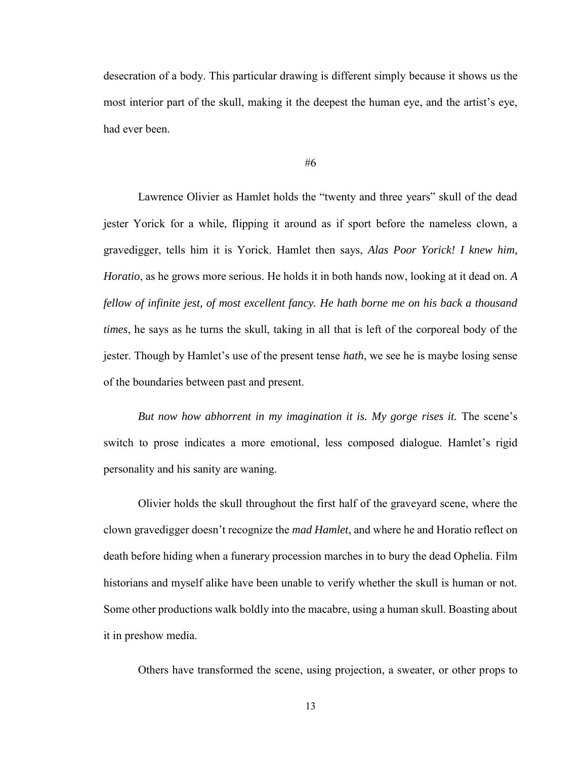desecration of a body. This particular drawing is different simply because it shows us the most interior part of the skull, making it the deepest the human eye, and the artist's eye, had ever been.

#6

Lawrence Olivier as Hamlet holds the "twenty and three years" skull of the dead jester Yorick for a while, flipping it around as if sport before the nameless clown, a gravedigger, tells him it is Yorick. Hamlet then says, *Alas Poor Yorick! I knew him, Horatio*, as he grows more serious. He holds it in both hands now, looking at it dead on. *A fellow of infinite jest, of most excellent fancy. He hath borne me on his back a thousand times*, he says as he turns the skull, taking in all that is left of the corporeal body of the jester. Though by Hamlet's use of the present tense *hath*, we see he is maybe losing sense of the boundaries between past and present.

*But now how abhorrent in my imagination it is. My gorge rises it.* The scene's switch to prose indicates a more emotional, less composed dialogue. Hamlet's rigid personality and his sanity are waning.

Olivier holds the skull throughout the first half of the graveyard scene, where the clown gravedigger doesn't recognize the *mad Hamlet*, and where he and Horatio reflect on death before hiding when a funerary procession marches in to bury the dead Ophelia. Film historians and myself alike have been unable to verify whether the skull is human or not. Some other productions walk boldly into the macabre, using a human skull. Boasting about it in preshow media.

Others have transformed the scene, using projection, a sweater, or other props to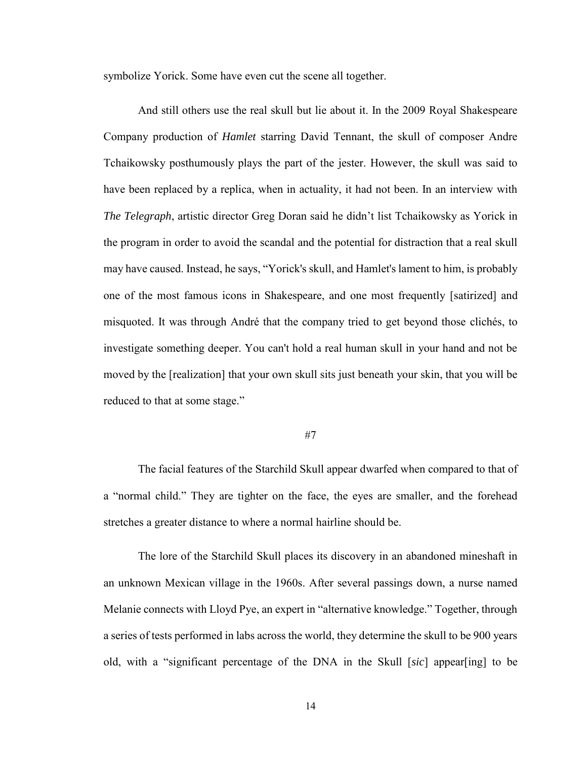symbolize Yorick. Some have even cut the scene all together.

And still others use the real skull but lie about it. In the 2009 Royal Shakespeare Company production of *Hamlet* starring David Tennant, the skull of composer Andre Tchaikowsky posthumously plays the part of the jester. However, the skull was said to have been replaced by a replica, when in actuality, it had not been. In an interview with *The Telegraph*, artistic director Greg Doran said he didn't list Tchaikowsky as Yorick in the program in order to avoid the scandal and the potential for distraction that a real skull may have caused. Instead, he says, "Yorick's skull, and Hamlet's lament to him, is probably one of the most famous icons in Shakespeare, and one most frequently [satirized] and misquoted. It was through André that the company tried to get beyond those clichés, to investigate something deeper. You can't hold a real human skull in your hand and not be moved by the [realization] that your own skull sits just beneath your skin, that you will be reduced to that at some stage."

#### #7

The facial features of the Starchild Skull appear dwarfed when compared to that of a "normal child." They are tighter on the face, the eyes are smaller, and the forehead stretches a greater distance to where a normal hairline should be.

The lore of the Starchild Skull places its discovery in an abandoned mineshaft in an unknown Mexican village in the 1960s. After several passings down, a nurse named Melanie connects with Lloyd Pye, an expert in "alternative knowledge." Together, through a series of tests performed in labs across the world, they determine the skull to be 900 years old, with a "significant percentage of the DNA in the Skull [*sic*] appear[ing] to be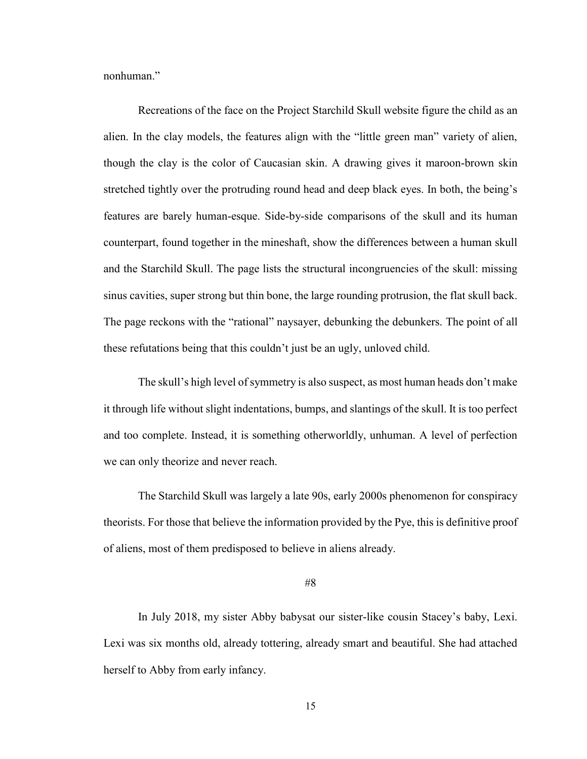nonhuman."

Recreations of the face on the Project Starchild Skull website figure the child as an alien. In the clay models, the features align with the "little green man" variety of alien, though the clay is the color of Caucasian skin. A drawing gives it maroon-brown skin stretched tightly over the protruding round head and deep black eyes. In both, the being's features are barely human-esque. Side-by-side comparisons of the skull and its human counterpart, found together in the mineshaft, show the differences between a human skull and the Starchild Skull. The page lists the structural incongruencies of the skull: missing sinus cavities, super strong but thin bone, the large rounding protrusion, the flat skull back. The page reckons with the "rational" naysayer, debunking the debunkers. The point of all these refutations being that this couldn't just be an ugly, unloved child.

The skull's high level of symmetry is also suspect, as most human heads don't make it through life without slight indentations, bumps, and slantings of the skull. It is too perfect and too complete. Instead, it is something otherworldly, unhuman. A level of perfection we can only theorize and never reach.

The Starchild Skull was largely a late 90s, early 2000s phenomenon for conspiracy theorists. For those that believe the information provided by the Pye, this is definitive proof of aliens, most of them predisposed to believe in aliens already.

#### #8

In July 2018, my sister Abby babysat our sister-like cousin Stacey's baby, Lexi. Lexi was six months old, already tottering, already smart and beautiful. She had attached herself to Abby from early infancy.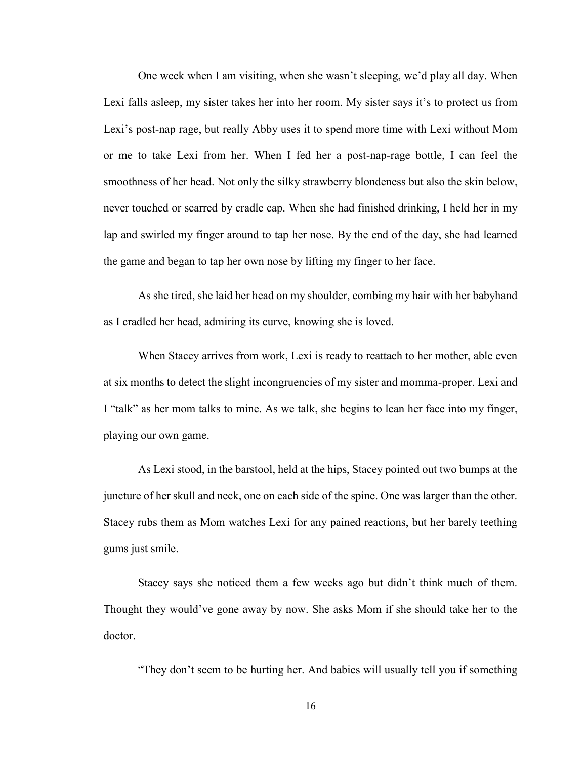One week when I am visiting, when she wasn't sleeping, we'd play all day. When Lexi falls asleep, my sister takes her into her room. My sister says it's to protect us from Lexi's post-nap rage, but really Abby uses it to spend more time with Lexi without Mom or me to take Lexi from her. When I fed her a post-nap-rage bottle, I can feel the smoothness of her head. Not only the silky strawberry blondeness but also the skin below, never touched or scarred by cradle cap. When she had finished drinking, I held her in my lap and swirled my finger around to tap her nose. By the end of the day, she had learned the game and began to tap her own nose by lifting my finger to her face.

As she tired, she laid her head on my shoulder, combing my hair with her babyhand as I cradled her head, admiring its curve, knowing she is loved.

When Stacey arrives from work, Lexi is ready to reattach to her mother, able even at six months to detect the slight incongruencies of my sister and momma-proper. Lexi and I "talk" as her mom talks to mine. As we talk, she begins to lean her face into my finger, playing our own game.

As Lexi stood, in the barstool, held at the hips, Stacey pointed out two bumps at the juncture of her skull and neck, one on each side of the spine. One was larger than the other. Stacey rubs them as Mom watches Lexi for any pained reactions, but her barely teething gums just smile.

Stacey says she noticed them a few weeks ago but didn't think much of them. Thought they would've gone away by now. She asks Mom if she should take her to the doctor.

"They don't seem to be hurting her. And babies will usually tell you if something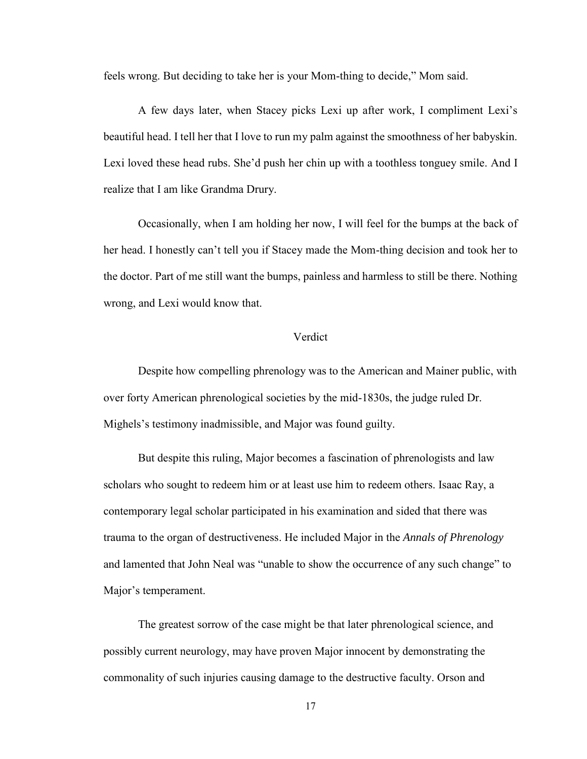feels wrong. But deciding to take her is your Mom-thing to decide," Mom said.

A few days later, when Stacey picks Lexi up after work, I compliment Lexi's beautiful head. I tell her that I love to run my palm against the smoothness of her babyskin. Lexi loved these head rubs. She'd push her chin up with a toothless tonguey smile. And I realize that I am like Grandma Drury.

Occasionally, when I am holding her now, I will feel for the bumps at the back of her head. I honestly can't tell you if Stacey made the Mom-thing decision and took her to the doctor. Part of me still want the bumps, painless and harmless to still be there. Nothing wrong, and Lexi would know that.

## Verdict

Despite how compelling phrenology was to the American and Mainer public, with over forty American phrenological societies by the mid-1830s, the judge ruled Dr. Mighels's testimony inadmissible, and Major was found guilty.

But despite this ruling, Major becomes a fascination of phrenologists and law scholars who sought to redeem him or at least use him to redeem others. Isaac Ray, a contemporary legal scholar participated in his examination and sided that there was trauma to the organ of destructiveness. He included Major in the *Annals of Phrenology* and lamented that John Neal was "unable to show the occurrence of any such change" to Major's temperament.

The greatest sorrow of the case might be that later phrenological science, and possibly current neurology, may have proven Major innocent by demonstrating the commonality of such injuries causing damage to the destructive faculty. Orson and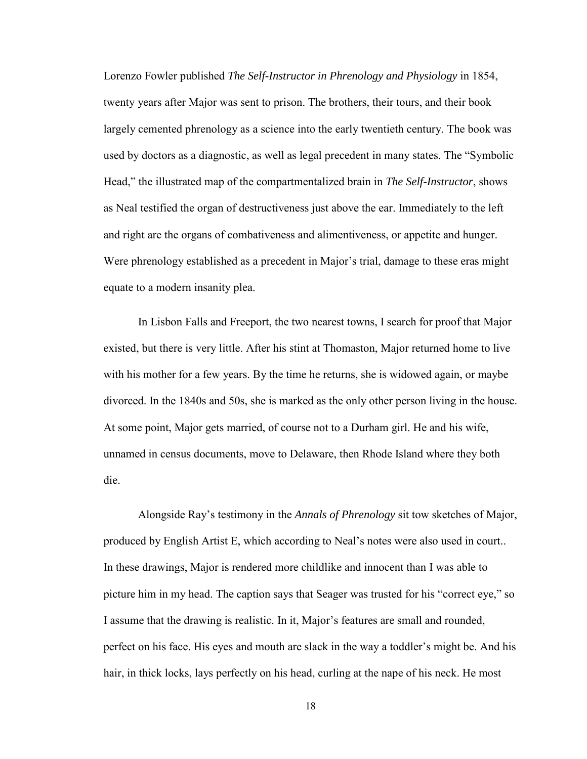Lorenzo Fowler published *The Self-Instructor in Phrenology and Physiology* in 1854, twenty years after Major was sent to prison. The brothers, their tours, and their book largely cemented phrenology as a science into the early twentieth century. The book was used by doctors as a diagnostic, as well as legal precedent in many states. The "Symbolic Head," the illustrated map of the compartmentalized brain in *The Self-Instructor*, shows as Neal testified the organ of destructiveness just above the ear. Immediately to the left and right are the organs of combativeness and alimentiveness, or appetite and hunger. Were phrenology established as a precedent in Major's trial, damage to these eras might equate to a modern insanity plea.

In Lisbon Falls and Freeport, the two nearest towns, I search for proof that Major existed, but there is very little. After his stint at Thomaston, Major returned home to live with his mother for a few years. By the time he returns, she is widowed again, or maybe divorced. In the 1840s and 50s, she is marked as the only other person living in the house. At some point, Major gets married, of course not to a Durham girl. He and his wife, unnamed in census documents, move to Delaware, then Rhode Island where they both die.

Alongside Ray's testimony in the *Annals of Phrenology* sit tow sketches of Major, produced by English Artist E, which according to Neal's notes were also used in court.. In these drawings, Major is rendered more childlike and innocent than I was able to picture him in my head. The caption says that Seager was trusted for his "correct eye," so I assume that the drawing is realistic. In it, Major's features are small and rounded, perfect on his face. His eyes and mouth are slack in the way a toddler's might be. And his hair, in thick locks, lays perfectly on his head, curling at the nape of his neck. He most

18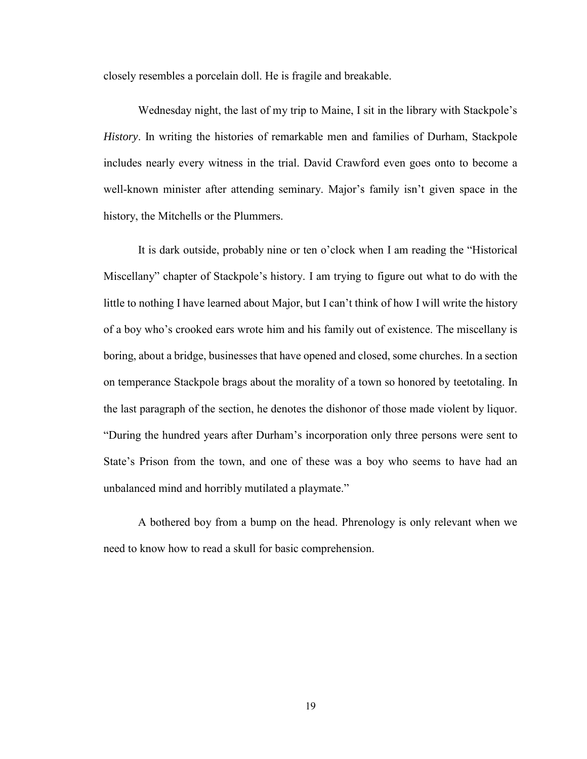closely resembles a porcelain doll. He is fragile and breakable.

Wednesday night, the last of my trip to Maine, I sit in the library with Stackpole's *History*. In writing the histories of remarkable men and families of Durham, Stackpole includes nearly every witness in the trial. David Crawford even goes onto to become a well-known minister after attending seminary. Major's family isn't given space in the history, the Mitchells or the Plummers.

It is dark outside, probably nine or ten o'clock when I am reading the "Historical Miscellany" chapter of Stackpole's history. I am trying to figure out what to do with the little to nothing I have learned about Major, but I can't think of how I will write the history of a boy who's crooked ears wrote him and his family out of existence. The miscellany is boring, about a bridge, businesses that have opened and closed, some churches. In a section on temperance Stackpole brags about the morality of a town so honored by teetotaling. In the last paragraph of the section, he denotes the dishonor of those made violent by liquor. "During the hundred years after Durham's incorporation only three persons were sent to State's Prison from the town, and one of these was a boy who seems to have had an unbalanced mind and horribly mutilated a playmate."

A bothered boy from a bump on the head. Phrenology is only relevant when we need to know how to read a skull for basic comprehension.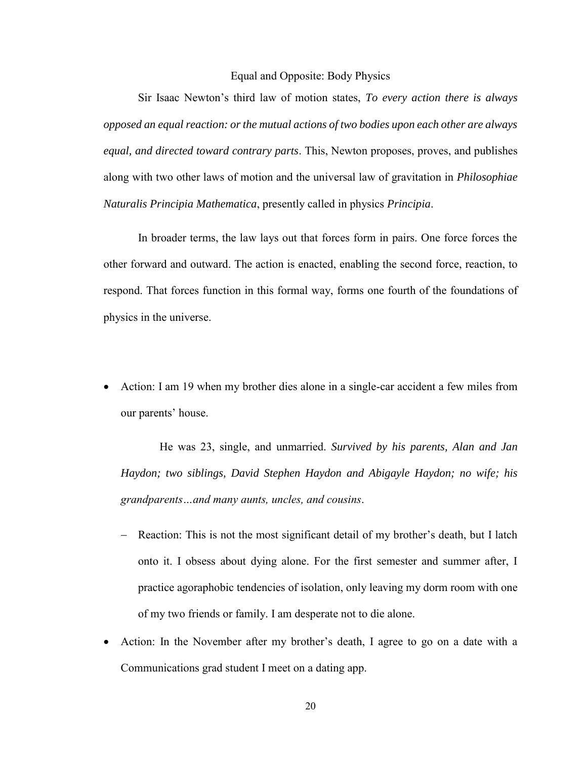## Equal and Opposite: Body Physics

Sir Isaac Newton's third law of motion states, *To every action there is always opposed an equal reaction: or the mutual actions of two bodies upon each other are always equal, and directed toward contrary parts*. This, Newton proposes, proves, and publishes along with two other laws of motion and the universal law of gravitation in *Philosophiae Naturalis Principia Mathematica*, presently called in physics *Principia*.

In broader terms, the law lays out that forces form in pairs. One force forces the other forward and outward. The action is enacted, enabling the second force, reaction, to respond. That forces function in this formal way, forms one fourth of the foundations of physics in the universe.

• Action: I am 19 when my brother dies alone in a single-car accident a few miles from our parents' house.

He was 23, single, and unmarried. *Survived by his parents, Alan and Jan Haydon; two siblings, David Stephen Haydon and Abigayle Haydon; no wife; his grandparents…and many aunts, uncles, and cousins*.

- Reaction: This is not the most significant detail of my brother's death, but I latch onto it. I obsess about dying alone. For the first semester and summer after, I practice agoraphobic tendencies of isolation, only leaving my dorm room with one of my two friends or family. I am desperate not to die alone.
- Action: In the November after my brother's death, I agree to go on a date with a Communications grad student I meet on a dating app.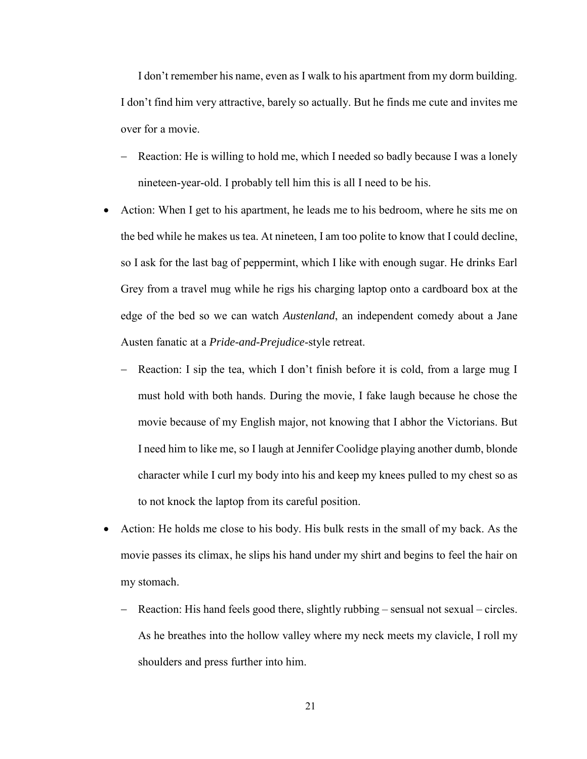I don't remember his name, even as I walk to his apartment from my dorm building. I don't find him very attractive, barely so actually. But he finds me cute and invites me over for a movie.

- Reaction: He is willing to hold me, which I needed so badly because I was a lonely nineteen-year-old. I probably tell him this is all I need to be his.
- Action: When I get to his apartment, he leads me to his bedroom, where he sits me on the bed while he makes us tea. At nineteen, I am too polite to know that I could decline, so I ask for the last bag of peppermint, which I like with enough sugar. He drinks Earl Grey from a travel mug while he rigs his charging laptop onto a cardboard box at the edge of the bed so we can watch *Austenland*, an independent comedy about a Jane Austen fanatic at a *Pride-and-Prejudice*-style retreat.
	- − Reaction: I sip the tea, which I don't finish before it is cold, from a large mug I must hold with both hands. During the movie, I fake laugh because he chose the movie because of my English major, not knowing that I abhor the Victorians. But I need him to like me, so I laugh at Jennifer Coolidge playing another dumb, blonde character while I curl my body into his and keep my knees pulled to my chest so as to not knock the laptop from its careful position.
- Action: He holds me close to his body. His bulk rests in the small of my back. As the movie passes its climax, he slips his hand under my shirt and begins to feel the hair on my stomach.
	- Reaction: His hand feels good there, slightly rubbing sensual not sexual circles. As he breathes into the hollow valley where my neck meets my clavicle, I roll my shoulders and press further into him.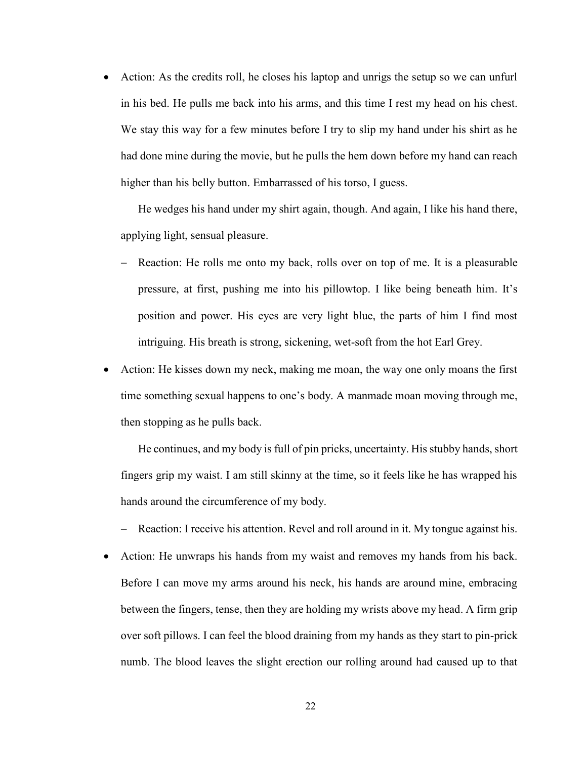• Action: As the credits roll, he closes his laptop and unrigs the setup so we can unfurl in his bed. He pulls me back into his arms, and this time I rest my head on his chest. We stay this way for a few minutes before I try to slip my hand under his shirt as he had done mine during the movie, but he pulls the hem down before my hand can reach higher than his belly button. Embarrassed of his torso, I guess.

He wedges his hand under my shirt again, though. And again, I like his hand there, applying light, sensual pleasure.

- Reaction: He rolls me onto my back, rolls over on top of me. It is a pleasurable pressure, at first, pushing me into his pillowtop. I like being beneath him. It's position and power. His eyes are very light blue, the parts of him I find most intriguing. His breath is strong, sickening, wet-soft from the hot Earl Grey.
- Action: He kisses down my neck, making me moan, the way one only moans the first time something sexual happens to one's body. A manmade moan moving through me, then stopping as he pulls back.

He continues, and my body is full of pin pricks, uncertainty. His stubby hands, short fingers grip my waist. I am still skinny at the time, so it feels like he has wrapped his hands around the circumference of my body.

- − Reaction: I receive his attention. Revel and roll around in it. My tongue against his.
- Action: He unwraps his hands from my waist and removes my hands from his back. Before I can move my arms around his neck, his hands are around mine, embracing between the fingers, tense, then they are holding my wrists above my head. A firm grip over soft pillows. I can feel the blood draining from my hands as they start to pin-prick numb. The blood leaves the slight erection our rolling around had caused up to that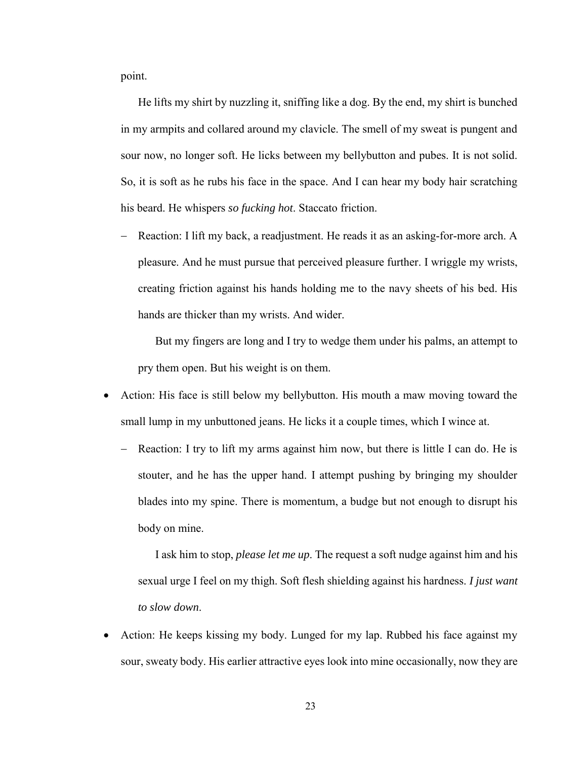point.

He lifts my shirt by nuzzling it, sniffing like a dog. By the end, my shirt is bunched in my armpits and collared around my clavicle. The smell of my sweat is pungent and sour now, no longer soft. He licks between my bellybutton and pubes. It is not solid. So, it is soft as he rubs his face in the space. And I can hear my body hair scratching his beard. He whispers *so fucking hot*. Staccato friction.

− Reaction: I lift my back, a readjustment. He reads it as an asking-for-more arch. A pleasure. And he must pursue that perceived pleasure further. I wriggle my wrists, creating friction against his hands holding me to the navy sheets of his bed. His hands are thicker than my wrists. And wider.

But my fingers are long and I try to wedge them under his palms, an attempt to pry them open. But his weight is on them.

- Action: His face is still below my bellybutton. His mouth a maw moving toward the small lump in my unbuttoned jeans. He licks it a couple times, which I wince at.
	- − Reaction: I try to lift my arms against him now, but there is little I can do. He is stouter, and he has the upper hand. I attempt pushing by bringing my shoulder blades into my spine. There is momentum, a budge but not enough to disrupt his body on mine.

I ask him to stop, *please let me up*. The request a soft nudge against him and his sexual urge I feel on my thigh. Soft flesh shielding against his hardness. *I just want to slow down*.

• Action: He keeps kissing my body. Lunged for my lap. Rubbed his face against my sour, sweaty body. His earlier attractive eyes look into mine occasionally, now they are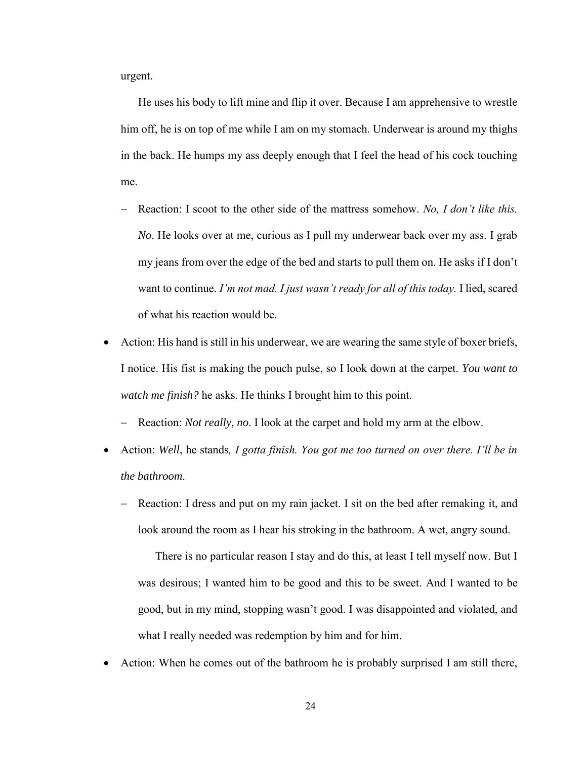urgent.

He uses his body to lift mine and flip it over. Because I am apprehensive to wrestle him off, he is on top of me while I am on my stomach. Underwear is around my thighs in the back. He humps my ass deeply enough that I feel the head of his cock touching me.

- − Reaction: I scoot to the other side of the mattress somehow. *No, I don't like this. No*. He looks over at me, curious as I pull my underwear back over my ass. I grab my jeans from over the edge of the bed and starts to pull them on. He asks if I don't want to continue. *I'm not mad. I just wasn't ready for all of this today.* I lied, scared of what his reaction would be.
- Action: His hand is still in his underwear, we are wearing the same style of boxer briefs, I notice. His fist is making the pouch pulse, so I look down at the carpet. *You want to watch me finish?* he asks. He thinks I brought him to this point.
	- − Reaction: *Not really, no*. I look at the carpet and hold my arm at the elbow.
- Action: *Well*, he stands*, I gotta finish. You got me too turned on over there. I'll be in the bathroom*.
	- Reaction: I dress and put on my rain jacket. I sit on the bed after remaking it, and look around the room as I hear his stroking in the bathroom. A wet, angry sound.

There is no particular reason I stay and do this, at least I tell myself now. But I was desirous; I wanted him to be good and this to be sweet. And I wanted to be good, but in my mind, stopping wasn't good. I was disappointed and violated, and what I really needed was redemption by him and for him.

• Action: When he comes out of the bathroom he is probably surprised I am still there,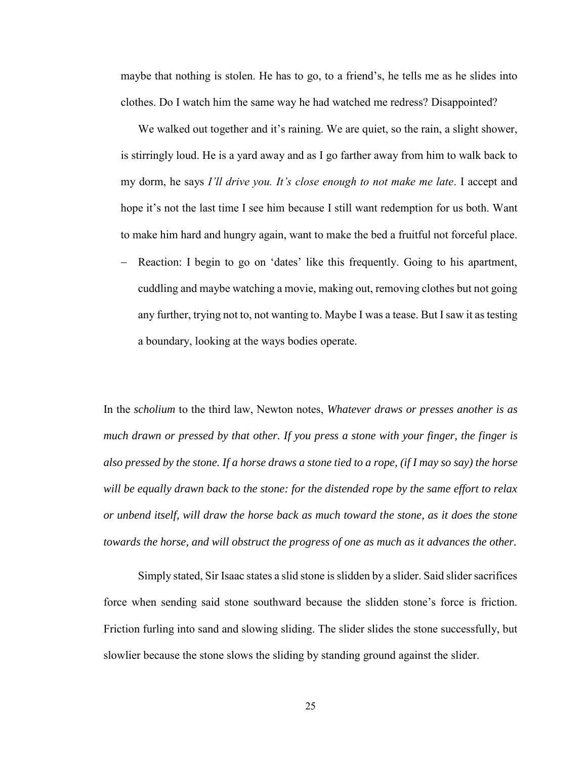maybe that nothing is stolen. He has to go, to a friend's, he tells me as he slides into clothes. Do I watch him the same way he had watched me redress? Disappointed?

We walked out together and it's raining. We are quiet, so the rain, a slight shower, is stirringly loud. He is a yard away and as I go farther away from him to walk back to my dorm, he says *I'll drive you. It's close enough to not make me late*. I accept and hope it's not the last time I see him because I still want redemption for us both. Want to make him hard and hungry again, want to make the bed a fruitful not forceful place.

Reaction: I begin to go on 'dates' like this frequently. Going to his apartment, cuddling and maybe watching a movie, making out, removing clothes but not going any further, trying not to, not wanting to. Maybe I was a tease. But I saw it as testing a boundary, looking at the ways bodies operate.

In the *scholium* to the third law, Newton notes, *Whatever draws or presses another is as much drawn or pressed by that other. If you press a stone with your finger, the finger is also pressed by the stone. If a horse draws a stone tied to a rope, (if I may so say) the horse will be equally drawn back to the stone: for the distended rope by the same effort to relax or unbend itself, will draw the horse back as much toward the stone, as it does the stone towards the horse, and will obstruct the progress of one as much as it advances the other.*

Simply stated, Sir Isaac states a slid stone is slidden by a slider. Said slider sacrifices force when sending said stone southward because the slidden stone's force is friction. Friction furling into sand and slowing sliding. The slider slides the stone successfully, but slowlier because the stone slows the sliding by standing ground against the slider.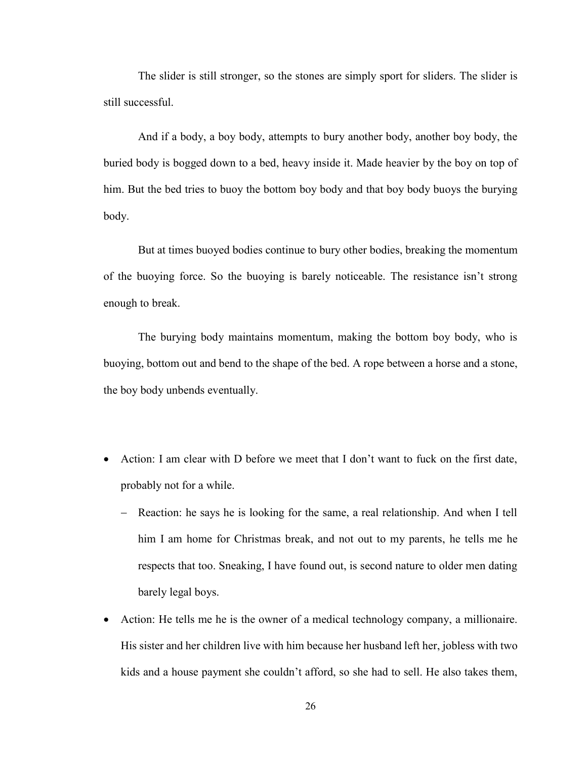The slider is still stronger, so the stones are simply sport for sliders. The slider is still successful.

And if a body, a boy body, attempts to bury another body, another boy body, the buried body is bogged down to a bed, heavy inside it. Made heavier by the boy on top of him. But the bed tries to buoy the bottom boy body and that boy body buoys the burying body.

But at times buoyed bodies continue to bury other bodies, breaking the momentum of the buoying force. So the buoying is barely noticeable. The resistance isn't strong enough to break.

The burying body maintains momentum, making the bottom boy body, who is buoying, bottom out and bend to the shape of the bed. A rope between a horse and a stone, the boy body unbends eventually.

- Action: I am clear with D before we meet that I don't want to fuck on the first date, probably not for a while.
	- − Reaction: he says he is looking for the same, a real relationship. And when I tell him I am home for Christmas break, and not out to my parents, he tells me he respects that too. Sneaking, I have found out, is second nature to older men dating barely legal boys.
- Action: He tells me he is the owner of a medical technology company, a millionaire. His sister and her children live with him because her husband left her, jobless with two kids and a house payment she couldn't afford, so she had to sell. He also takes them,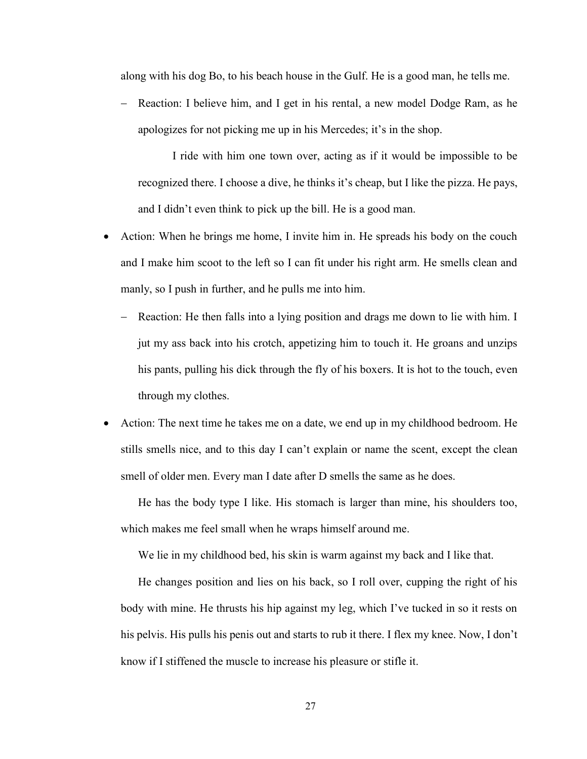along with his dog Bo, to his beach house in the Gulf. He is a good man, he tells me.

Reaction: I believe him, and I get in his rental, a new model Dodge Ram, as he apologizes for not picking me up in his Mercedes; it's in the shop.

I ride with him one town over, acting as if it would be impossible to be recognized there. I choose a dive, he thinks it's cheap, but I like the pizza. He pays, and I didn't even think to pick up the bill. He is a good man.

- Action: When he brings me home, I invite him in. He spreads his body on the couch and I make him scoot to the left so I can fit under his right arm. He smells clean and manly, so I push in further, and he pulls me into him.
	- − Reaction: He then falls into a lying position and drags me down to lie with him. I jut my ass back into his crotch, appetizing him to touch it. He groans and unzips his pants, pulling his dick through the fly of his boxers. It is hot to the touch, even through my clothes.
- Action: The next time he takes me on a date, we end up in my childhood bedroom. He stills smells nice, and to this day I can't explain or name the scent, except the clean smell of older men. Every man I date after D smells the same as he does.

He has the body type I like. His stomach is larger than mine, his shoulders too, which makes me feel small when he wraps himself around me.

We lie in my childhood bed, his skin is warm against my back and I like that.

He changes position and lies on his back, so I roll over, cupping the right of his body with mine. He thrusts his hip against my leg, which I've tucked in so it rests on his pelvis. His pulls his penis out and starts to rub it there. I flex my knee. Now, I don't know if I stiffened the muscle to increase his pleasure or stifle it.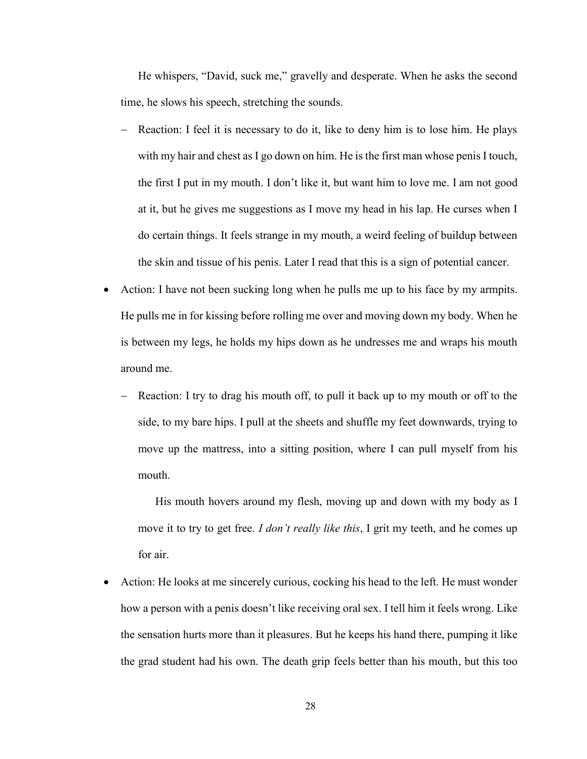He whispers, "David, suck me," gravelly and desperate. When he asks the second time, he slows his speech, stretching the sounds.

- Reaction: I feel it is necessary to do it, like to deny him is to lose him. He plays with my hair and chest as I go down on him. He is the first man whose penis I touch, the first I put in my mouth. I don't like it, but want him to love me. I am not good at it, but he gives me suggestions as I move my head in his lap. He curses when I do certain things. It feels strange in my mouth, a weird feeling of buildup between the skin and tissue of his penis. Later I read that this is a sign of potential cancer.
- Action: I have not been sucking long when he pulls me up to his face by my armpits. He pulls me in for kissing before rolling me over and moving down my body. When he is between my legs, he holds my hips down as he undresses me and wraps his mouth around me.
	- Reaction: I try to drag his mouth off, to pull it back up to my mouth or off to the side, to my bare hips. I pull at the sheets and shuffle my feet downwards, trying to move up the mattress, into a sitting position, where I can pull myself from his mouth.

His mouth hovers around my flesh, moving up and down with my body as I move it to try to get free. *I don't really like this*, I grit my teeth, and he comes up for air.

• Action: He looks at me sincerely curious, cocking his head to the left. He must wonder how a person with a penis doesn't like receiving oral sex. I tell him it feels wrong. Like the sensation hurts more than it pleasures. But he keeps his hand there, pumping it like the grad student had his own. The death grip feels better than his mouth, but this too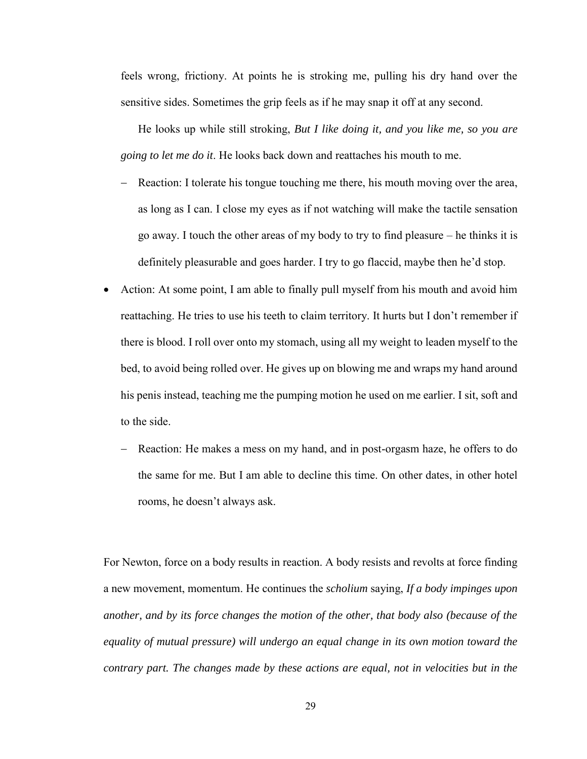feels wrong, frictiony. At points he is stroking me, pulling his dry hand over the sensitive sides. Sometimes the grip feels as if he may snap it off at any second.

He looks up while still stroking, *But I like doing it, and you like me, so you are going to let me do it*. He looks back down and reattaches his mouth to me.

- Reaction: I tolerate his tongue touching me there, his mouth moving over the area, as long as I can. I close my eyes as if not watching will make the tactile sensation go away. I touch the other areas of my body to try to find pleasure – he thinks it is definitely pleasurable and goes harder. I try to go flaccid, maybe then he'd stop.
- Action: At some point, I am able to finally pull myself from his mouth and avoid him reattaching. He tries to use his teeth to claim territory. It hurts but I don't remember if there is blood. I roll over onto my stomach, using all my weight to leaden myself to the bed, to avoid being rolled over. He gives up on blowing me and wraps my hand around his penis instead, teaching me the pumping motion he used on me earlier. I sit, soft and to the side.
	- Reaction: He makes a mess on my hand, and in post-orgasm haze, he offers to do the same for me. But I am able to decline this time. On other dates, in other hotel rooms, he doesn't always ask.

For Newton, force on a body results in reaction. A body resists and revolts at force finding a new movement, momentum. He continues the *scholium* saying, *If a body impinges upon another, and by its force changes the motion of the other, that body also (because of the equality of mutual pressure) will undergo an equal change in its own motion toward the contrary part. The changes made by these actions are equal, not in velocities but in the*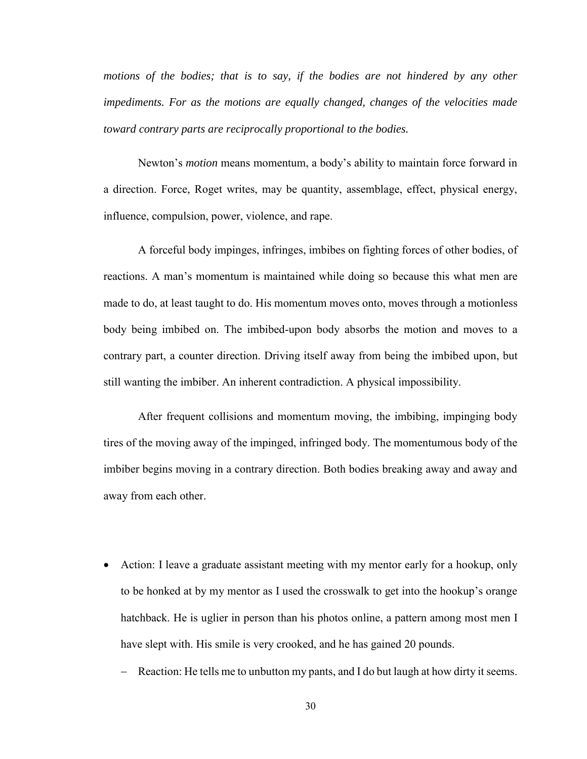*motions of the bodies; that is to say, if the bodies are not hindered by any other impediments. For as the motions are equally changed, changes of the velocities made toward contrary parts are reciprocally proportional to the bodies.*

Newton's *motion* means momentum, a body's ability to maintain force forward in a direction. Force, Roget writes, may be quantity, assemblage, effect, physical energy, influence, compulsion, power, violence, and rape.

A forceful body impinges, infringes, imbibes on fighting forces of other bodies, of reactions. A man's momentum is maintained while doing so because this what men are made to do, at least taught to do. His momentum moves onto, moves through a motionless body being imbibed on. The imbibed-upon body absorbs the motion and moves to a contrary part, a counter direction. Driving itself away from being the imbibed upon, but still wanting the imbiber. An inherent contradiction. A physical impossibility.

After frequent collisions and momentum moving, the imbibing, impinging body tires of the moving away of the impinged, infringed body. The momentumous body of the imbiber begins moving in a contrary direction. Both bodies breaking away and away and away from each other.

- Action: I leave a graduate assistant meeting with my mentor early for a hookup, only to be honked at by my mentor as I used the crosswalk to get into the hookup's orange hatchback. He is uglier in person than his photos online, a pattern among most men I have slept with. His smile is very crooked, and he has gained 20 pounds.
	- − Reaction: He tells me to unbutton my pants, and I do but laugh at how dirty it seems.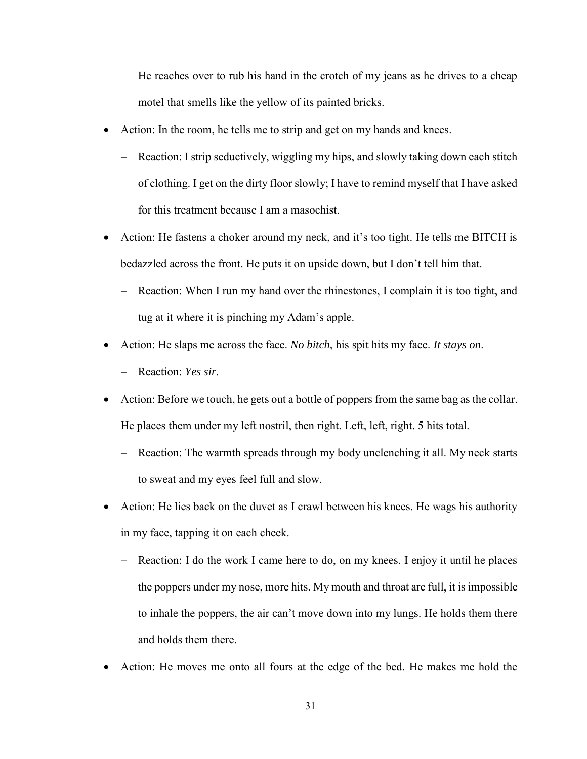He reaches over to rub his hand in the crotch of my jeans as he drives to a cheap motel that smells like the yellow of its painted bricks.

- Action: In the room, he tells me to strip and get on my hands and knees.
	- − Reaction: I strip seductively, wiggling my hips, and slowly taking down each stitch of clothing. I get on the dirty floor slowly; I have to remind myself that I have asked for this treatment because I am a masochist.
- Action: He fastens a choker around my neck, and it's too tight. He tells me BITCH is bedazzled across the front. He puts it on upside down, but I don't tell him that.
	- − Reaction: When I run my hand over the rhinestones, I complain it is too tight, and tug at it where it is pinching my Adam's apple.
- Action: He slaps me across the face. *No bitch*, his spit hits my face. *It stays on*.
	- − Reaction: *Yes sir*.
- Action: Before we touch, he gets out a bottle of poppers from the same bag as the collar. He places them under my left nostril, then right. Left, left, right. 5 hits total.
	- − Reaction: The warmth spreads through my body unclenching it all. My neck starts to sweat and my eyes feel full and slow.
- Action: He lies back on the duvet as I crawl between his knees. He wags his authority in my face, tapping it on each cheek.
	- − Reaction: I do the work I came here to do, on my knees. I enjoy it until he places the poppers under my nose, more hits. My mouth and throat are full, it is impossible to inhale the poppers, the air can't move down into my lungs. He holds them there and holds them there.
- Action: He moves me onto all fours at the edge of the bed. He makes me hold the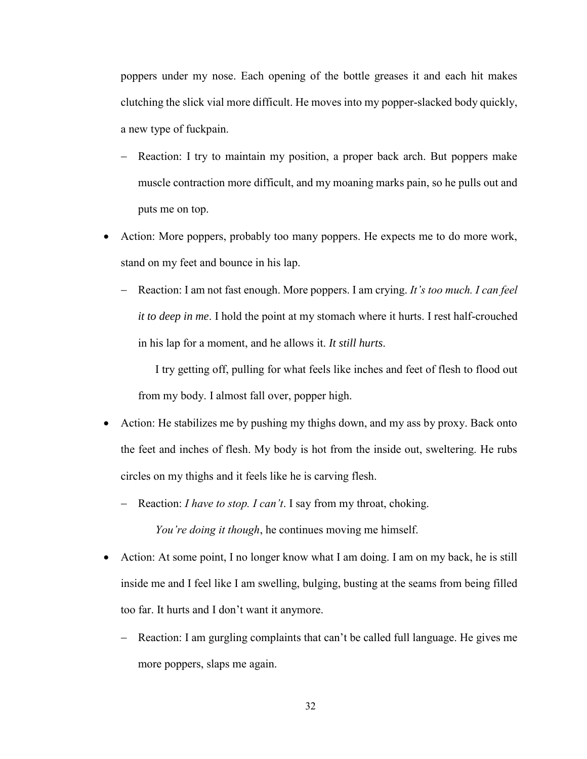poppers under my nose. Each opening of the bottle greases it and each hit makes clutching the slick vial more difficult. He moves into my popper-slacked body quickly, a new type of fuckpain.

- Reaction: I try to maintain my position, a proper back arch. But poppers make muscle contraction more difficult, and my moaning marks pain, so he pulls out and puts me on top.
- Action: More poppers, probably too many poppers. He expects me to do more work, stand on my feet and bounce in his lap.
	- − Reaction: I am not fast enough. More poppers. I am crying. *It's too much. I can feel it to deep in me*. I hold the point at my stomach where it hurts. I rest half-crouched in his lap for a moment, and he allows it. *It still hurts*.

I try getting off, pulling for what feels like inches and feet of flesh to flood out from my body. I almost fall over, popper high.

- Action: He stabilizes me by pushing my thighs down, and my ass by proxy. Back onto the feet and inches of flesh. My body is hot from the inside out, sweltering. He rubs circles on my thighs and it feels like he is carving flesh.
	- − Reaction: *I have to stop. I can't*. I say from my throat, choking. *You're doing it though*, he continues moving me himself.
- Action: At some point, I no longer know what I am doing. I am on my back, he is still inside me and I feel like I am swelling, bulging, busting at the seams from being filled too far. It hurts and I don't want it anymore.
	- Reaction: I am gurgling complaints that can't be called full language. He gives me more poppers, slaps me again.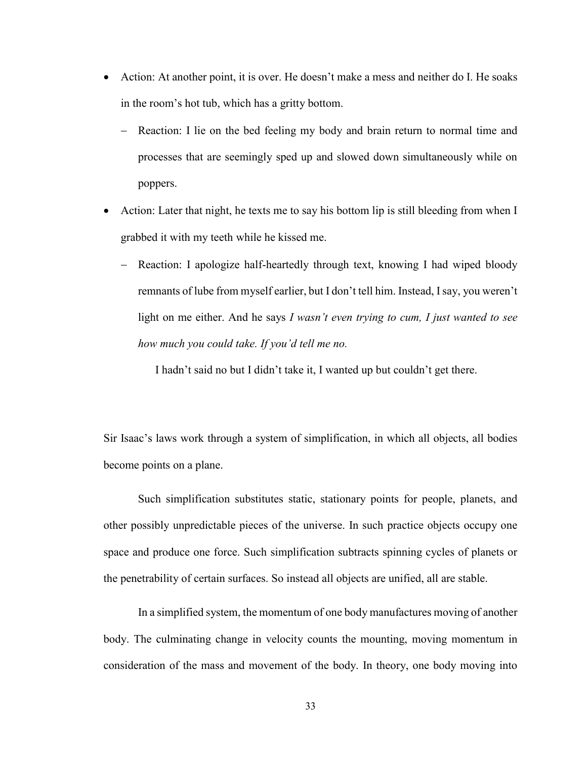- Action: At another point, it is over. He doesn't make a mess and neither do I. He soaks in the room's hot tub, which has a gritty bottom.
	- Reaction: I lie on the bed feeling my body and brain return to normal time and processes that are seemingly sped up and slowed down simultaneously while on poppers.
- Action: Later that night, he texts me to say his bottom lip is still bleeding from when I grabbed it with my teeth while he kissed me.
	- − Reaction: I apologize half-heartedly through text, knowing I had wiped bloody remnants of lube from myself earlier, but I don't tell him. Instead, I say, you weren't light on me either. And he says *I wasn't even trying to cum, I just wanted to see how much you could take. If you'd tell me no.*

I hadn't said no but I didn't take it, I wanted up but couldn't get there.

Sir Isaac's laws work through a system of simplification, in which all objects, all bodies become points on a plane.

Such simplification substitutes static, stationary points for people, planets, and other possibly unpredictable pieces of the universe. In such practice objects occupy one space and produce one force. Such simplification subtracts spinning cycles of planets or the penetrability of certain surfaces. So instead all objects are unified, all are stable.

In a simplified system, the momentum of one body manufactures moving of another body. The culminating change in velocity counts the mounting, moving momentum in consideration of the mass and movement of the body. In theory, one body moving into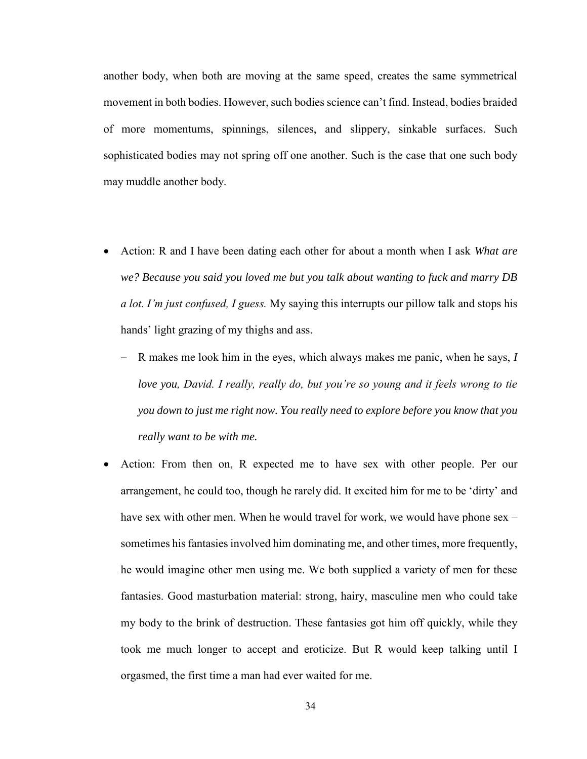another body, when both are moving at the same speed, creates the same symmetrical movement in both bodies. However, such bodies science can't find. Instead, bodies braided of more momentums, spinnings, silences, and slippery, sinkable surfaces. Such sophisticated bodies may not spring off one another. Such is the case that one such body may muddle another body.

- Action: R and I have been dating each other for about a month when I ask *What are we? Because you said you loved me but you talk about wanting to fuck and marry DB a lot. I'm just confused, I guess.* My saying this interrupts our pillow talk and stops his hands' light grazing of my thighs and ass.
	- − R makes me look him in the eyes, which always makes me panic, when he says, *I love you, David. I really, really do, but you're so young and it feels wrong to tie you down to just me right now. You really need to explore before you know that you really want to be with me.*
- Action: From then on, R expected me to have sex with other people. Per our arrangement, he could too, though he rarely did. It excited him for me to be 'dirty' and have sex with other men. When he would travel for work, we would have phone sex – sometimes his fantasies involved him dominating me, and other times, more frequently, he would imagine other men using me. We both supplied a variety of men for these fantasies. Good masturbation material: strong, hairy, masculine men who could take my body to the brink of destruction. These fantasies got him off quickly, while they took me much longer to accept and eroticize. But R would keep talking until I orgasmed, the first time a man had ever waited for me.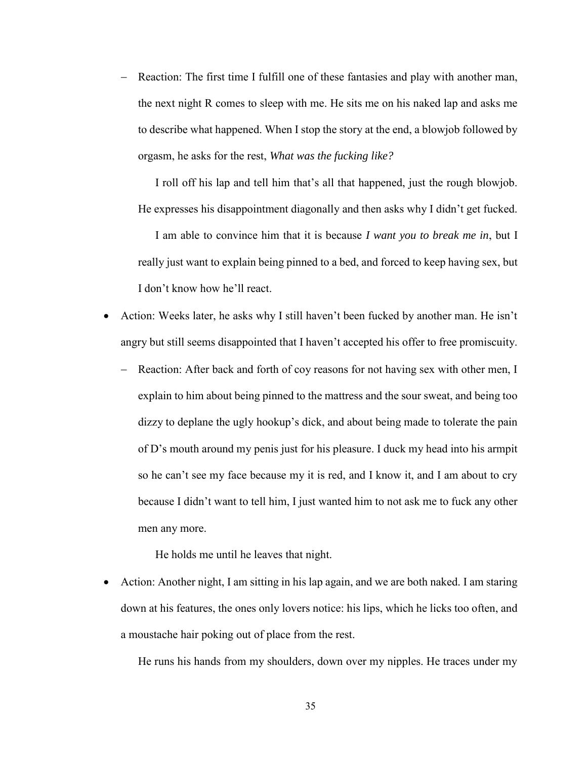− Reaction: The first time I fulfill one of these fantasies and play with another man, the next night R comes to sleep with me. He sits me on his naked lap and asks me to describe what happened. When I stop the story at the end, a blowjob followed by orgasm, he asks for the rest, *What was the fucking like?*

I roll off his lap and tell him that's all that happened, just the rough blowjob. He expresses his disappointment diagonally and then asks why I didn't get fucked.

I am able to convince him that it is because *I want you to break me in*, but I really just want to explain being pinned to a bed, and forced to keep having sex, but I don't know how he'll react.

- Action: Weeks later, he asks why I still haven't been fucked by another man. He isn't angry but still seems disappointed that I haven't accepted his offer to free promiscuity.
	- − Reaction: After back and forth of coy reasons for not having sex with other men, I explain to him about being pinned to the mattress and the sour sweat, and being too dizzy to deplane the ugly hookup's dick, and about being made to tolerate the pain of D's mouth around my penis just for his pleasure. I duck my head into his armpit so he can't see my face because my it is red, and I know it, and I am about to cry because I didn't want to tell him, I just wanted him to not ask me to fuck any other men any more.

He holds me until he leaves that night.

• Action: Another night, I am sitting in his lap again, and we are both naked. I am staring down at his features, the ones only lovers notice: his lips, which he licks too often, and a moustache hair poking out of place from the rest.

He runs his hands from my shoulders, down over my nipples. He traces under my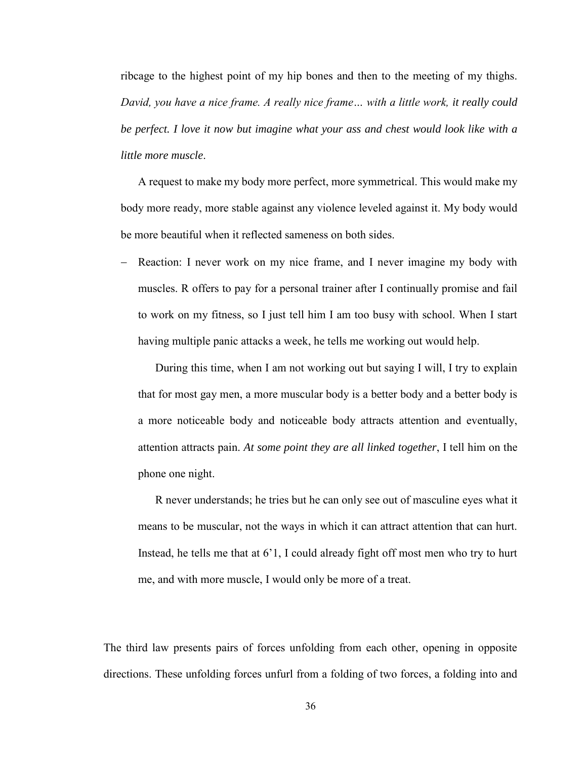ribcage to the highest point of my hip bones and then to the meeting of my thighs. *David, you have a nice frame. A really nice frame… with a little work, it really could be perfect. I love it now but imagine what your ass and chest would look like with a little more muscle*.

A request to make my body more perfect, more symmetrical. This would make my body more ready, more stable against any violence leveled against it. My body would be more beautiful when it reflected sameness on both sides.

Reaction: I never work on my nice frame, and I never imagine my body with muscles. R offers to pay for a personal trainer after I continually promise and fail to work on my fitness, so I just tell him I am too busy with school. When I start having multiple panic attacks a week, he tells me working out would help.

During this time, when I am not working out but saying I will, I try to explain that for most gay men, a more muscular body is a better body and a better body is a more noticeable body and noticeable body attracts attention and eventually, attention attracts pain. *At some point they are all linked together*, I tell him on the phone one night.

R never understands; he tries but he can only see out of masculine eyes what it means to be muscular, not the ways in which it can attract attention that can hurt. Instead, he tells me that at 6'1, I could already fight off most men who try to hurt me, and with more muscle, I would only be more of a treat.

The third law presents pairs of forces unfolding from each other, opening in opposite directions. These unfolding forces unfurl from a folding of two forces, a folding into and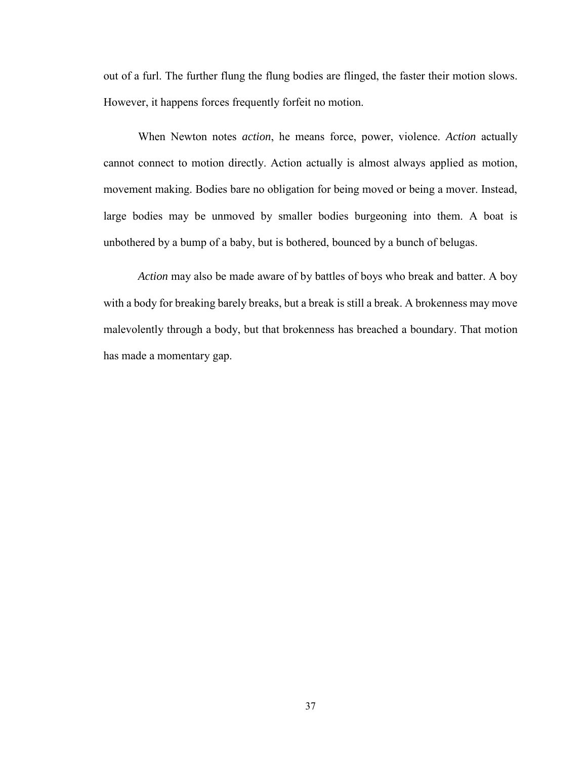out of a furl. The further flung the flung bodies are flinged, the faster their motion slows. However, it happens forces frequently forfeit no motion.

When Newton notes *action*, he means force, power, violence. *Action* actually cannot connect to motion directly. Action actually is almost always applied as motion, movement making. Bodies bare no obligation for being moved or being a mover. Instead, large bodies may be unmoved by smaller bodies burgeoning into them. A boat is unbothered by a bump of a baby, but is bothered, bounced by a bunch of belugas.

*Action* may also be made aware of by battles of boys who break and batter. A boy with a body for breaking barely breaks, but a break is still a break. A brokenness may move malevolently through a body, but that brokenness has breached a boundary. That motion has made a momentary gap.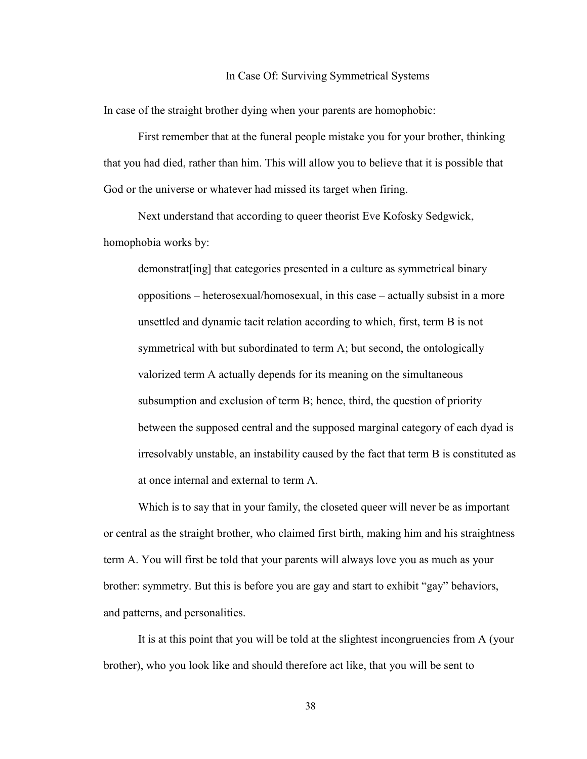## In Case Of: Surviving Symmetrical Systems

In case of the straight brother dying when your parents are homophobic:

First remember that at the funeral people mistake you for your brother, thinking that you had died, rather than him. This will allow you to believe that it is possible that God or the universe or whatever had missed its target when firing.

Next understand that according to queer theorist Eve Kofosky Sedgwick, homophobia works by:

demonstrat[ing] that categories presented in a culture as symmetrical binary oppositions – heterosexual/homosexual, in this case – actually subsist in a more unsettled and dynamic tacit relation according to which, first, term B is not symmetrical with but subordinated to term A; but second, the ontologically valorized term A actually depends for its meaning on the simultaneous subsumption and exclusion of term B; hence, third, the question of priority between the supposed central and the supposed marginal category of each dyad is irresolvably unstable, an instability caused by the fact that term B is constituted as at once internal and external to term A.

Which is to say that in your family, the closeted queer will never be as important or central as the straight brother, who claimed first birth, making him and his straightness term A. You will first be told that your parents will always love you as much as your brother: symmetry. But this is before you are gay and start to exhibit "gay" behaviors, and patterns, and personalities.

It is at this point that you will be told at the slightest incongruencies from A (your brother), who you look like and should therefore act like, that you will be sent to

38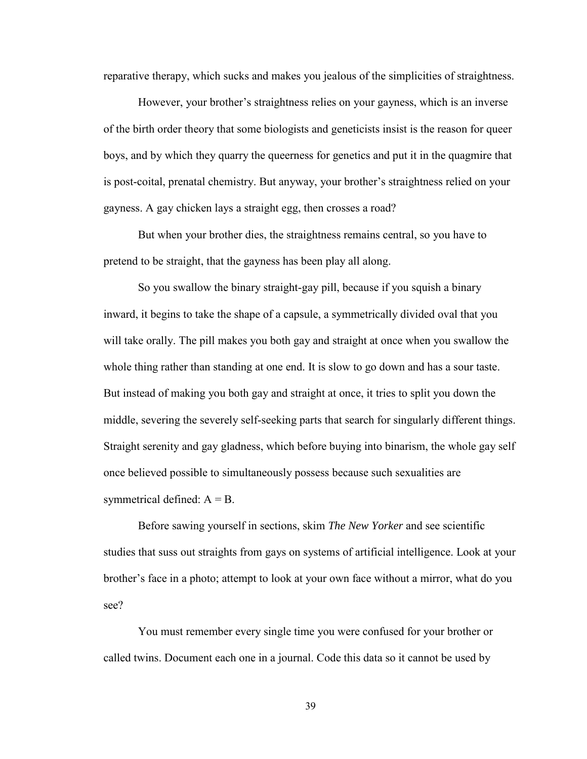reparative therapy, which sucks and makes you jealous of the simplicities of straightness.

However, your brother's straightness relies on your gayness, which is an inverse of the birth order theory that some biologists and geneticists insist is the reason for queer boys, and by which they quarry the queerness for genetics and put it in the quagmire that is post-coital, prenatal chemistry. But anyway, your brother's straightness relied on your gayness. A gay chicken lays a straight egg, then crosses a road?

But when your brother dies, the straightness remains central, so you have to pretend to be straight, that the gayness has been play all along.

So you swallow the binary straight-gay pill, because if you squish a binary inward, it begins to take the shape of a capsule, a symmetrically divided oval that you will take orally. The pill makes you both gay and straight at once when you swallow the whole thing rather than standing at one end. It is slow to go down and has a sour taste. But instead of making you both gay and straight at once, it tries to split you down the middle, severing the severely self-seeking parts that search for singularly different things. Straight serenity and gay gladness, which before buying into binarism, the whole gay self once believed possible to simultaneously possess because such sexualities are symmetrical defined:  $A = B$ .

Before sawing yourself in sections, skim *The New Yorker* and see scientific studies that suss out straights from gays on systems of artificial intelligence. Look at your brother's face in a photo; attempt to look at your own face without a mirror, what do you see?

You must remember every single time you were confused for your brother or called twins. Document each one in a journal. Code this data so it cannot be used by

39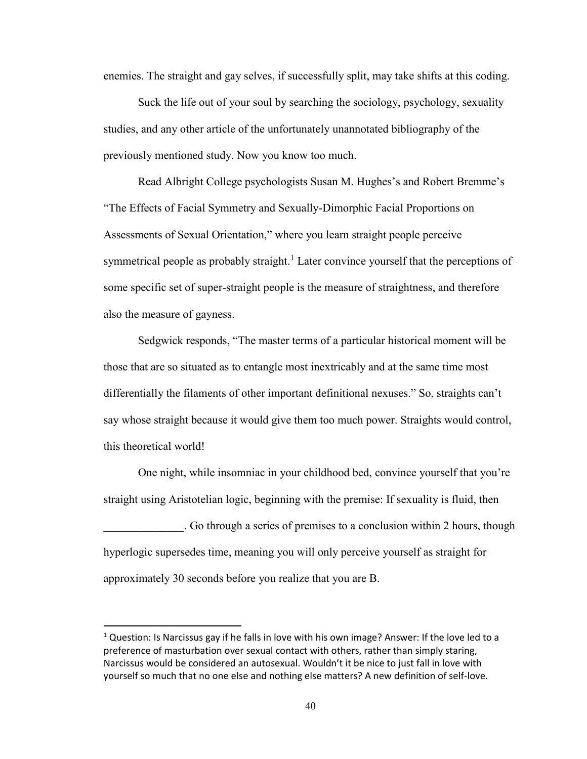enemies. The straight and gay selves, if successfully split, may take shifts at this coding.

Suck the life out of your soul by searching the sociology, psychology, sexuality studies, and any other article of the unfortunately unannotated bibliography of the previously mentioned study. Now you know too much.

Read Albright College psychologists Susan M. Hughes's and Robert Bremme's "The Effects of Facial Symmetry and Sexually-Dimorphic Facial Proportions on Assessments of Sexual Orientation," where you learn straight people perceive symmetrical people as probably straight.<sup>1</sup> Later convince yourself that the perceptions of some specific set of super-straight people is the measure of straightness, and therefore also the measure of gayness.

Sedgwick responds, "The master terms of a particular historical moment will be those that are so situated as to entangle most inextricably and at the same time most differentially the filaments of other important definitional nexuses." So, straights can't say whose straight because it would give them too much power. Straights would control, this theoretical world!

One night, while insomniac in your childhood bed, convince yourself that you're straight using Aristotelian logic, beginning with the premise: If sexuality is fluid, then \_\_\_\_\_\_\_\_\_\_\_\_\_\_. Go through a series of premises to a conclusion within 2 hours, though hyperlogic supersedes time, meaning you will only perceive yourself as straight for approximately 30 seconds before you realize that you are B.

 $\overline{a}$ 

 $1$  Question: Is Narcissus gay if he falls in love with his own image? Answer: If the love led to a preference of masturbation over sexual contact with others, rather than simply staring, Narcissus would be considered an autosexual. Wouldn't it be nice to just fall in love with yourself so much that no one else and nothing else matters? A new definition of self-love.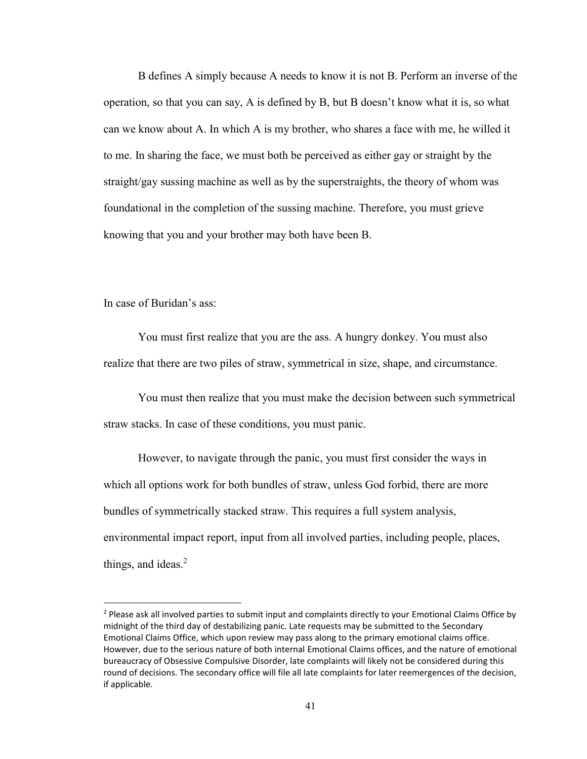B defines A simply because A needs to know it is not B. Perform an inverse of the operation, so that you can say, A is defined by B, but B doesn't know what it is, so what can we know about A. In which A is my brother, who shares a face with me, he willed it to me. In sharing the face, we must both be perceived as either gay or straight by the straight/gay sussing machine as well as by the superstraights, the theory of whom was foundational in the completion of the sussing machine. Therefore, you must grieve knowing that you and your brother may both have been B.

In case of Buridan's ass:

 $\overline{\phantom{a}}$ 

You must first realize that you are the ass. A hungry donkey. You must also realize that there are two piles of straw, symmetrical in size, shape, and circumstance.

You must then realize that you must make the decision between such symmetrical straw stacks. In case of these conditions, you must panic.

However, to navigate through the panic, you must first consider the ways in which all options work for both bundles of straw, unless God forbid, there are more bundles of symmetrically stacked straw. This requires a full system analysis, environmental impact report, input from all involved parties, including people, places, things, and ideas. $2$ 

<sup>&</sup>lt;sup>2</sup> Please ask all involved parties to submit input and complaints directly to your Emotional Claims Office by midnight of the third day of destabilizing panic. Late requests may be submitted to the Secondary Emotional Claims Office, which upon review may pass along to the primary emotional claims office. However, due to the serious nature of both internal Emotional Claims offices, and the nature of emotional bureaucracy of Obsessive Compulsive Disorder, late complaints will likely not be considered during this round of decisions. The secondary office will file all late complaints for later reemergences of the decision, if applicable.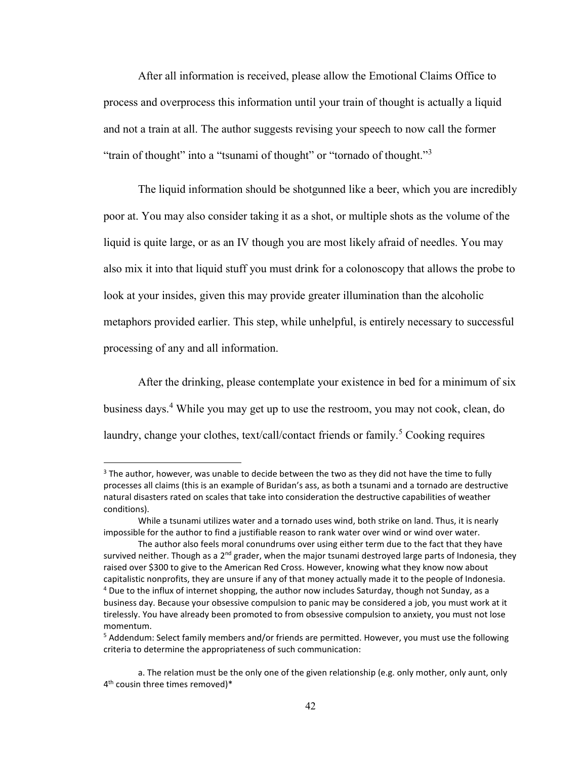After all information is received, please allow the Emotional Claims Office to process and overprocess this information until your train of thought is actually a liquid and not a train at all. The author suggests revising your speech to now call the former "train of thought" into a "tsunami of thought" or "tornado of thought."<sup>3</sup>

The liquid information should be shotgunned like a beer, which you are incredibly poor at. You may also consider taking it as a shot, or multiple shots as the volume of the liquid is quite large, or as an IV though you are most likely afraid of needles. You may also mix it into that liquid stuff you must drink for a colonoscopy that allows the probe to look at your insides, given this may provide greater illumination than the alcoholic metaphors provided earlier. This step, while unhelpful, is entirely necessary to successful processing of any and all information.

After the drinking, please contemplate your existence in bed for a minimum of six business days.<sup>4</sup> While you may get up to use the restroom, you may not cook, clean, do laundry, change your clothes, text/call/contact friends or family.<sup>5</sup> Cooking requires

 $\overline{\phantom{a}}$ 

<sup>&</sup>lt;sup>3</sup> The author, however, was unable to decide between the two as they did not have the time to fully processes all claims (this is an example of Buridan's ass, as both a tsunami and a tornado are destructive natural disasters rated on scales that take into consideration the destructive capabilities of weather conditions).

While a tsunami utilizes water and a tornado uses wind, both strike on land. Thus, it is nearly impossible for the author to find a justifiable reason to rank water over wind or wind over water.

The author also feels moral conundrums over using either term due to the fact that they have survived neither. Though as a  $2<sup>nd</sup>$  grader, when the major tsunami destroyed large parts of Indonesia, they raised over \$300 to give to the American Red Cross. However, knowing what they know now about capitalistic nonprofits, they are unsure if any of that money actually made it to the people of Indonesia.  $4$  Due to the influx of internet shopping, the author now includes Saturday, though not Sunday, as a business day. Because your obsessive compulsion to panic may be considered a job, you must work at it tirelessly. You have already been promoted to from obsessive compulsion to anxiety, you must not lose momentum.

<sup>5</sup> Addendum: Select family members and/or friends are permitted. However, you must use the following criteria to determine the appropriateness of such communication:

a. The relation must be the only one of the given relationship (e.g. only mother, only aunt, only 4 th cousin three times removed)\*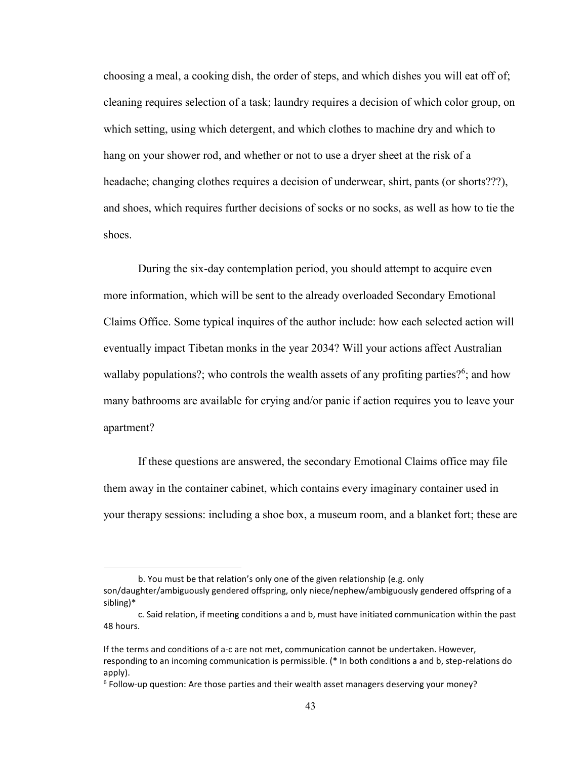choosing a meal, a cooking dish, the order of steps, and which dishes you will eat off of; cleaning requires selection of a task; laundry requires a decision of which color group, on which setting, using which detergent, and which clothes to machine dry and which to hang on your shower rod, and whether or not to use a dryer sheet at the risk of a headache; changing clothes requires a decision of underwear, shirt, pants (or shorts???), and shoes, which requires further decisions of socks or no socks, as well as how to tie the shoes.

During the six-day contemplation period, you should attempt to acquire even more information, which will be sent to the already overloaded Secondary Emotional Claims Office. Some typical inquires of the author include: how each selected action will eventually impact Tibetan monks in the year 2034? Will your actions affect Australian wallaby populations?; who controls the wealth assets of any profiting parties?<sup>6</sup>; and how many bathrooms are available for crying and/or panic if action requires you to leave your apartment?

If these questions are answered, the secondary Emotional Claims office may file them away in the container cabinet, which contains every imaginary container used in your therapy sessions: including a shoe box, a museum room, and a blanket fort; these are

 $\overline{a}$ 

b. You must be that relation's only one of the given relationship (e.g. only son/daughter/ambiguously gendered offspring, only niece/nephew/ambiguously gendered offspring of a sibling)\*

c. Said relation, if meeting conditions a and b, must have initiated communication within the past 48 hours.

If the terms and conditions of a-c are not met, communication cannot be undertaken. However, responding to an incoming communication is permissible. (\* In both conditions a and b, step-relations do apply).

<sup>&</sup>lt;sup>6</sup> Follow-up question: Are those parties and their wealth asset managers deserving your money?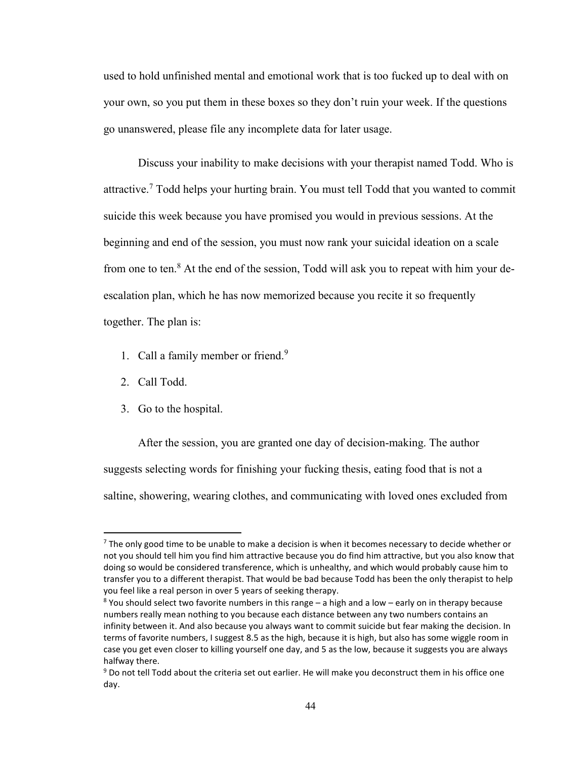used to hold unfinished mental and emotional work that is too fucked up to deal with on your own, so you put them in these boxes so they don't ruin your week. If the questions go unanswered, please file any incomplete data for later usage.

Discuss your inability to make decisions with your therapist named Todd. Who is attractive.<sup>7</sup> Todd helps your hurting brain. You must tell Todd that you wanted to commit suicide this week because you have promised you would in previous sessions. At the beginning and end of the session, you must now rank your suicidal ideation on a scale from one to ten. $8$  At the end of the session, Todd will ask you to repeat with him your deescalation plan, which he has now memorized because you recite it so frequently together. The plan is:

- 1. Call a family member or friend. $9$
- 2. Call Todd.

 $\overline{\phantom{a}}$ 

3. Go to the hospital.

After the session, you are granted one day of decision-making. The author suggests selecting words for finishing your fucking thesis, eating food that is not a saltine, showering, wearing clothes, and communicating with loved ones excluded from

 $<sup>7</sup>$  The only good time to be unable to make a decision is when it becomes necessary to decide whether or</sup> not you should tell him you find him attractive because you do find him attractive, but you also know that doing so would be considered transference, which is unhealthy, and which would probably cause him to transfer you to a different therapist. That would be bad because Todd has been the only therapist to help you feel like a real person in over 5 years of seeking therapy.

 $8$  You should select two favorite numbers in this range  $-$  a high and a low  $-$  early on in therapy because numbers really mean nothing to you because each distance between any two numbers contains an infinity between it. And also because you always want to commit suicide but fear making the decision. In terms of favorite numbers, I suggest 8.5 as the high, because it is high, but also has some wiggle room in case you get even closer to killing yourself one day, and 5 as the low, because it suggests you are always halfway there.

<sup>&</sup>lt;sup>9</sup> Do not tell Todd about the criteria set out earlier. He will make you deconstruct them in his office one day.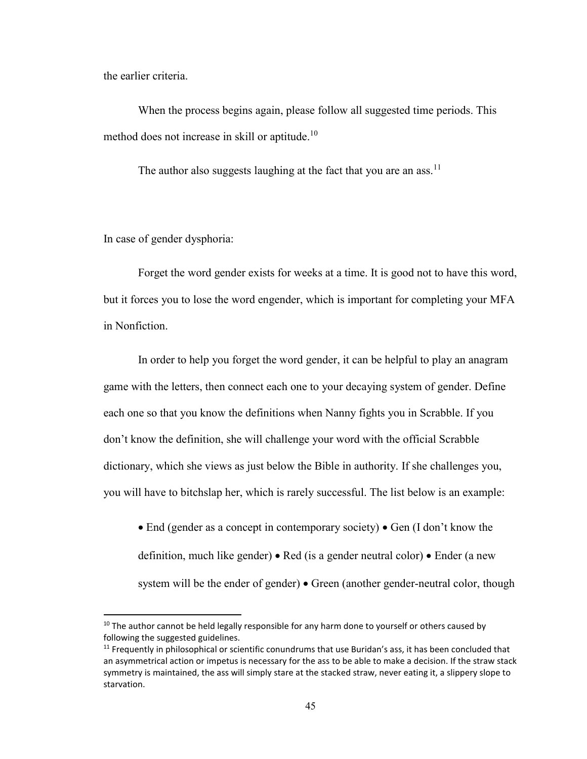the earlier criteria.

When the process begins again, please follow all suggested time periods. This method does not increase in skill or aptitude.<sup>10</sup>

The author also suggests laughing at the fact that you are an ass.<sup>11</sup>

In case of gender dysphoria:

l

Forget the word gender exists for weeks at a time. It is good not to have this word, but it forces you to lose the word engender, which is important for completing your MFA in Nonfiction.

In order to help you forget the word gender, it can be helpful to play an anagram game with the letters, then connect each one to your decaying system of gender. Define each one so that you know the definitions when Nanny fights you in Scrabble. If you don't know the definition, she will challenge your word with the official Scrabble dictionary, which she views as just below the Bible in authority. If she challenges you, you will have to bitchslap her, which is rarely successful. The list below is an example:

• End (gender as a concept in contemporary society) • Gen (I don't know the definition, much like gender) • Red (is a gender neutral color) • Ender (a new system will be the ender of gender) • Green (another gender-neutral color, though

 $10$  The author cannot be held legally responsible for any harm done to yourself or others caused by following the suggested guidelines.

 $11$  Frequently in philosophical or scientific conundrums that use Buridan's ass, it has been concluded that an asymmetrical action or impetus is necessary for the ass to be able to make a decision. If the straw stack symmetry is maintained, the ass will simply stare at the stacked straw, never eating it, a slippery slope to starvation.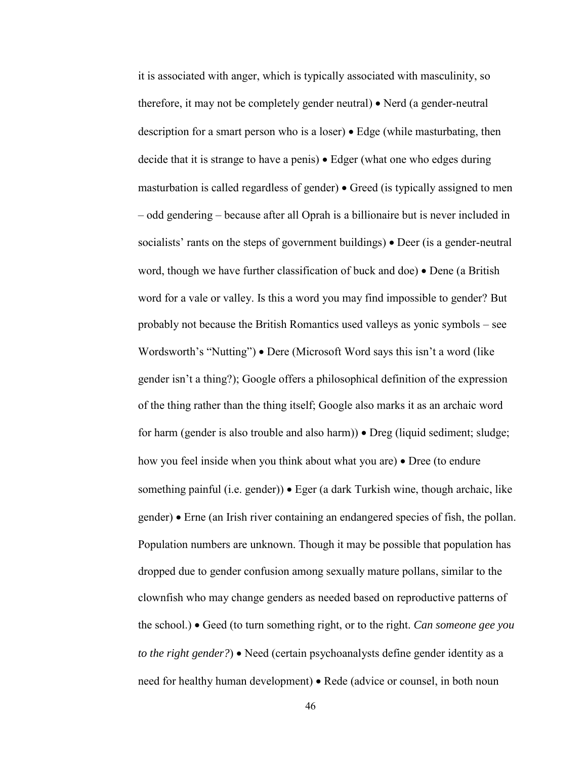it is associated with anger, which is typically associated with masculinity, so therefore, it may not be completely gender neutral) • Nerd (a gender-neutral description for a smart person who is a loser) • Edge (while masturbating, then decide that it is strange to have a penis) • Edger (what one who edges during masturbation is called regardless of gender) • Greed (is typically assigned to men – odd gendering – because after all Oprah is a billionaire but is never included in socialists' rants on the steps of government buildings) • Deer (is a gender-neutral word, though we have further classification of buck and doe) • Dene (a British word for a vale or valley. Is this a word you may find impossible to gender? But probably not because the British Romantics used valleys as yonic symbols – see Wordsworth's "Nutting") • Dere (Microsoft Word says this isn't a word (like gender isn't a thing?); Google offers a philosophical definition of the expression of the thing rather than the thing itself; Google also marks it as an archaic word for harm (gender is also trouble and also harm)) • Dreg (liquid sediment; sludge; how you feel inside when you think about what you are) • Dree (to endure something painful (i.e. gender)) • Eger (a dark Turkish wine, though archaic, like gender) • Erne (an Irish river containing an endangered species of fish, the pollan. Population numbers are unknown. Though it may be possible that population has dropped due to gender confusion among sexually mature pollans, similar to the clownfish who may change genders as needed based on reproductive patterns of the school.) • Geed (to turn something right, or to the right. *Can someone gee you to the right gender?*) • Need (certain psychoanalysts define gender identity as a need for healthy human development) • Rede (advice or counsel, in both noun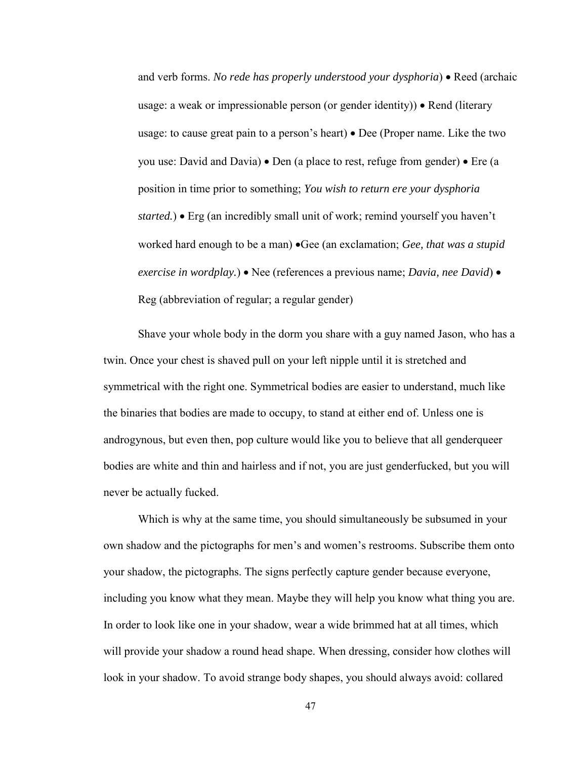and verb forms. *No rede has properly understood your dysphoria*) • Reed (archaic usage: a weak or impressionable person (or gender identity)) • Rend (literary usage: to cause great pain to a person's heart) • Dee (Proper name. Like the two you use: David and Davia) • Den (a place to rest, refuge from gender) • Ere (a position in time prior to something; *You wish to return ere your dysphoria started.*) • Erg (an incredibly small unit of work; remind yourself you haven't worked hard enough to be a man) •Gee (an exclamation; *Gee, that was a stupid exercise in wordplay.*) • Nee (references a previous name; *Davia, nee David*) • Reg (abbreviation of regular; a regular gender)

Shave your whole body in the dorm you share with a guy named Jason, who has a twin. Once your chest is shaved pull on your left nipple until it is stretched and symmetrical with the right one. Symmetrical bodies are easier to understand, much like the binaries that bodies are made to occupy, to stand at either end of. Unless one is androgynous, but even then, pop culture would like you to believe that all genderqueer bodies are white and thin and hairless and if not, you are just genderfucked, but you will never be actually fucked.

Which is why at the same time, you should simultaneously be subsumed in your own shadow and the pictographs for men's and women's restrooms. Subscribe them onto your shadow, the pictographs. The signs perfectly capture gender because everyone, including you know what they mean. Maybe they will help you know what thing you are. In order to look like one in your shadow, wear a wide brimmed hat at all times, which will provide your shadow a round head shape. When dressing, consider how clothes will look in your shadow. To avoid strange body shapes, you should always avoid: collared

47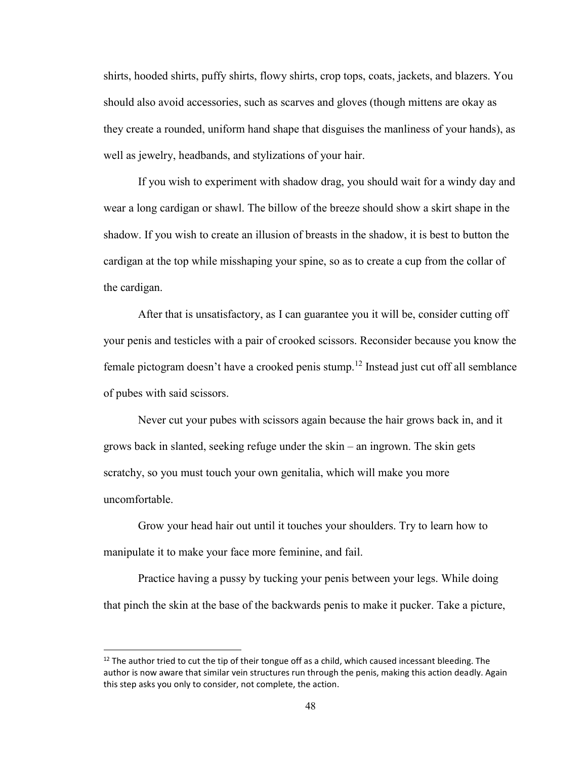shirts, hooded shirts, puffy shirts, flowy shirts, crop tops, coats, jackets, and blazers. You should also avoid accessories, such as scarves and gloves (though mittens are okay as they create a rounded, uniform hand shape that disguises the manliness of your hands), as well as jewelry, headbands, and stylizations of your hair.

If you wish to experiment with shadow drag, you should wait for a windy day and wear a long cardigan or shawl. The billow of the breeze should show a skirt shape in the shadow. If you wish to create an illusion of breasts in the shadow, it is best to button the cardigan at the top while misshaping your spine, so as to create a cup from the collar of the cardigan.

After that is unsatisfactory, as I can guarantee you it will be, consider cutting off your penis and testicles with a pair of crooked scissors. Reconsider because you know the female pictogram doesn't have a crooked penis stump.<sup>12</sup> Instead just cut off all semblance of pubes with said scissors.

Never cut your pubes with scissors again because the hair grows back in, and it grows back in slanted, seeking refuge under the skin – an ingrown. The skin gets scratchy, so you must touch your own genitalia, which will make you more uncomfortable.

Grow your head hair out until it touches your shoulders. Try to learn how to manipulate it to make your face more feminine, and fail.

Practice having a pussy by tucking your penis between your legs. While doing that pinch the skin at the base of the backwards penis to make it pucker. Take a picture,

 $\overline{a}$ 

 $12$  The author tried to cut the tip of their tongue off as a child, which caused incessant bleeding. The author is now aware that similar vein structures run through the penis, making this action deadly. Again this step asks you only to consider, not complete, the action.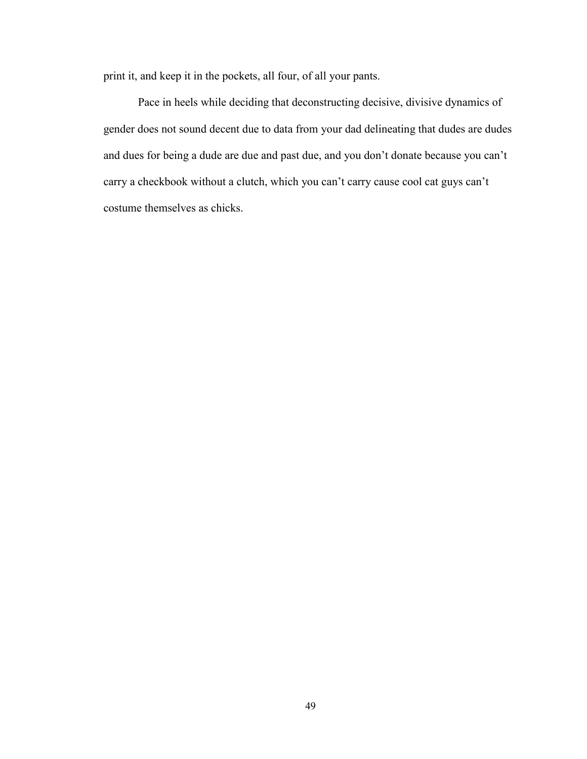print it, and keep it in the pockets, all four, of all your pants.

Pace in heels while deciding that deconstructing decisive, divisive dynamics of gender does not sound decent due to data from your dad delineating that dudes are dudes and dues for being a dude are due and past due, and you don't donate because you can't carry a checkbook without a clutch, which you can't carry cause cool cat guys can't costume themselves as chicks.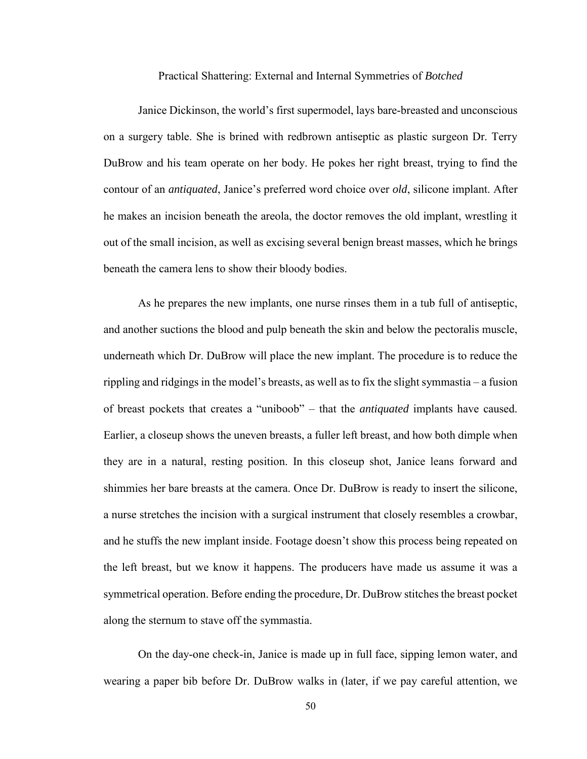Practical Shattering: External and Internal Symmetries of *Botched*

Janice Dickinson, the world's first supermodel, lays bare-breasted and unconscious on a surgery table. She is brined with redbrown antiseptic as plastic surgeon Dr. Terry DuBrow and his team operate on her body. He pokes her right breast, trying to find the contour of an *antiquated*, Janice's preferred word choice over *old*, silicone implant. After he makes an incision beneath the areola, the doctor removes the old implant, wrestling it out of the small incision, as well as excising several benign breast masses, which he brings beneath the camera lens to show their bloody bodies.

As he prepares the new implants, one nurse rinses them in a tub full of antiseptic, and another suctions the blood and pulp beneath the skin and below the pectoralis muscle, underneath which Dr. DuBrow will place the new implant. The procedure is to reduce the rippling and ridgings in the model's breasts, as well as to fix the slight symmastia – a fusion of breast pockets that creates a "uniboob" – that the *antiquated* implants have caused. Earlier, a closeup shows the uneven breasts, a fuller left breast, and how both dimple when they are in a natural, resting position. In this closeup shot, Janice leans forward and shimmies her bare breasts at the camera. Once Dr. DuBrow is ready to insert the silicone, a nurse stretches the incision with a surgical instrument that closely resembles a crowbar, and he stuffs the new implant inside. Footage doesn't show this process being repeated on the left breast, but we know it happens. The producers have made us assume it was a symmetrical operation. Before ending the procedure, Dr. DuBrow stitches the breast pocket along the sternum to stave off the symmastia.

On the day-one check-in, Janice is made up in full face, sipping lemon water, and wearing a paper bib before Dr. DuBrow walks in (later, if we pay careful attention, we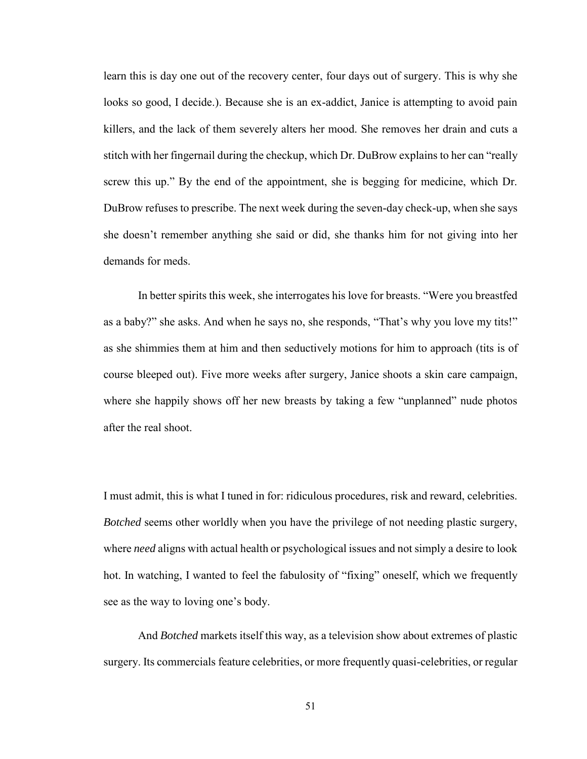learn this is day one out of the recovery center, four days out of surgery. This is why she looks so good, I decide.). Because she is an ex-addict, Janice is attempting to avoid pain killers, and the lack of them severely alters her mood. She removes her drain and cuts a stitch with her fingernail during the checkup, which Dr. DuBrow explains to her can "really screw this up." By the end of the appointment, she is begging for medicine, which Dr. DuBrow refuses to prescribe. The next week during the seven-day check-up, when she says she doesn't remember anything she said or did, she thanks him for not giving into her demands for meds.

In better spirits this week, she interrogates his love for breasts. "Were you breastfed as a baby?" she asks. And when he says no, she responds, "That's why you love my tits!" as she shimmies them at him and then seductively motions for him to approach (tits is of course bleeped out). Five more weeks after surgery, Janice shoots a skin care campaign, where she happily shows off her new breasts by taking a few "unplanned" nude photos after the real shoot.

I must admit, this is what I tuned in for: ridiculous procedures, risk and reward, celebrities. *Botched* seems other worldly when you have the privilege of not needing plastic surgery, where *need* aligns with actual health or psychological issues and not simply a desire to look hot. In watching, I wanted to feel the fabulosity of "fixing" oneself, which we frequently see as the way to loving one's body.

And *Botched* markets itself this way, as a television show about extremes of plastic surgery. Its commercials feature celebrities, or more frequently quasi-celebrities, or regular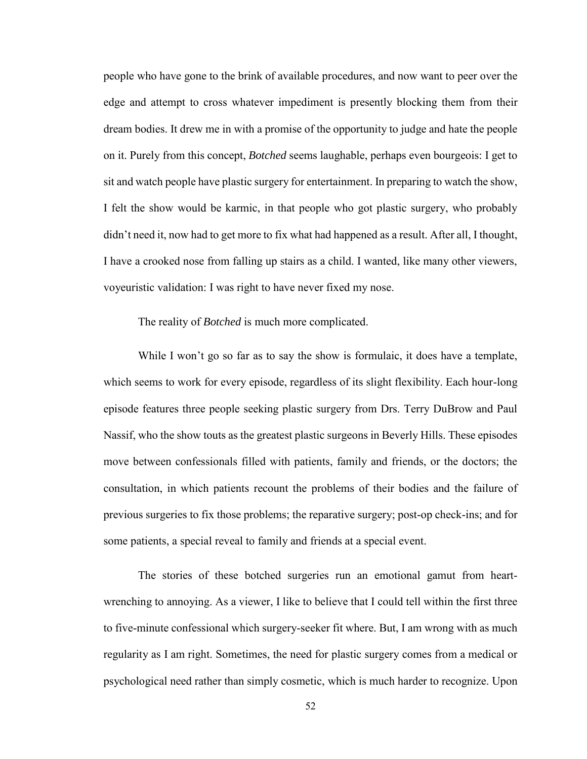people who have gone to the brink of available procedures, and now want to peer over the edge and attempt to cross whatever impediment is presently blocking them from their dream bodies. It drew me in with a promise of the opportunity to judge and hate the people on it. Purely from this concept, *Botched* seems laughable, perhaps even bourgeois: I get to sit and watch people have plastic surgery for entertainment. In preparing to watch the show, I felt the show would be karmic, in that people who got plastic surgery, who probably didn't need it, now had to get more to fix what had happened as a result. After all, I thought, I have a crooked nose from falling up stairs as a child. I wanted, like many other viewers, voyeuristic validation: I was right to have never fixed my nose.

## The reality of *Botched* is much more complicated.

While I won't go so far as to say the show is formulaic, it does have a template, which seems to work for every episode, regardless of its slight flexibility. Each hour-long episode features three people seeking plastic surgery from Drs. Terry DuBrow and Paul Nassif, who the show touts as the greatest plastic surgeons in Beverly Hills. These episodes move between confessionals filled with patients, family and friends, or the doctors; the consultation, in which patients recount the problems of their bodies and the failure of previous surgeries to fix those problems; the reparative surgery; post-op check-ins; and for some patients, a special reveal to family and friends at a special event.

The stories of these botched surgeries run an emotional gamut from heartwrenching to annoying. As a viewer, I like to believe that I could tell within the first three to five-minute confessional which surgery-seeker fit where. But, I am wrong with as much regularity as I am right. Sometimes, the need for plastic surgery comes from a medical or psychological need rather than simply cosmetic, which is much harder to recognize. Upon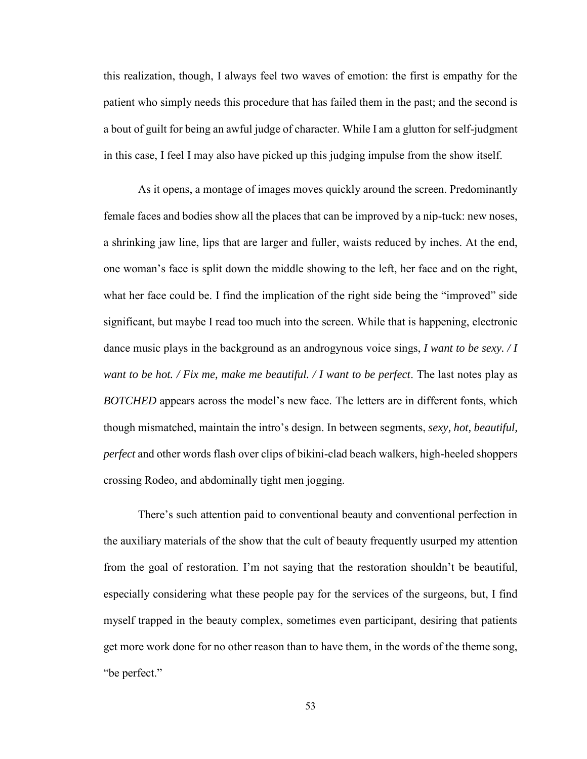this realization, though, I always feel two waves of emotion: the first is empathy for the patient who simply needs this procedure that has failed them in the past; and the second is a bout of guilt for being an awful judge of character. While I am a glutton for self-judgment in this case, I feel I may also have picked up this judging impulse from the show itself.

As it opens, a montage of images moves quickly around the screen. Predominantly female faces and bodies show all the places that can be improved by a nip-tuck: new noses, a shrinking jaw line, lips that are larger and fuller, waists reduced by inches. At the end, one woman's face is split down the middle showing to the left, her face and on the right, what her face could be. I find the implication of the right side being the "improved" side significant, but maybe I read too much into the screen. While that is happening, electronic dance music plays in the background as an androgynous voice sings, *I want to be sexy. / I want to be hot. / Fix me, make me beautiful. / I want to be perfect*. The last notes play as *BOTCHED* appears across the model's new face. The letters are in different fonts, which though mismatched, maintain the intro's design. In between segments, *sexy, hot, beautiful, perfect* and other words flash over clips of bikini-clad beach walkers, high-heeled shoppers crossing Rodeo, and abdominally tight men jogging.

There's such attention paid to conventional beauty and conventional perfection in the auxiliary materials of the show that the cult of beauty frequently usurped my attention from the goal of restoration. I'm not saying that the restoration shouldn't be beautiful, especially considering what these people pay for the services of the surgeons, but, I find myself trapped in the beauty complex, sometimes even participant, desiring that patients get more work done for no other reason than to have them, in the words of the theme song, "be perfect."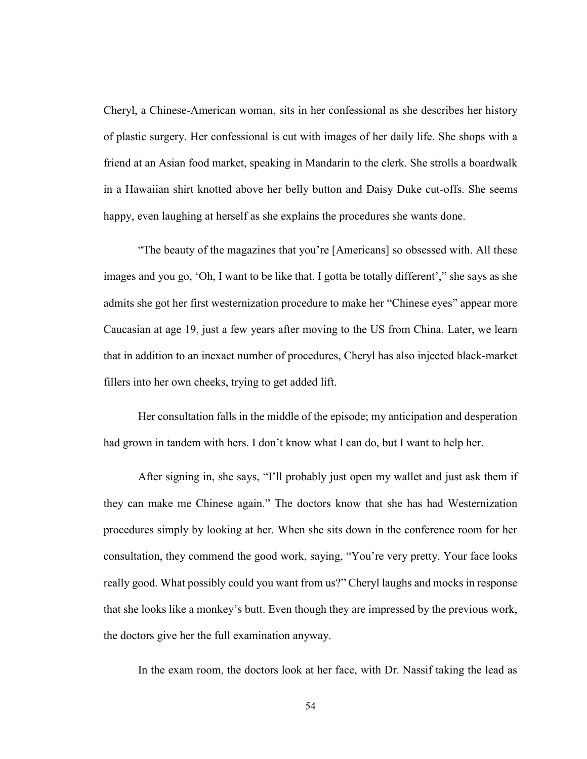Cheryl, a Chinese-American woman, sits in her confessional as she describes her history of plastic surgery. Her confessional is cut with images of her daily life. She shops with a friend at an Asian food market, speaking in Mandarin to the clerk. She strolls a boardwalk in a Hawaiian shirt knotted above her belly button and Daisy Duke cut-offs. She seems happy, even laughing at herself as she explains the procedures she wants done.

"The beauty of the magazines that you're [Americans] so obsessed with. All these images and you go, 'Oh, I want to be like that. I gotta be totally different'," she says as she admits she got her first westernization procedure to make her "Chinese eyes" appear more Caucasian at age 19, just a few years after moving to the US from China. Later, we learn that in addition to an inexact number of procedures, Cheryl has also injected black-market fillers into her own cheeks, trying to get added lift.

Her consultation falls in the middle of the episode; my anticipation and desperation had grown in tandem with hers. I don't know what I can do, but I want to help her.

After signing in, she says, "I'll probably just open my wallet and just ask them if they can make me Chinese again." The doctors know that she has had Westernization procedures simply by looking at her. When she sits down in the conference room for her consultation, they commend the good work, saying, "You're very pretty. Your face looks really good. What possibly could you want from us?" Cheryl laughs and mocks in response that she looks like a monkey's butt. Even though they are impressed by the previous work, the doctors give her the full examination anyway.

In the exam room, the doctors look at her face, with Dr. Nassif taking the lead as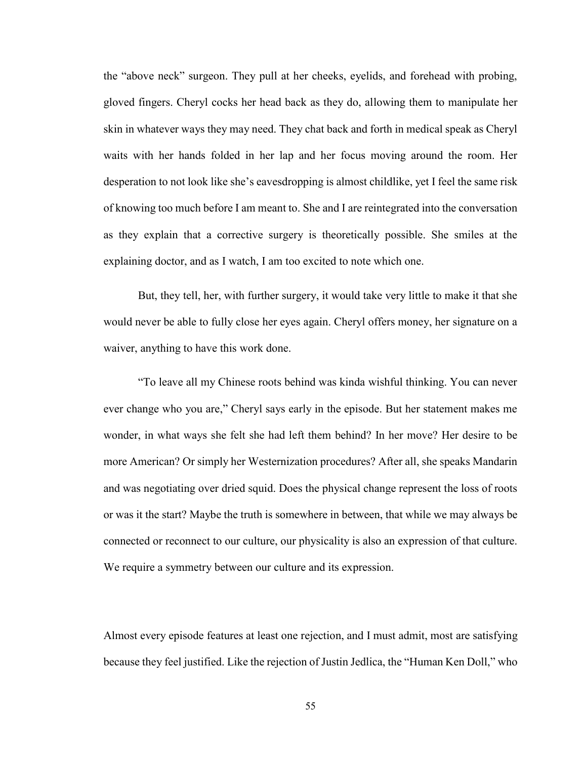the "above neck" surgeon. They pull at her cheeks, eyelids, and forehead with probing, gloved fingers. Cheryl cocks her head back as they do, allowing them to manipulate her skin in whatever ways they may need. They chat back and forth in medical speak as Cheryl waits with her hands folded in her lap and her focus moving around the room. Her desperation to not look like she's eavesdropping is almost childlike, yet I feel the same risk of knowing too much before I am meant to. She and I are reintegrated into the conversation as they explain that a corrective surgery is theoretically possible. She smiles at the explaining doctor, and as I watch, I am too excited to note which one.

But, they tell, her, with further surgery, it would take very little to make it that she would never be able to fully close her eyes again. Cheryl offers money, her signature on a waiver, anything to have this work done.

"To leave all my Chinese roots behind was kinda wishful thinking. You can never ever change who you are," Cheryl says early in the episode. But her statement makes me wonder, in what ways she felt she had left them behind? In her move? Her desire to be more American? Or simply her Westernization procedures? After all, she speaks Mandarin and was negotiating over dried squid. Does the physical change represent the loss of roots or was it the start? Maybe the truth is somewhere in between, that while we may always be connected or reconnect to our culture, our physicality is also an expression of that culture. We require a symmetry between our culture and its expression.

Almost every episode features at least one rejection, and I must admit, most are satisfying because they feel justified. Like the rejection of Justin Jedlica, the "Human Ken Doll," who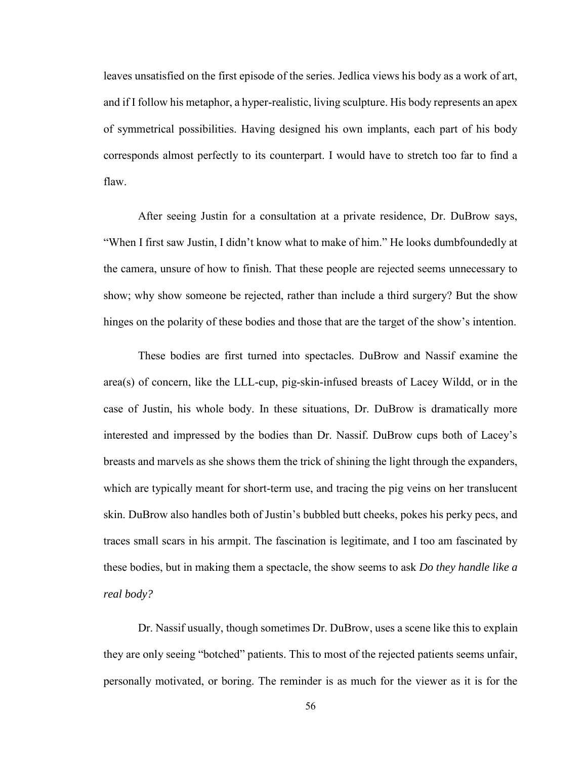leaves unsatisfied on the first episode of the series. Jedlica views his body as a work of art, and if I follow his metaphor, a hyper-realistic, living sculpture. His body represents an apex of symmetrical possibilities. Having designed his own implants, each part of his body corresponds almost perfectly to its counterpart. I would have to stretch too far to find a flaw.

After seeing Justin for a consultation at a private residence, Dr. DuBrow says, "When I first saw Justin, I didn't know what to make of him." He looks dumbfoundedly at the camera, unsure of how to finish. That these people are rejected seems unnecessary to show; why show someone be rejected, rather than include a third surgery? But the show hinges on the polarity of these bodies and those that are the target of the show's intention.

These bodies are first turned into spectacles. DuBrow and Nassif examine the area(s) of concern, like the LLL-cup, pig-skin-infused breasts of Lacey Wildd, or in the case of Justin, his whole body. In these situations, Dr. DuBrow is dramatically more interested and impressed by the bodies than Dr. Nassif. DuBrow cups both of Lacey's breasts and marvels as she shows them the trick of shining the light through the expanders, which are typically meant for short-term use, and tracing the pig veins on her translucent skin. DuBrow also handles both of Justin's bubbled butt cheeks, pokes his perky pecs, and traces small scars in his armpit. The fascination is legitimate, and I too am fascinated by these bodies, but in making them a spectacle, the show seems to ask *Do they handle like a real body?*

Dr. Nassif usually, though sometimes Dr. DuBrow, uses a scene like this to explain they are only seeing "botched" patients. This to most of the rejected patients seems unfair, personally motivated, or boring. The reminder is as much for the viewer as it is for the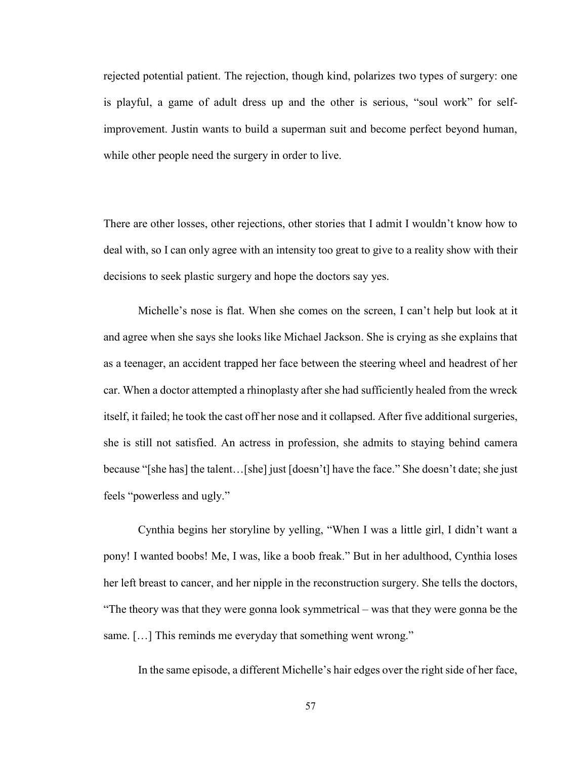rejected potential patient. The rejection, though kind, polarizes two types of surgery: one is playful, a game of adult dress up and the other is serious, "soul work" for selfimprovement. Justin wants to build a superman suit and become perfect beyond human, while other people need the surgery in order to live.

There are other losses, other rejections, other stories that I admit I wouldn't know how to deal with, so I can only agree with an intensity too great to give to a reality show with their decisions to seek plastic surgery and hope the doctors say yes.

Michelle's nose is flat. When she comes on the screen, I can't help but look at it and agree when she says she looks like Michael Jackson. She is crying as she explains that as a teenager, an accident trapped her face between the steering wheel and headrest of her car. When a doctor attempted a rhinoplasty after she had sufficiently healed from the wreck itself, it failed; he took the cast off her nose and it collapsed. After five additional surgeries, she is still not satisfied. An actress in profession, she admits to staying behind camera because "[she has] the talent…[she] just [doesn't] have the face." She doesn't date; she just feels "powerless and ugly."

Cynthia begins her storyline by yelling, "When I was a little girl, I didn't want a pony! I wanted boobs! Me, I was, like a boob freak." But in her adulthood, Cynthia loses her left breast to cancer, and her nipple in the reconstruction surgery. She tells the doctors, "The theory was that they were gonna look symmetrical – was that they were gonna be the same. [...] This reminds me everyday that something went wrong."

In the same episode, a different Michelle's hair edges over the right side of her face,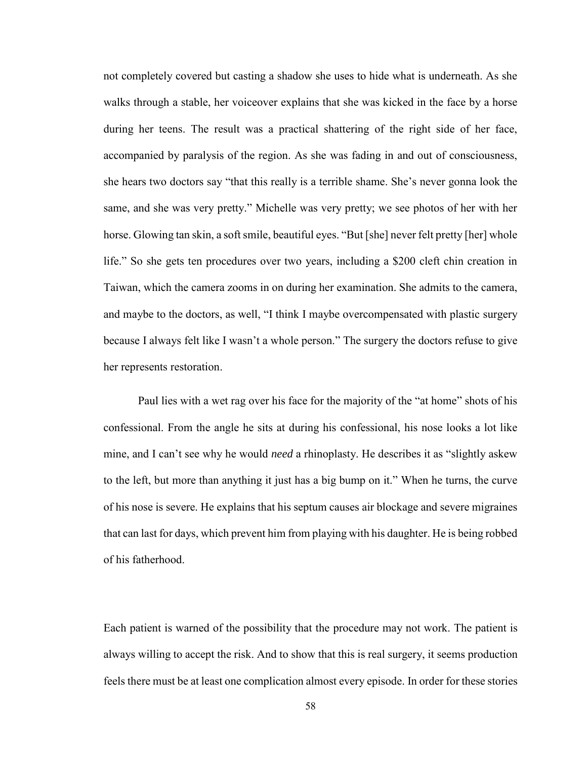not completely covered but casting a shadow she uses to hide what is underneath. As she walks through a stable, her voiceover explains that she was kicked in the face by a horse during her teens. The result was a practical shattering of the right side of her face, accompanied by paralysis of the region. As she was fading in and out of consciousness, she hears two doctors say "that this really is a terrible shame. She's never gonna look the same, and she was very pretty." Michelle was very pretty; we see photos of her with her horse. Glowing tan skin, a soft smile, beautiful eyes. "But [she] never felt pretty [her] whole life." So she gets ten procedures over two years, including a \$200 cleft chin creation in Taiwan, which the camera zooms in on during her examination. She admits to the camera, and maybe to the doctors, as well, "I think I maybe overcompensated with plastic surgery because I always felt like I wasn't a whole person." The surgery the doctors refuse to give her represents restoration.

Paul lies with a wet rag over his face for the majority of the "at home" shots of his confessional. From the angle he sits at during his confessional, his nose looks a lot like mine, and I can't see why he would *need* a rhinoplasty. He describes it as "slightly askew to the left, but more than anything it just has a big bump on it." When he turns, the curve of his nose is severe. He explains that his septum causes air blockage and severe migraines that can last for days, which prevent him from playing with his daughter. He is being robbed of his fatherhood.

Each patient is warned of the possibility that the procedure may not work. The patient is always willing to accept the risk. And to show that this is real surgery, it seems production feels there must be at least one complication almost every episode. In order for these stories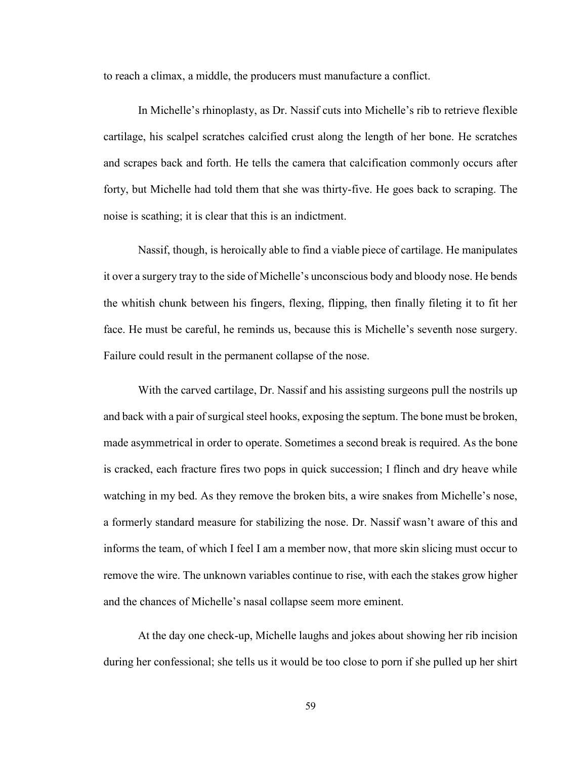to reach a climax, a middle, the producers must manufacture a conflict.

In Michelle's rhinoplasty, as Dr. Nassif cuts into Michelle's rib to retrieve flexible cartilage, his scalpel scratches calcified crust along the length of her bone. He scratches and scrapes back and forth. He tells the camera that calcification commonly occurs after forty, but Michelle had told them that she was thirty-five. He goes back to scraping. The noise is scathing; it is clear that this is an indictment.

Nassif, though, is heroically able to find a viable piece of cartilage. He manipulates it over a surgery tray to the side of Michelle's unconscious body and bloody nose. He bends the whitish chunk between his fingers, flexing, flipping, then finally fileting it to fit her face. He must be careful, he reminds us, because this is Michelle's seventh nose surgery. Failure could result in the permanent collapse of the nose.

With the carved cartilage, Dr. Nassif and his assisting surgeons pull the nostrils up and back with a pair of surgical steel hooks, exposing the septum. The bone must be broken, made asymmetrical in order to operate. Sometimes a second break is required. As the bone is cracked, each fracture fires two pops in quick succession; I flinch and dry heave while watching in my bed. As they remove the broken bits, a wire snakes from Michelle's nose, a formerly standard measure for stabilizing the nose. Dr. Nassif wasn't aware of this and informs the team, of which I feel I am a member now, that more skin slicing must occur to remove the wire. The unknown variables continue to rise, with each the stakes grow higher and the chances of Michelle's nasal collapse seem more eminent.

At the day one check-up, Michelle laughs and jokes about showing her rib incision during her confessional; she tells us it would be too close to porn if she pulled up her shirt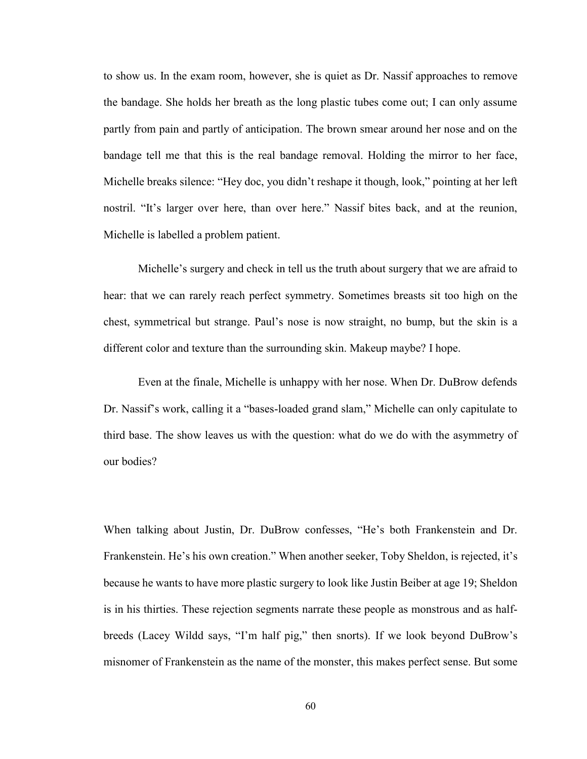to show us. In the exam room, however, she is quiet as Dr. Nassif approaches to remove the bandage. She holds her breath as the long plastic tubes come out; I can only assume partly from pain and partly of anticipation. The brown smear around her nose and on the bandage tell me that this is the real bandage removal. Holding the mirror to her face, Michelle breaks silence: "Hey doc, you didn't reshape it though, look," pointing at her left nostril. "It's larger over here, than over here." Nassif bites back, and at the reunion, Michelle is labelled a problem patient.

Michelle's surgery and check in tell us the truth about surgery that we are afraid to hear: that we can rarely reach perfect symmetry. Sometimes breasts sit too high on the chest, symmetrical but strange. Paul's nose is now straight, no bump, but the skin is a different color and texture than the surrounding skin. Makeup maybe? I hope.

Even at the finale, Michelle is unhappy with her nose. When Dr. DuBrow defends Dr. Nassif's work, calling it a "bases-loaded grand slam," Michelle can only capitulate to third base. The show leaves us with the question: what do we do with the asymmetry of our bodies?

When talking about Justin, Dr. DuBrow confesses, "He's both Frankenstein and Dr. Frankenstein. He's his own creation." When another seeker, Toby Sheldon, is rejected, it's because he wants to have more plastic surgery to look like Justin Beiber at age 19; Sheldon is in his thirties. These rejection segments narrate these people as monstrous and as halfbreeds (Lacey Wildd says, "I'm half pig," then snorts). If we look beyond DuBrow's misnomer of Frankenstein as the name of the monster, this makes perfect sense. But some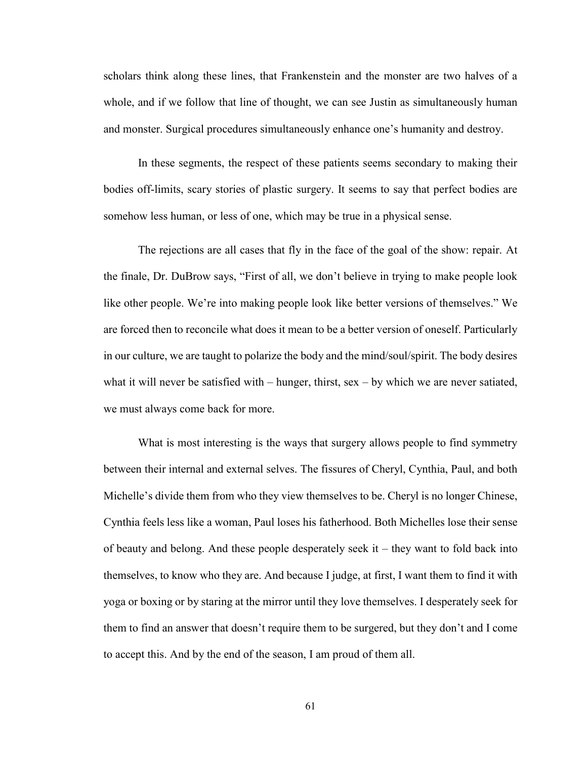scholars think along these lines, that Frankenstein and the monster are two halves of a whole, and if we follow that line of thought, we can see Justin as simultaneously human and monster. Surgical procedures simultaneously enhance one's humanity and destroy.

In these segments, the respect of these patients seems secondary to making their bodies off-limits, scary stories of plastic surgery. It seems to say that perfect bodies are somehow less human, or less of one, which may be true in a physical sense.

The rejections are all cases that fly in the face of the goal of the show: repair. At the finale, Dr. DuBrow says, "First of all, we don't believe in trying to make people look like other people. We're into making people look like better versions of themselves." We are forced then to reconcile what does it mean to be a better version of oneself. Particularly in our culture, we are taught to polarize the body and the mind/soul/spirit. The body desires what it will never be satisfied with  $-$  hunger, thirst, sex  $-$  by which we are never satiated, we must always come back for more.

What is most interesting is the ways that surgery allows people to find symmetry between their internal and external selves. The fissures of Cheryl, Cynthia, Paul, and both Michelle's divide them from who they view themselves to be. Cheryl is no longer Chinese, Cynthia feels less like a woman, Paul loses his fatherhood. Both Michelles lose their sense of beauty and belong. And these people desperately seek it – they want to fold back into themselves, to know who they are. And because I judge, at first, I want them to find it with yoga or boxing or by staring at the mirror until they love themselves. I desperately seek for them to find an answer that doesn't require them to be surgered, but they don't and I come to accept this. And by the end of the season, I am proud of them all.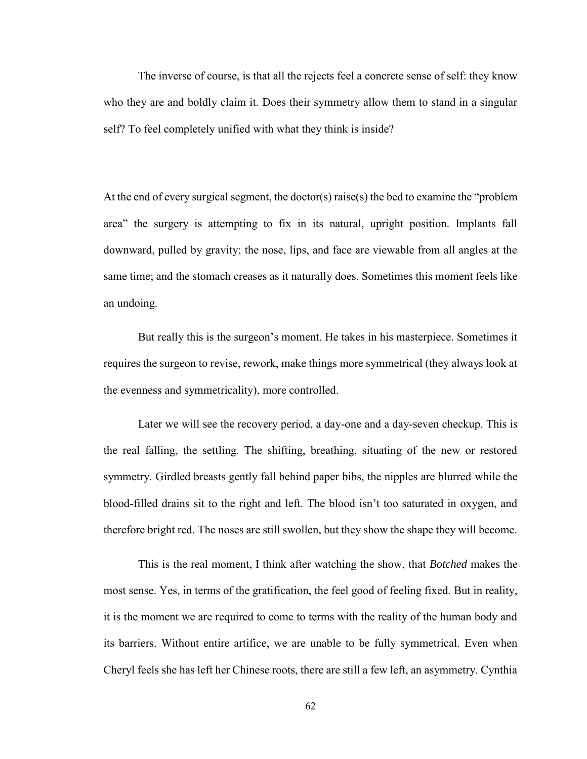The inverse of course, is that all the rejects feel a concrete sense of self: they know who they are and boldly claim it. Does their symmetry allow them to stand in a singular self? To feel completely unified with what they think is inside?

At the end of every surgical segment, the doctor(s) raise(s) the bed to examine the "problem area" the surgery is attempting to fix in its natural, upright position. Implants fall downward, pulled by gravity; the nose, lips, and face are viewable from all angles at the same time; and the stomach creases as it naturally does. Sometimes this moment feels like an undoing.

But really this is the surgeon's moment. He takes in his masterpiece. Sometimes it requires the surgeon to revise, rework, make things more symmetrical (they always look at the evenness and symmetricality), more controlled.

Later we will see the recovery period, a day-one and a day-seven checkup. This is the real falling, the settling. The shifting, breathing, situating of the new or restored symmetry. Girdled breasts gently fall behind paper bibs, the nipples are blurred while the blood-filled drains sit to the right and left. The blood isn't too saturated in oxygen, and therefore bright red. The noses are still swollen, but they show the shape they will become.

This is the real moment, I think after watching the show, that *Botched* makes the most sense. Yes, in terms of the gratification, the feel good of feeling fixed. But in reality, it is the moment we are required to come to terms with the reality of the human body and its barriers. Without entire artifice, we are unable to be fully symmetrical. Even when Cheryl feels she has left her Chinese roots, there are still a few left, an asymmetry. Cynthia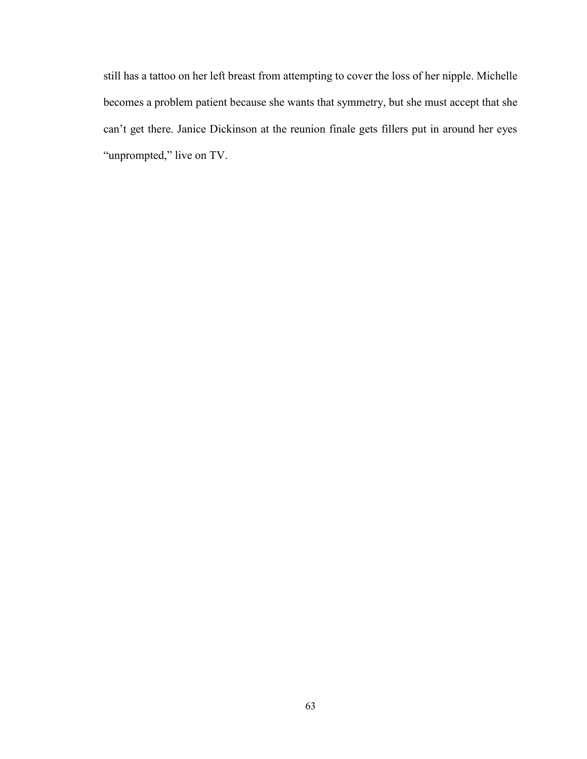still has a tattoo on her left breast from attempting to cover the loss of her nipple. Michelle becomes a problem patient because she wants that symmetry, but she must accept that she can't get there. Janice Dickinson at the reunion finale gets fillers put in around her eyes "unprompted," live on TV.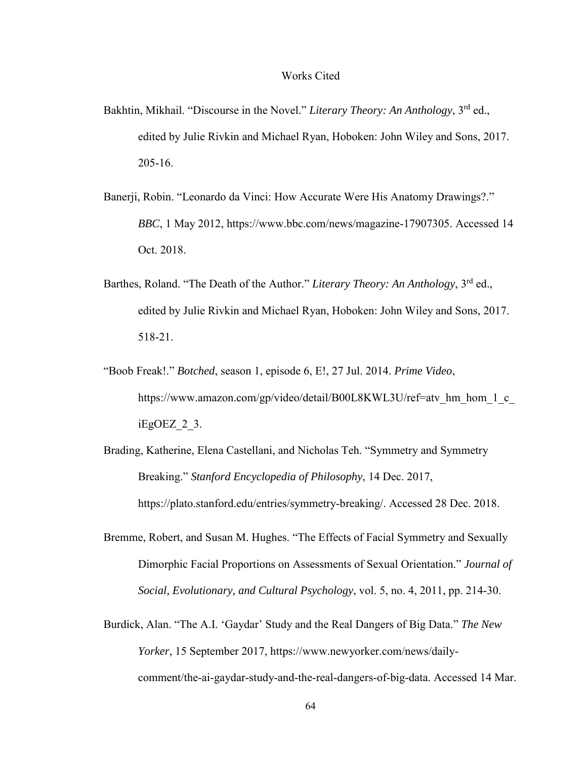## Works Cited

- Bakhtin, Mikhail. "Discourse in the Novel." *Literary Theory: An Anthology*, 3<sup>rd</sup> ed., edited by Julie Rivkin and Michael Ryan, Hoboken: John Wiley and Sons, 2017. 205-16.
- Banerji, Robin. "Leonardo da Vinci: How Accurate Were His Anatomy Drawings?." *BBC*, 1 May 2012, https://www.bbc.com/news/magazine-17907305. Accessed 14 Oct. 2018.
- Barthes, Roland. "The Death of the Author." *Literary Theory: An Anthology*, 3rd ed., edited by Julie Rivkin and Michael Ryan, Hoboken: John Wiley and Sons, 2017. 518-21.
- "Boob Freak!." *Botched*, season 1, episode 6, E!, 27 Jul. 2014. *Prime Video*, https://www.amazon.com/gp/video/detail/B00L8KWL3U/ref=atv\_hm\_hom\_1\_c\_ iEgOEZ\_2\_3.
- Brading, Katherine, Elena Castellani, and Nicholas Teh. "Symmetry and Symmetry Breaking." *Stanford Encyclopedia of Philosophy*, 14 Dec. 2017, https://plato.stanford.edu/entries/symmetry-breaking/. Accessed 28 Dec. 2018.
- Bremme, Robert, and Susan M. Hughes. "The Effects of Facial Symmetry and Sexually Dimorphic Facial Proportions on Assessments of Sexual Orientation." *Journal of Social, Evolutionary, and Cultural Psychology*, vol. 5, no. 4, 2011, pp. 214-30.
- Burdick, Alan. "The A.I. 'Gaydar' Study and the Real Dangers of Big Data." *The New Yorker*, 15 September 2017, https://www.newyorker.com/news/dailycomment/the-ai-gaydar-study-and-the-real-dangers-of-big-data. Accessed 14 Mar.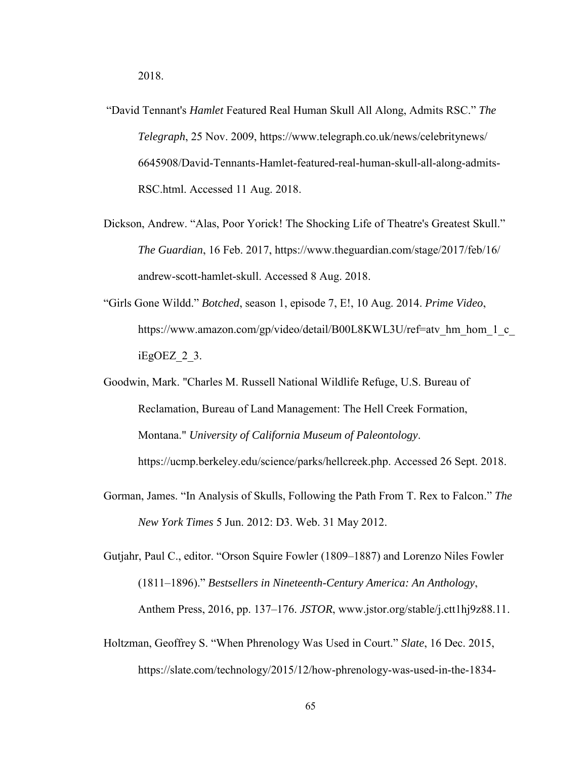- "David Tennant's *Hamlet* Featured Real Human Skull All Along, Admits RSC." *The Telegraph*, 25 Nov. 2009, https://www.telegraph.co.uk/news/celebritynews/ 6645908/David-Tennants-Hamlet-featured-real-human-skull-all-along-admits-RSC.html. Accessed 11 Aug. 2018.
- Dickson, Andrew. "Alas, Poor Yorick! The Shocking Life of Theatre's Greatest Skull." *The Guardian*, 16 Feb. 2017, https://www.theguardian.com/stage/2017/feb/16/ andrew-scott-hamlet-skull. Accessed 8 Aug. 2018.
- "Girls Gone Wildd." *Botched*, season 1, episode 7, E!, 10 Aug. 2014. *Prime Video*, https://www.amazon.com/gp/video/detail/B00L8KWL3U/ref=atv\_hm\_hom\_1\_c\_ iEgOEZ\_2\_3.
- Goodwin, Mark. "Charles M. Russell National Wildlife Refuge, U.S. Bureau of Reclamation, Bureau of Land Management: The Hell Creek Formation, Montana." *University of California Museum of Paleontology*. https://ucmp.berkeley.edu/science/parks/hellcreek.php. Accessed 26 Sept. 2018.
- Gorman, James. "In Analysis of Skulls, Following the Path From T. Rex to Falcon." *The New York Times* 5 Jun. 2012: D3. Web. 31 May 2012.

Gutjahr, Paul C., editor. "Orson Squire Fowler (1809–1887) and Lorenzo Niles Fowler (1811–1896)." *Bestsellers in Nineteenth-Century America: An Anthology*, Anthem Press, 2016, pp. 137–176. *JSTOR*, www.jstor.org/stable/j.ctt1hj9z88.11.

Holtzman, Geoffrey S. "When Phrenology Was Used in Court." *Slate*, 16 Dec. 2015, https://slate.com/technology/2015/12/how-phrenology-was-used-in-the-1834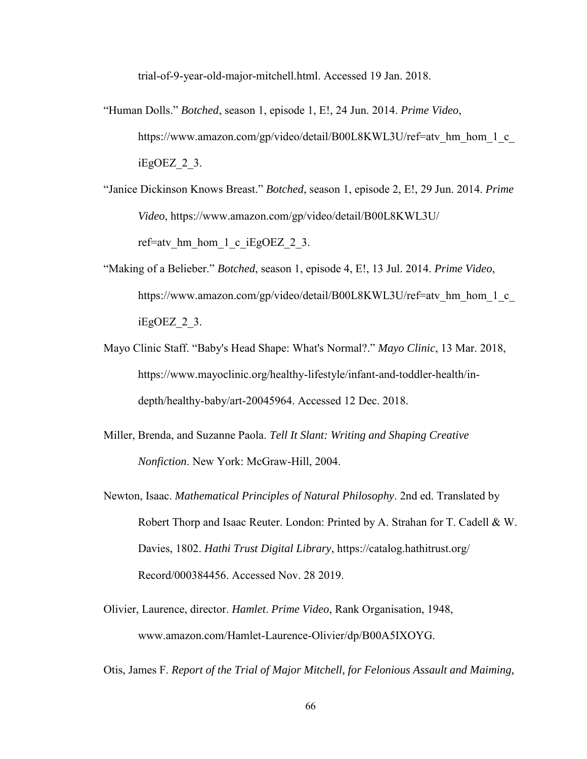trial-of-9-year-old-major-mitchell.html. Accessed 19 Jan. 2018.

"Human Dolls." *Botched*, season 1, episode 1, E!, 24 Jun. 2014. *Prime Video*, https://www.amazon.com/gp/video/detail/B00L8KWL3U/ref=atv\_hm\_hom\_1\_c iEgOEZ\_2\_3.

"Janice Dickinson Knows Breast." *Botched*, season 1, episode 2, E!, 29 Jun. 2014. *Prime Video*, https://www.amazon.com/gp/video/detail/B00L8KWL3U/ ref=atv hm hom  $1$  c iEgOEZ  $2$  3.

- "Making of a Belieber." *Botched*, season 1, episode 4, E!, 13 Jul. 2014. *Prime Video*, https://www.amazon.com/gp/video/detail/B00L8KWL3U/ref=atv\_hm\_hom\_1\_c iEgOEZ\_2\_3.
- Mayo Clinic Staff. "Baby's Head Shape: What's Normal?." *Mayo Clinic*, 13 Mar. 2018, https://www.mayoclinic.org/healthy-lifestyle/infant-and-toddler-health/indepth/healthy-baby/art-20045964. Accessed 12 Dec. 2018.
- Miller, Brenda, and Suzanne Paola. *Tell It Slant: Writing and Shaping Creative Nonfiction*. New York: McGraw-Hill, 2004.
- Newton, Isaac. *Mathematical Principles of Natural Philosophy*. 2nd ed. Translated by Robert Thorp and Isaac Reuter. London: Printed by A. Strahan for T. Cadell & W. Davies, 1802. *Hathi Trust Digital Library*, https://catalog.hathitrust.org/ Record/000384456. Accessed Nov. 28 2019.
- Olivier, Laurence, director. *Hamlet*. *Prime Video*, Rank Organisation, 1948, www.amazon.com/Hamlet-Laurence-Olivier/dp/B00A5IXOYG.

Otis, James F. *Report of the Trial of Major Mitchell, for Felonious Assault and Maiming,*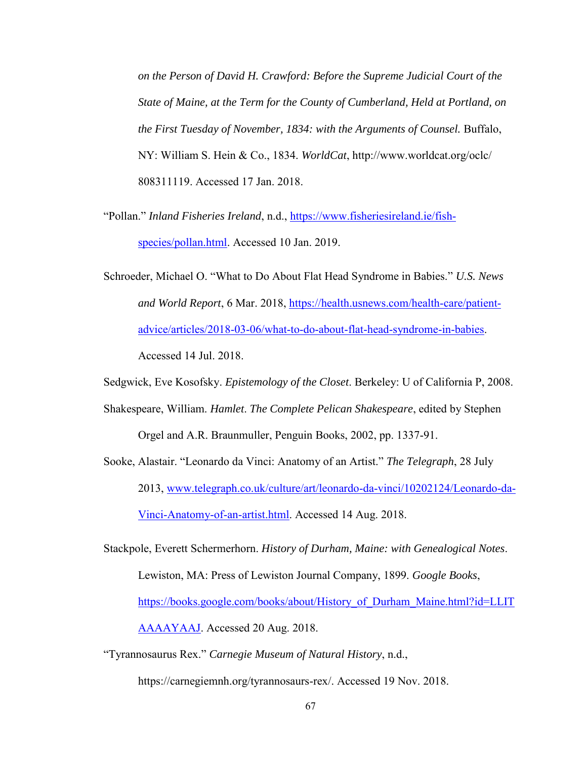*on the Person of David H. Crawford: Before the Supreme Judicial Court of the State of Maine, at the Term for the County of Cumberland, Held at Portland, on the First Tuesday of November, 1834: with the Arguments of Counsel.* Buffalo, NY: William S. Hein & Co., 1834. *WorldCat*, http://www.worldcat.org/oclc/ 808311119. Accessed 17 Jan. 2018.

- "Pollan." *Inland Fisheries Ireland*, n.d., [https://www.fisheriesireland.ie/fish](https://www.fisheriesireland.ie/fish-species/pollan.html)[species/pollan.html.](https://www.fisheriesireland.ie/fish-species/pollan.html) Accessed 10 Jan. 2019.
- Schroeder, Michael O. "What to Do About Flat Head Syndrome in Babies." *U.S. News and World Report*, 6 Mar. 2018, [https://health.usnews.com/health-care/patient](https://health.usnews.com/health-care/patient-advice/articles/2018-03-06/what-to-do-about-flat-head-syndrome-in-babies)[advice/articles/2018-03-06/what-to-do-about-flat-head-syndrome-in-babies.](https://health.usnews.com/health-care/patient-advice/articles/2018-03-06/what-to-do-about-flat-head-syndrome-in-babies) Accessed 14 Jul. 2018.
- Sedgwick, Eve Kosofsky. *Epistemology of the Closet*. Berkeley: U of California P, 2008.
- Shakespeare, William. *Hamlet*. *The Complete Pelican Shakespeare*, edited by Stephen

Orgel and A.R. Braunmuller, Penguin Books, 2002, pp. 1337-91.

Sooke, Alastair. "Leonardo da Vinci: Anatomy of an Artist." *The Telegraph*, 28 July 2013, [www.telegraph.co.uk/culture/art/leonardo-da-vinci/10202124/Leonardo-da-](http://www.telegraph.co.uk/culture/art/leonardo-da-vinci/10202124/Leonardo-da-Vinci-Anatomy-of-an-artist.html)[Vinci-Anatomy-of-an-artist.html.](http://www.telegraph.co.uk/culture/art/leonardo-da-vinci/10202124/Leonardo-da-Vinci-Anatomy-of-an-artist.html) Accessed 14 Aug. 2018.

- Stackpole, Everett Schermerhorn. *History of Durham, Maine: with Genealogical Notes*. Lewiston, MA: Press of Lewiston Journal Company, 1899. *Google Books*, [https://books.google.com/books/about/History\\_of\\_Durham\\_Maine.html?id=LLIT](https://books.google.com/books/about/History_of_Durham_Maine.html?id=LLITAAAAYAAJ) [AAAAYAAJ.](https://books.google.com/books/about/History_of_Durham_Maine.html?id=LLITAAAAYAAJ) Accessed 20 Aug. 2018.
- "Tyrannosaurus Rex." *Carnegie Museum of Natural History*, n.d.,

https://carnegiemnh.org/tyrannosaurs-rex/. Accessed 19 Nov. 2018.